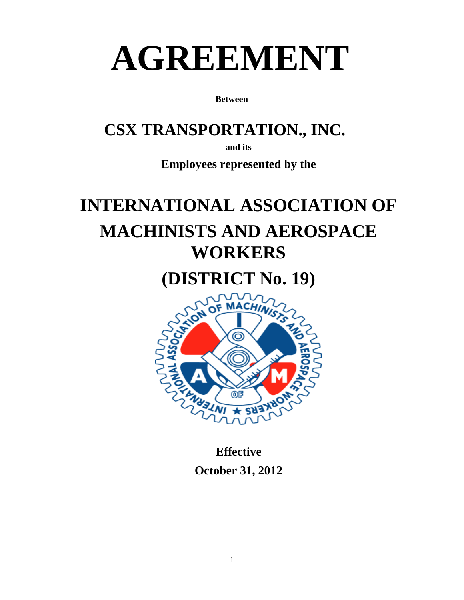# **AGREEMENT**

**Between**

### **CSX TRANSPORTATION., INC.**

**and its**

**Employees represented by the**

## **INTERNATIONAL ASSOCIATION OF MACHINISTS AND AEROSPACE WORKERS**

**(DISTRICT No. 19)**



**Effective October 31, 2012**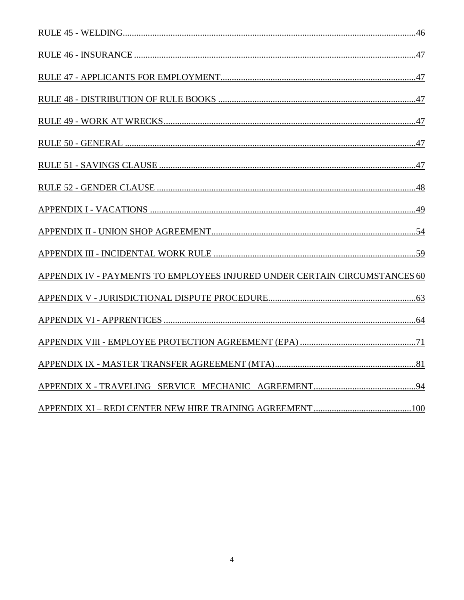| APPENDIX IV - PAYMENTS TO EMPLOYEES INJURED UNDER CERTAIN CIRCUMSTANCES 60 |
|----------------------------------------------------------------------------|
|                                                                            |
|                                                                            |
|                                                                            |
|                                                                            |
|                                                                            |
|                                                                            |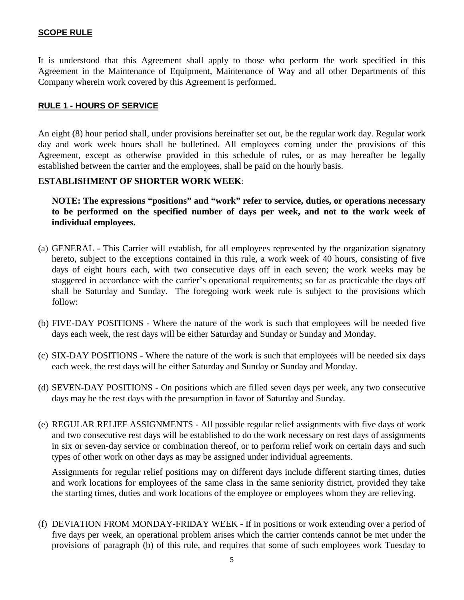#### <span id="page-4-0"></span>**SCOPE RULE**

It is understood that this Agreement shall apply to those who perform the work specified in this Agreement in the Maintenance of Equipment, Maintenance of Way and all other Departments of this Company wherein work covered by this Agreement is performed.

#### <span id="page-4-1"></span>**RULE 1 - HOURS OF SERVICE**

An eight (8) hour period shall, under provisions hereinafter set out, be the regular work day. Regular work day and work week hours shall be bulletined. All employees coming under the provisions of this Agreement, except as otherwise provided in this schedule of rules, or as may hereafter be legally established between the carrier and the employees, shall be paid on the hourly basis.

#### **ESTABLISHMENT OF SHORTER WORK WEEK**:

**NOTE: The expressions "positions" and "work" refer to service, duties, or operations necessary to be performed on the specified number of days per week, and not to the work week of individual employees.**

- (a) GENERAL This Carrier will establish, for all employees represented by the organization signatory hereto, subject to the exceptions contained in this rule, a work week of 40 hours, consisting of five days of eight hours each, with two consecutive days off in each seven; the work weeks may be staggered in accordance with the carrier's operational requirements; so far as practicable the days off shall be Saturday and Sunday. The foregoing work week rule is subject to the provisions which follow:
- (b) FIVE-DAY POSITIONS Where the nature of the work is such that employees will be needed five days each week, the rest days will be either Saturday and Sunday or Sunday and Monday.
- (c) SIX-DAY POSITIONS Where the nature of the work is such that employees will be needed six days each week, the rest days will be either Saturday and Sunday or Sunday and Monday.
- (d) SEVEN-DAY POSITIONS On positions which are filled seven days per week, any two consecutive days may be the rest days with the presumption in favor of Saturday and Sunday.
- (e) REGULAR RELIEF ASSIGNMENTS All possible regular relief assignments with five days of work and two consecutive rest days will be established to do the work necessary on rest days of assignments in six or seven-day service or combination thereof, or to perform relief work on certain days and such types of other work on other days as may be assigned under individual agreements.

Assignments for regular relief positions may on different days include different starting times, duties and work locations for employees of the same class in the same seniority district, provided they take the starting times, duties and work locations of the employee or employees whom they are relieving.

(f) DEVIATION FROM MONDAY-FRIDAY WEEK - If in positions or work extending over a period of five days per week, an operational problem arises which the carrier contends cannot be met under the provisions of paragraph (b) of this rule, and requires that some of such employees work Tuesday to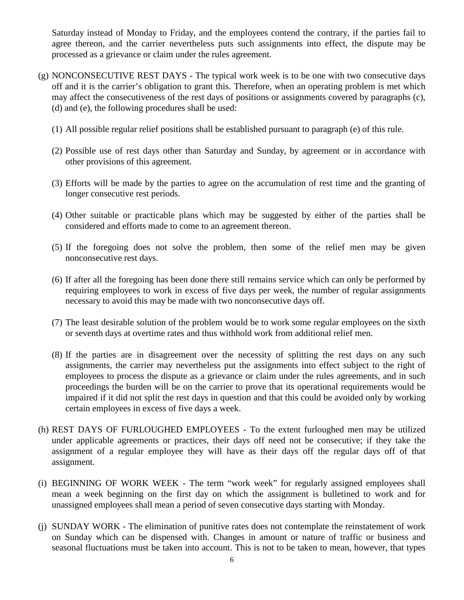Saturday instead of Monday to Friday, and the employees contend the contrary, if the parties fail to agree thereon, and the carrier nevertheless puts such assignments into effect, the dispute may be processed as a grievance or claim under the rules agreement.

- (g) NONCONSECUTIVE REST DAYS The typical work week is to be one with two consecutive days off and it is the carrier's obligation to grant this. Therefore, when an operating problem is met which may affect the consecutiveness of the rest days of positions or assignments covered by paragraphs (c), (d) and (e), the following procedures shall be used:
	- (1) All possible regular relief positions shall be established pursuant to paragraph (e) of this rule.
	- (2) Possible use of rest days other than Saturday and Sunday, by agreement or in accordance with other provisions of this agreement.
	- (3) Efforts will be made by the parties to agree on the accumulation of rest time and the granting of longer consecutive rest periods.
	- (4) Other suitable or practicable plans which may be suggested by either of the parties shall be considered and efforts made to come to an agreement thereon.
	- (5) If the foregoing does not solve the problem, then some of the relief men may be given nonconsecutive rest days.
	- (6) If after all the foregoing has been done there still remains service which can only be performed by requiring employees to work in excess of five days per week, the number of regular assignments necessary to avoid this may be made with two nonconsecutive days off.
	- (7) The least desirable solution of the problem would be to work some regular employees on the sixth or seventh days at overtime rates and thus withhold work from additional relief men.
	- (8) If the parties are in disagreement over the necessity of splitting the rest days on any such assignments, the carrier may nevertheless put the assignments into effect subject to the right of employees to process the dispute as a grievance or claim under the rules agreements, and in such proceedings the burden will be on the carrier to prove that its operational requirements would be impaired if it did not split the rest days in question and that this could be avoided only by working certain employees in excess of five days a week.
- (h) REST DAYS OF FURLOUGHED EMPLOYEES To the extent furloughed men may be utilized under applicable agreements or practices, their days off need not be consecutive; if they take the assignment of a regular employee they will have as their days off the regular days off of that assignment.
- (i) BEGINNING OF WORK WEEK The term "work week" for regularly assigned employees shall mean a week beginning on the first day on which the assignment is bulletined to work and for unassigned employees shall mean a period of seven consecutive days starting with Monday.
- (j) SUNDAY WORK The elimination of punitive rates does not contemplate the reinstatement of work on Sunday which can be dispensed with. Changes in amount or nature of traffic or business and seasonal fluctuations must be taken into account. This is not to be taken to mean, however, that types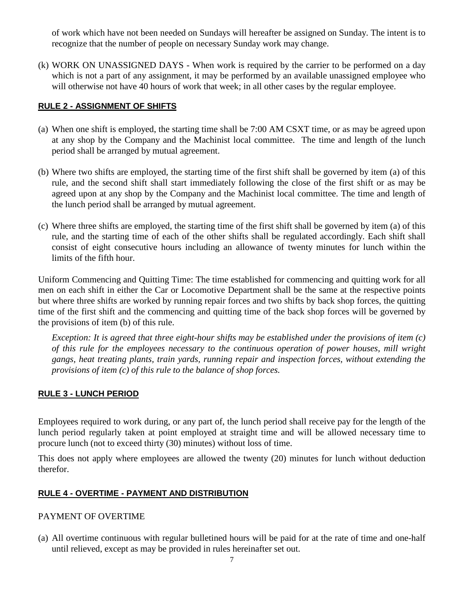of work which have not been needed on Sundays will hereafter be assigned on Sunday. The intent is to recognize that the number of people on necessary Sunday work may change.

(k) WORK ON UNASSIGNED DAYS - When work is required by the carrier to be performed on a day which is not a part of any assignment, it may be performed by an available unassigned employee who will otherwise not have 40 hours of work that week; in all other cases by the regular employee.

#### <span id="page-6-0"></span>**RULE 2 - ASSIGNMENT OF SHIFTS**

- (a) When one shift is employed, the starting time shall be 7:00 AM CSXT time, or as may be agreed upon at any shop by the Company and the Machinist local committee. The time and length of the lunch period shall be arranged by mutual agreement.
- (b) Where two shifts are employed, the starting time of the first shift shall be governed by item (a) of this rule, and the second shift shall start immediately following the close of the first shift or as may be agreed upon at any shop by the Company and the Machinist local committee. The time and length of the lunch period shall be arranged by mutual agreement.
- (c) Where three shifts are employed, the starting time of the first shift shall be governed by item (a) of this rule, and the starting time of each of the other shifts shall be regulated accordingly. Each shift shall consist of eight consecutive hours including an allowance of twenty minutes for lunch within the limits of the fifth hour.

Uniform Commencing and Quitting Time: The time established for commencing and quitting work for all men on each shift in either the Car or Locomotive Department shall be the same at the respective points but where three shifts are worked by running repair forces and two shifts by back shop forces, the quitting time of the first shift and the commencing and quitting time of the back shop forces will be governed by the provisions of item (b) of this rule.

*Exception: It is agreed that three eight-hour shifts may be established under the provisions of item (c) of this rule for the employees necessary to the continuous operation of power houses, mill wright gangs, heat treating plants, train yards, running repair and inspection forces, without extending the provisions of item (c) of this rule to the balance of shop forces.*

#### <span id="page-6-1"></span>**RULE 3 - LUNCH PERIOD**

Employees required to work during, or any part of, the lunch period shall receive pay for the length of the lunch period regularly taken at point employed at straight time and will be allowed necessary time to procure lunch (not to exceed thirty (30) minutes) without loss of time.

This does not apply where employees are allowed the twenty (20) minutes for lunch without deduction therefor.

#### <span id="page-6-2"></span>**RULE 4 - OVERTIME - PAYMENT AND DISTRIBUTION**

#### PAYMENT OF OVERTIME

(a) All overtime continuous with regular bulletined hours will be paid for at the rate of time and one-half until relieved, except as may be provided in rules hereinafter set out.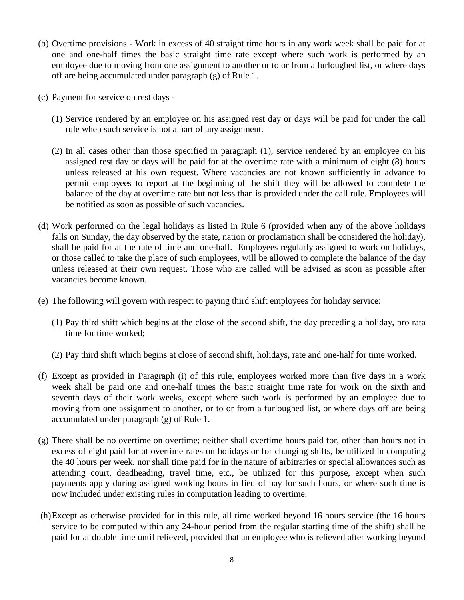- (b) Overtime provisions Work in excess of 40 straight time hours in any work week shall be paid for at one and one-half times the basic straight time rate except where such work is performed by an employee due to moving from one assignment to another or to or from a furloughed list, or where days off are being accumulated under paragraph (g) of Rule 1.
- (c) Payment for service on rest days
	- (1) Service rendered by an employee on his assigned rest day or days will be paid for under the call rule when such service is not a part of any assignment.
	- (2) In all cases other than those specified in paragraph (1), service rendered by an employee on his assigned rest day or days will be paid for at the overtime rate with a minimum of eight (8) hours unless released at his own request. Where vacancies are not known sufficiently in advance to permit employees to report at the beginning of the shift they will be allowed to complete the balance of the day at overtime rate but not less than is provided under the call rule. Employees will be notified as soon as possible of such vacancies.
- (d) Work performed on the legal holidays as listed in Rule 6 (provided when any of the above holidays falls on Sunday, the day observed by the state, nation or proclamation shall be considered the holiday), shall be paid for at the rate of time and one-half. Employees regularly assigned to work on holidays, or those called to take the place of such employees, will be allowed to complete the balance of the day unless released at their own request. Those who are called will be advised as soon as possible after vacancies become known.
- (e) The following will govern with respect to paying third shift employees for holiday service:
	- (1) Pay third shift which begins at the close of the second shift, the day preceding a holiday, pro rata time for time worked;
	- (2) Pay third shift which begins at close of second shift, holidays, rate and one-half for time worked.
- (f) Except as provided in Paragraph (i) of this rule, employees worked more than five days in a work week shall be paid one and one-half times the basic straight time rate for work on the sixth and seventh days of their work weeks, except where such work is performed by an employee due to moving from one assignment to another, or to or from a furloughed list, or where days off are being accumulated under paragraph (g) of Rule 1.
- (g) There shall be no overtime on overtime; neither shall overtime hours paid for, other than hours not in excess of eight paid for at overtime rates on holidays or for changing shifts, be utilized in computing the 40 hours per week, nor shall time paid for in the nature of arbitraries or special allowances such as attending court, deadheading, travel time, etc., be utilized for this purpose, except when such payments apply during assigned working hours in lieu of pay for such hours, or where such time is now included under existing rules in computation leading to overtime.
- (h)Except as otherwise provided for in this rule, all time worked beyond 16 hours service (the 16 hours service to be computed within any 24-hour period from the regular starting time of the shift) shall be paid for at double time until relieved, provided that an employee who is relieved after working beyond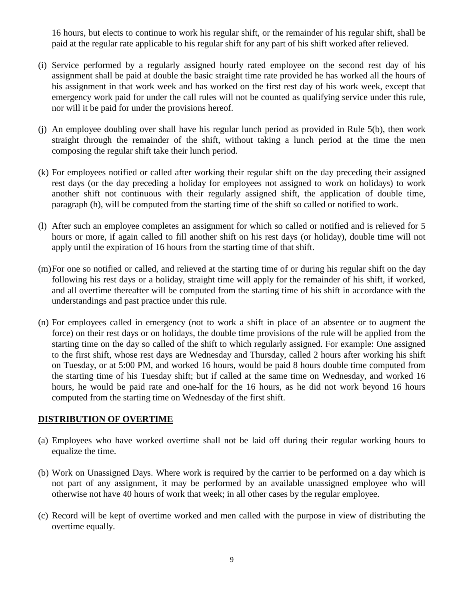16 hours, but elects to continue to work his regular shift, or the remainder of his regular shift, shall be paid at the regular rate applicable to his regular shift for any part of his shift worked after relieved.

- (i) Service performed by a regularly assigned hourly rated employee on the second rest day of his assignment shall be paid at double the basic straight time rate provided he has worked all the hours of his assignment in that work week and has worked on the first rest day of his work week, except that emergency work paid for under the call rules will not be counted as qualifying service under this rule, nor will it be paid for under the provisions hereof.
- (j) An employee doubling over shall have his regular lunch period as provided in Rule 5(b), then work straight through the remainder of the shift, without taking a lunch period at the time the men composing the regular shift take their lunch period.
- (k) For employees notified or called after working their regular shift on the day preceding their assigned rest days (or the day preceding a holiday for employees not assigned to work on holidays) to work another shift not continuous with their regularly assigned shift, the application of double time, paragraph (h), will be computed from the starting time of the shift so called or notified to work.
- (l) After such an employee completes an assignment for which so called or notified and is relieved for 5 hours or more, if again called to fill another shift on his rest days (or holiday), double time will not apply until the expiration of 16 hours from the starting time of that shift.
- (m)For one so notified or called, and relieved at the starting time of or during his regular shift on the day following his rest days or a holiday, straight time will apply for the remainder of his shift, if worked, and all overtime thereafter will be computed from the starting time of his shift in accordance with the understandings and past practice under this rule.
- (n) For employees called in emergency (not to work a shift in place of an absentee or to augment the force) on their rest days or on holidays, the double time provisions of the rule will be applied from the starting time on the day so called of the shift to which regularly assigned. For example: One assigned to the first shift, whose rest days are Wednesday and Thursday, called 2 hours after working his shift on Tuesday, or at 5:00 PM, and worked 16 hours, would be paid 8 hours double time computed from the starting time of his Tuesday shift; but if called at the same time on Wednesday, and worked 16 hours, he would be paid rate and one-half for the 16 hours, as he did not work beyond 16 hours computed from the starting time on Wednesday of the first shift.

#### **DISTRIBUTION OF OVERTIME**

- (a) Employees who have worked overtime shall not be laid off during their regular working hours to equalize the time.
- (b) Work on Unassigned Days. Where work is required by the carrier to be performed on a day which is not part of any assignment, it may be performed by an available unassigned employee who will otherwise not have 40 hours of work that week; in all other cases by the regular employee.
- (c) Record will be kept of overtime worked and men called with the purpose in view of distributing the overtime equally.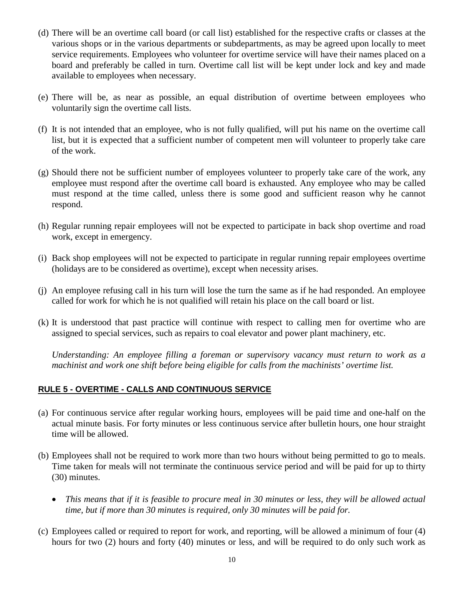- (d) There will be an overtime call board (or call list) established for the respective crafts or classes at the various shops or in the various departments or subdepartments, as may be agreed upon locally to meet service requirements. Employees who volunteer for overtime service will have their names placed on a board and preferably be called in turn. Overtime call list will be kept under lock and key and made available to employees when necessary.
- (e) There will be, as near as possible, an equal distribution of overtime between employees who voluntarily sign the overtime call lists.
- (f) It is not intended that an employee, who is not fully qualified, will put his name on the overtime call list, but it is expected that a sufficient number of competent men will volunteer to properly take care of the work.
- (g) Should there not be sufficient number of employees volunteer to properly take care of the work, any employee must respond after the overtime call board is exhausted. Any employee who may be called must respond at the time called, unless there is some good and sufficient reason why he cannot respond.
- (h) Regular running repair employees will not be expected to participate in back shop overtime and road work, except in emergency.
- (i) Back shop employees will not be expected to participate in regular running repair employees overtime (holidays are to be considered as overtime), except when necessity arises.
- (j) An employee refusing call in his turn will lose the turn the same as if he had responded. An employee called for work for which he is not qualified will retain his place on the call board or list.
- (k) It is understood that past practice will continue with respect to calling men for overtime who are assigned to special services, such as repairs to coal elevator and power plant machinery, etc.

*Understanding: An employee filling a foreman or supervisory vacancy must return to work as a machinist and work one shift before being eligible for calls from the machinists' overtime list.*

#### <span id="page-9-0"></span>**RULE 5 - OVERTIME - CALLS AND CONTINUOUS SERVICE**

- (a) For continuous service after regular working hours, employees will be paid time and one-half on the actual minute basis. For forty minutes or less continuous service after bulletin hours, one hour straight time will be allowed.
- (b) Employees shall not be required to work more than two hours without being permitted to go to meals. Time taken for meals will not terminate the continuous service period and will be paid for up to thirty (30) minutes.
	- *This means that if it is feasible to procure meal in 30 minutes or less, they will be allowed actual time, but if more than 30 minutes is required, only 30 minutes will be paid for.*
- (c) Employees called or required to report for work, and reporting, will be allowed a minimum of four (4) hours for two (2) hours and forty (40) minutes or less, and will be required to do only such work as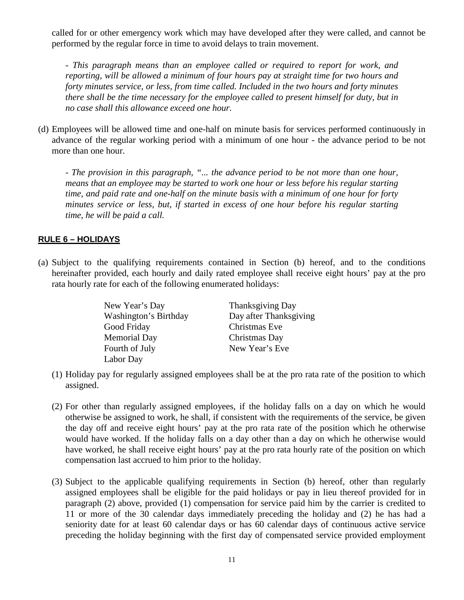called for or other emergency work which may have developed after they were called, and cannot be performed by the regular force in time to avoid delays to train movement.

*- This paragraph means than an employee called or required to report for work, and reporting, will be allowed a minimum of four hours pay at straight time for two hours and forty minutes service, or less, from time called. Included in the two hours and forty minutes there shall be the time necessary for the employee called to present himself for duty, but in no case shall this allowance exceed one hour.*

(d) Employees will be allowed time and one-half on minute basis for services performed continuously in advance of the regular working period with a minimum of one hour - the advance period to be not more than one hour.

*- The provision in this paragraph, "... the advance period to be not more than one hour, means that an employee may be started to work one hour or less before his regular starting time, and paid rate and one-half on the minute basis with a minimum of one hour for forty minutes service or less, but, if started in excess of one hour before his regular starting time, he will be paid a call.*

#### <span id="page-10-0"></span>**RULE 6 – HOLIDAYS**

(a) Subject to the qualifying requirements contained in Section (b) hereof, and to the conditions hereinafter provided, each hourly and daily rated employee shall receive eight hours' pay at the pro rata hourly rate for each of the following enumerated holidays:

| New Year's Day        | <b>Thanksgiving Day</b> |
|-----------------------|-------------------------|
| Washington's Birthday | Day after Thanksgiving  |
| Good Friday           | Christmas Eve           |
| <b>Memorial Day</b>   | Christmas Day           |
| Fourth of July        | New Year's Eve          |
| Labor Day             |                         |

- (1) Holiday pay for regularly assigned employees shall be at the pro rata rate of the position to which assigned.
- (2) For other than regularly assigned employees, if the holiday falls on a day on which he would otherwise be assigned to work, he shall, if consistent with the requirements of the service, be given the day off and receive eight hours' pay at the pro rata rate of the position which he otherwise would have worked. If the holiday falls on a day other than a day on which he otherwise would have worked, he shall receive eight hours' pay at the pro rata hourly rate of the position on which compensation last accrued to him prior to the holiday.
- (3) Subject to the applicable qualifying requirements in Section (b) hereof, other than regularly assigned employees shall be eligible for the paid holidays or pay in lieu thereof provided for in paragraph (2) above, provided (1) compensation for service paid him by the carrier is credited to 11 or more of the 30 calendar days immediately preceding the holiday and (2) he has had a seniority date for at least 60 calendar days or has 60 calendar days of continuous active service preceding the holiday beginning with the first day of compensated service provided employment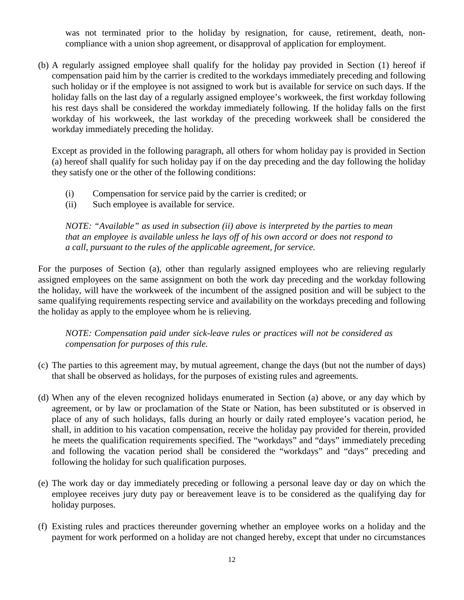was not terminated prior to the holiday by resignation, for cause, retirement, death, noncompliance with a union shop agreement, or disapproval of application for employment.

(b) A regularly assigned employee shall qualify for the holiday pay provided in Section (1) hereof if compensation paid him by the carrier is credited to the workdays immediately preceding and following such holiday or if the employee is not assigned to work but is available for service on such days. If the holiday falls on the last day of a regularly assigned employee's workweek, the first workday following his rest days shall be considered the workday immediately following. If the holiday falls on the first workday of his workweek, the last workday of the preceding workweek shall be considered the workday immediately preceding the holiday.

Except as provided in the following paragraph, all others for whom holiday pay is provided in Section (a) hereof shall qualify for such holiday pay if on the day preceding and the day following the holiday they satisfy one or the other of the following conditions:

- (i) Compensation for service paid by the carrier is credited; or
- (ii) Such employee is available for service.

*NOTE: "Available" as used in subsection (ii) above is interpreted by the parties to mean that an employee is available unless he lays off of his own accord or does not respond to a call, pursuant to the rules of the applicable agreement, for service.*

For the purposes of Section (a), other than regularly assigned employees who are relieving regularly assigned employees on the same assignment on both the work day preceding and the workday following the holiday, will have the workweek of the incumbent of the assigned position and will be subject to the same qualifying requirements respecting service and availability on the workdays preceding and following the holiday as apply to the employee whom he is relieving.

*NOTE: Compensation paid under sick-leave rules or practices will not be considered as compensation for purposes of this rule.*

- (c) The parties to this agreement may, by mutual agreement, change the days (but not the number of days) that shall be observed as holidays, for the purposes of existing rules and agreements.
- (d) When any of the eleven recognized holidays enumerated in Section (a) above, or any day which by agreement, or by law or proclamation of the State or Nation, has been substituted or is observed in place of any of such holidays, falls during an hourly or daily rated employee's vacation period, he shall, in addition to his vacation compensation, receive the holiday pay provided for therein, provided he meets the qualification requirements specified. The "workdays" and "days" immediately preceding and following the vacation period shall be considered the "workdays" and "days" preceding and following the holiday for such qualification purposes.
- (e) The work day or day immediately preceding or following a personal leave day or day on which the employee receives jury duty pay or bereavement leave is to be considered as the qualifying day for holiday purposes.
- (f) Existing rules and practices thereunder governing whether an employee works on a holiday and the payment for work performed on a holiday are not changed hereby, except that under no circumstances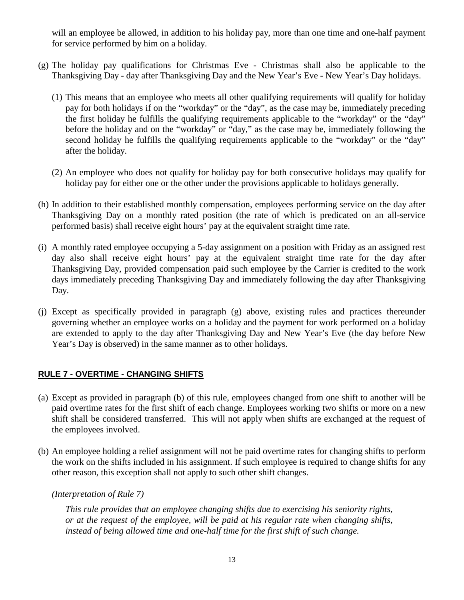will an employee be allowed, in addition to his holiday pay, more than one time and one-half payment for service performed by him on a holiday.

- (g) The holiday pay qualifications for Christmas Eve Christmas shall also be applicable to the Thanksgiving Day - day after Thanksgiving Day and the New Year's Eve - New Year's Day holidays.
	- (1) This means that an employee who meets all other qualifying requirements will qualify for holiday pay for both holidays if on the "workday" or the "day", as the case may be, immediately preceding the first holiday he fulfills the qualifying requirements applicable to the "workday" or the "day" before the holiday and on the "workday" or "day," as the case may be, immediately following the second holiday he fulfills the qualifying requirements applicable to the "workday" or the "day" after the holiday.
	- (2) An employee who does not qualify for holiday pay for both consecutive holidays may qualify for holiday pay for either one or the other under the provisions applicable to holidays generally.
- (h) In addition to their established monthly compensation, employees performing service on the day after Thanksgiving Day on a monthly rated position (the rate of which is predicated on an all-service performed basis) shall receive eight hours' pay at the equivalent straight time rate.
- (i) A monthly rated employee occupying a 5-day assignment on a position with Friday as an assigned rest day also shall receive eight hours' pay at the equivalent straight time rate for the day after Thanksgiving Day, provided compensation paid such employee by the Carrier is credited to the work days immediately preceding Thanksgiving Day and immediately following the day after Thanksgiving Day.
- (j) Except as specifically provided in paragraph (g) above, existing rules and practices thereunder governing whether an employee works on a holiday and the payment for work performed on a holiday are extended to apply to the day after Thanksgiving Day and New Year's Eve (the day before New Year's Day is observed) in the same manner as to other holidays.

#### <span id="page-12-0"></span>**RULE 7 - OVERTIME - CHANGING SHIFTS**

- (a) Except as provided in paragraph (b) of this rule, employees changed from one shift to another will be paid overtime rates for the first shift of each change. Employees working two shifts or more on a new shift shall be considered transferred. This will not apply when shifts are exchanged at the request of the employees involved.
- (b) An employee holding a relief assignment will not be paid overtime rates for changing shifts to perform the work on the shifts included in his assignment. If such employee is required to change shifts for any other reason, this exception shall not apply to such other shift changes.

*(Interpretation of Rule 7)*

*This rule provides that an employee changing shifts due to exercising his seniority rights, or at the request of the employee, will be paid at his regular rate when changing shifts, instead of being allowed time and one-half time for the first shift of such change.*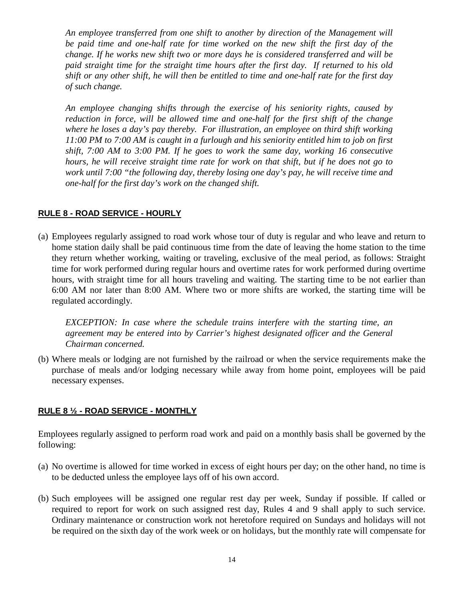*An employee transferred from one shift to another by direction of the Management will be paid time and one-half rate for time worked on the new shift the first day of the change. If he works new shift two or more days he is considered transferred and will be paid straight time for the straight time hours after the first day. If returned to his old shift or any other shift, he will then be entitled to time and one-half rate for the first day of such change.*

*An employee changing shifts through the exercise of his seniority rights, caused by reduction in force, will be allowed time and one-half for the first shift of the change where he loses a day's pay thereby. For illustration, an employee on third shift working 11:00 PM to 7:00 AM is caught in a furlough and his seniority entitled him to job on first shift, 7:00 AM to 3:00 PM. If he goes to work the same day, working 16 consecutive hours, he will receive straight time rate for work on that shift, but if he does not go to work until 7:00 "the following day, thereby losing one day's pay, he will receive time and one-half for the first day's work on the changed shift.*

#### <span id="page-13-0"></span>**RULE 8 - ROAD SERVICE - HOURLY**

(a) Employees regularly assigned to road work whose tour of duty is regular and who leave and return to home station daily shall be paid continuous time from the date of leaving the home station to the time they return whether working, waiting or traveling, exclusive of the meal period, as follows: Straight time for work performed during regular hours and overtime rates for work performed during overtime hours, with straight time for all hours traveling and waiting. The starting time to be not earlier than 6:00 AM nor later than 8:00 AM. Where two or more shifts are worked, the starting time will be regulated accordingly.

*EXCEPTION: In case where the schedule trains interfere with the starting time, an agreement may be entered into by Carrier's highest designated officer and the General Chairman concerned.*

(b) Where meals or lodging are not furnished by the railroad or when the service requirements make the purchase of meals and/or lodging necessary while away from home point, employees will be paid necessary expenses.

#### <span id="page-13-1"></span>**RULE 8 ½ - ROAD SERVICE - MONTHLY**

Employees regularly assigned to perform road work and paid on a monthly basis shall be governed by the following:

- (a) No overtime is allowed for time worked in excess of eight hours per day; on the other hand, no time is to be deducted unless the employee lays off of his own accord.
- (b) Such employees will be assigned one regular rest day per week, Sunday if possible. If called or required to report for work on such assigned rest day, Rules 4 and 9 shall apply to such service. Ordinary maintenance or construction work not heretofore required on Sundays and holidays will not be required on the sixth day of the work week or on holidays, but the monthly rate will compensate for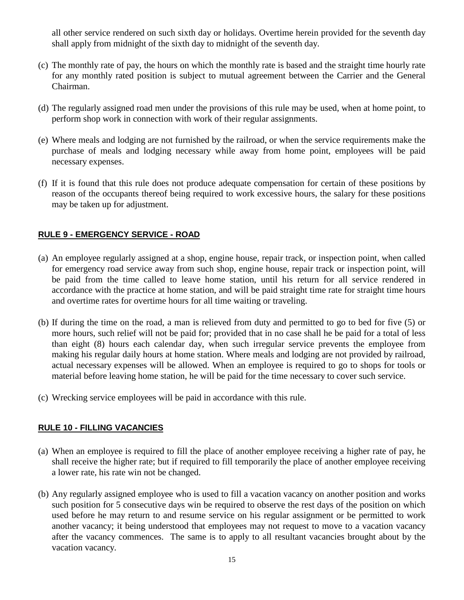all other service rendered on such sixth day or holidays. Overtime herein provided for the seventh day shall apply from midnight of the sixth day to midnight of the seventh day.

- (c) The monthly rate of pay, the hours on which the monthly rate is based and the straight time hourly rate for any monthly rated position is subject to mutual agreement between the Carrier and the General Chairman.
- (d) The regularly assigned road men under the provisions of this rule may be used, when at home point, to perform shop work in connection with work of their regular assignments.
- (e) Where meals and lodging are not furnished by the railroad, or when the service requirements make the purchase of meals and lodging necessary while away from home point, employees will be paid necessary expenses.
- (f) If it is found that this rule does not produce adequate compensation for certain of these positions by reason of the occupants thereof being required to work excessive hours, the salary for these positions may be taken up for adjustment.

#### <span id="page-14-0"></span>**RULE 9 - EMERGENCY SERVICE - ROAD**

- (a) An employee regularly assigned at a shop, engine house, repair track, or inspection point, when called for emergency road service away from such shop, engine house, repair track or inspection point, will be paid from the time called to leave home station, until his return for all service rendered in accordance with the practice at home station, and will be paid straight time rate for straight time hours and overtime rates for overtime hours for all time waiting or traveling.
- (b) If during the time on the road, a man is relieved from duty and permitted to go to bed for five (5) or more hours, such relief will not be paid for; provided that in no case shall he be paid for a total of less than eight (8) hours each calendar day, when such irregular service prevents the employee from making his regular daily hours at home station. Where meals and lodging are not provided by railroad, actual necessary expenses will be allowed. When an employee is required to go to shops for tools or material before leaving home station, he will be paid for the time necessary to cover such service.
- (c) Wrecking service employees will be paid in accordance with this rule.

#### <span id="page-14-1"></span>**RULE 10 - FILLING VACANCIES**

- (a) When an employee is required to fill the place of another employee receiving a higher rate of pay, he shall receive the higher rate; but if required to fill temporarily the place of another employee receiving a lower rate, his rate win not be changed.
- (b) Any regularly assigned employee who is used to fill a vacation vacancy on another position and works such position for 5 consecutive days win be required to observe the rest days of the position on which used before he may return to and resume service on his regular assignment or be permitted to work another vacancy; it being understood that employees may not request to move to a vacation vacancy after the vacancy commences. The same is to apply to all resultant vacancies brought about by the vacation vacancy.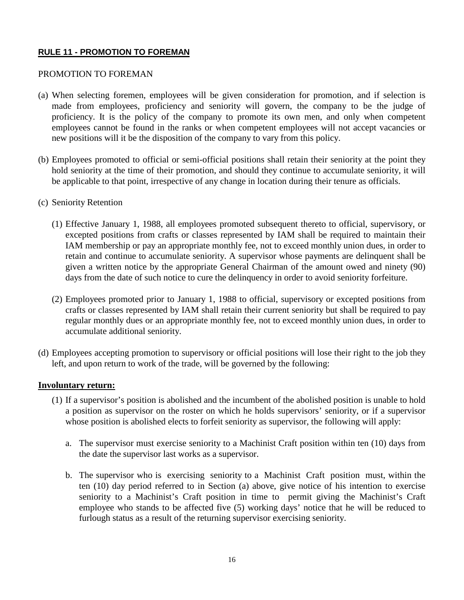#### <span id="page-15-0"></span>**RULE 11 - PROMOTION TO FOREMAN**

#### PROMOTION TO FOREMAN

- (a) When selecting foremen, employees will be given consideration for promotion, and if selection is made from employees, proficiency and seniority will govern, the company to be the judge of proficiency. It is the policy of the company to promote its own men, and only when competent employees cannot be found in the ranks or when competent employees will not accept vacancies or new positions will it be the disposition of the company to vary from this policy.
- (b) Employees promoted to official or semi-official positions shall retain their seniority at the point they hold seniority at the time of their promotion, and should they continue to accumulate seniority, it will be applicable to that point, irrespective of any change in location during their tenure as officials.
- (c) Seniority Retention
	- (1) Effective January 1, 1988, all employees promoted subsequent thereto to official, supervisory, or excepted positions from crafts or classes represented by IAM shall be required to maintain their IAM membership or pay an appropriate monthly fee, not to exceed monthly union dues, in order to retain and continue to accumulate seniority. A supervisor whose payments are delinquent shall be given a written notice by the appropriate General Chairman of the amount owed and ninety (90) days from the date of such notice to cure the delinquency in order to avoid seniority forfeiture.
	- (2) Employees promoted prior to January 1, 1988 to official, supervisory or excepted positions from crafts or classes represented by IAM shall retain their current seniority but shall be required to pay regular monthly dues or an appropriate monthly fee, not to exceed monthly union dues, in order to accumulate additional seniority.
- (d) Employees accepting promotion to supervisory or official positions will lose their right to the job they left, and upon return to work of the trade, will be governed by the following:

#### **Involuntary return:**

- (1) If a supervisor's position is abolished and the incumbent of the abolished position is unable to hold a position as supervisor on the roster on which he holds supervisors' seniority, or if a supervisor whose position is abolished elects to forfeit seniority as supervisor, the following will apply:
	- a. The supervisor must exercise seniority to a Machinist Craft position within ten (10) days from the date the supervisor last works as a supervisor.
	- b. The supervisor who is exercising seniority to a Machinist Craft position must, within the ten (10) day period referred to in Section (a) above, give notice of his intention to exercise seniority to a Machinist's Craft position in time to permit giving the Machinist's Craft employee who stands to be affected five (5) working days' notice that he will be reduced to furlough status as a result of the returning supervisor exercising seniority.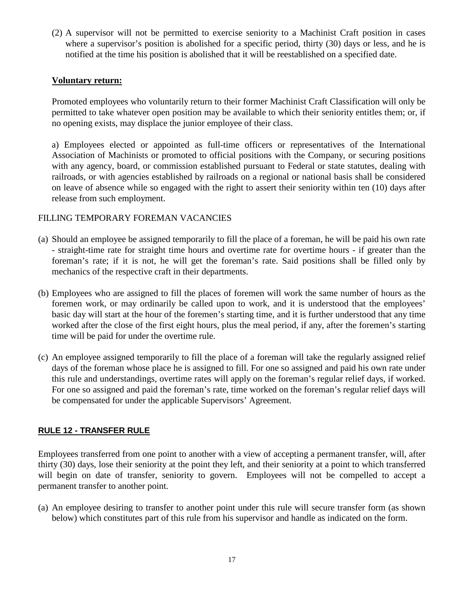(2) A supervisor will not be permitted to exercise seniority to a Machinist Craft position in cases where a supervisor's position is abolished for a specific period, thirty (30) days or less, and he is notified at the time his position is abolished that it will be reestablished on a specified date.

#### **Voluntary return:**

Promoted employees who voluntarily return to their former Machinist Craft Classification will only be permitted to take whatever open position may be available to which their seniority entitles them; or, if no opening exists, may displace the junior employee of their class.

a) Employees elected or appointed as full-time officers or representatives of the International Association of Machinists or promoted to official positions with the Company, or securing positions with any agency, board, or commission established pursuant to Federal or state statutes, dealing with railroads, or with agencies established by railroads on a regional or national basis shall be considered on leave of absence while so engaged with the right to assert their seniority within ten (10) days after release from such employment.

#### FILLING TEMPORARY FOREMAN VACANCIES

- (a) Should an employee be assigned temporarily to fill the place of a foreman, he will be paid his own rate - straight-time rate for straight time hours and overtime rate for overtime hours - if greater than the foreman's rate; if it is not, he will get the foreman's rate. Said positions shall be filled only by mechanics of the respective craft in their departments.
- (b) Employees who are assigned to fill the places of foremen will work the same number of hours as the foremen work, or may ordinarily be called upon to work, and it is understood that the employees' basic day will start at the hour of the foremen's starting time, and it is further understood that any time worked after the close of the first eight hours, plus the meal period, if any, after the foremen's starting time will be paid for under the overtime rule.
- (c) An employee assigned temporarily to fill the place of a foreman will take the regularly assigned relief days of the foreman whose place he is assigned to fill. For one so assigned and paid his own rate under this rule and understandings, overtime rates will apply on the foreman's regular relief days, if worked. For one so assigned and paid the foreman's rate, time worked on the foreman's regular relief days will be compensated for under the applicable Supervisors' Agreement.

#### <span id="page-16-0"></span>**RULE 12 - TRANSFER RULE**

Employees transferred from one point to another with a view of accepting a permanent transfer, will, after thirty (30) days, lose their seniority at the point they left, and their seniority at a point to which transferred will begin on date of transfer, seniority to govern. Employees will not be compelled to accept a permanent transfer to another point.

(a) An employee desiring to transfer to another point under this rule will secure transfer form (as shown below) which constitutes part of this rule from his supervisor and handle as indicated on the form.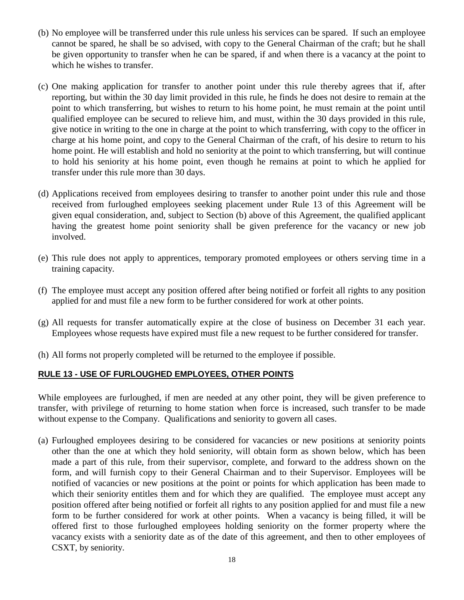- (b) No employee will be transferred under this rule unless his services can be spared. If such an employee cannot be spared, he shall be so advised, with copy to the General Chairman of the craft; but he shall be given opportunity to transfer when he can be spared, if and when there is a vacancy at the point to which he wishes to transfer.
- (c) One making application for transfer to another point under this rule thereby agrees that if, after reporting, but within the 30 day limit provided in this rule, he finds he does not desire to remain at the point to which transferring, but wishes to return to his home point, he must remain at the point until qualified employee can be secured to relieve him, and must, within the 30 days provided in this rule, give notice in writing to the one in charge at the point to which transferring, with copy to the officer in charge at his home point, and copy to the General Chairman of the craft, of his desire to return to his home point. He will establish and hold no seniority at the point to which transferring, but will continue to hold his seniority at his home point, even though he remains at point to which he applied for transfer under this rule more than 30 days.
- (d) Applications received from employees desiring to transfer to another point under this rule and those received from furloughed employees seeking placement under Rule 13 of this Agreement will be given equal consideration, and, subject to Section (b) above of this Agreement, the qualified applicant having the greatest home point seniority shall be given preference for the vacancy or new job involved.
- (e) This rule does not apply to apprentices, temporary promoted employees or others serving time in a training capacity.
- (f) The employee must accept any position offered after being notified or forfeit all rights to any position applied for and must file a new form to be further considered for work at other points.
- (g) All requests for transfer automatically expire at the close of business on December 31 each year. Employees whose requests have expired must file a new request to be further considered for transfer.
- <span id="page-17-0"></span>(h) All forms not properly completed will be returned to the employee if possible.

#### **RULE 13 - USE OF FURLOUGHED EMPLOYEES, OTHER POINTS**

While employees are furloughed, if men are needed at any other point, they will be given preference to transfer, with privilege of returning to home station when force is increased, such transfer to be made without expense to the Company. Qualifications and seniority to govern all cases.

(a) Furloughed employees desiring to be considered for vacancies or new positions at seniority points other than the one at which they hold seniority, will obtain form as shown below, which has been made a part of this rule, from their supervisor, complete, and forward to the address shown on the form, and will furnish copy to their General Chairman and to their Supervisor. Employees will be notified of vacancies or new positions at the point or points for which application has been made to which their seniority entitles them and for which they are qualified. The employee must accept any position offered after being notified or forfeit all rights to any position applied for and must file a new form to be further considered for work at other points. When a vacancy is being filled, it will be offered first to those furloughed employees holding seniority on the former property where the vacancy exists with a seniority date as of the date of this agreement, and then to other employees of CSXT, by seniority.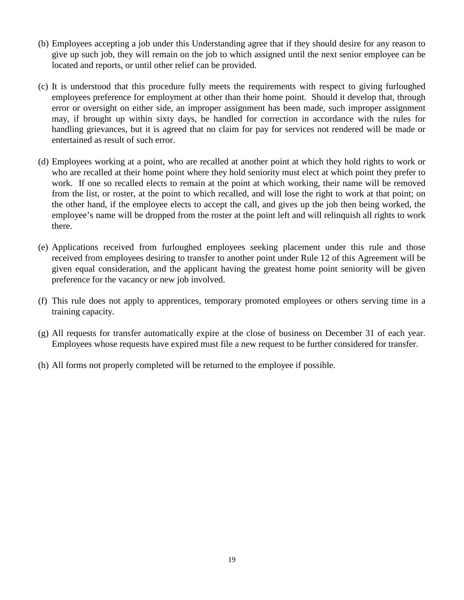- (b) Employees accepting a job under this Understanding agree that if they should desire for any reason to give up such job, they will remain on the job to which assigned until the next senior employee can be located and reports, or until other relief can be provided.
- (c) It is understood that this procedure fully meets the requirements with respect to giving furloughed employees preference for employment at other than their home point. Should it develop that, through error or oversight on either side, an improper assignment has been made, such improper assignment may, if brought up within sixty days, be handled for correction in accordance with the rules for handling grievances, but it is agreed that no claim for pay for services not rendered will be made or entertained as result of such error.
- (d) Employees working at a point, who are recalled at another point at which they hold rights to work or who are recalled at their home point where they hold seniority must elect at which point they prefer to work. If one so recalled elects to remain at the point at which working, their name will be removed from the list, or roster, at the point to which recalled, and will lose the right to work at that point; on the other hand, if the employee elects to accept the call, and gives up the job then being worked, the employee's name will be dropped from the roster at the point left and will relinquish all rights to work there.
- (e) Applications received from furloughed employees seeking placement under this rule and those received from employees desiring to transfer to another point under Rule 12 of this Agreement will be given equal consideration, and the applicant having the greatest home point seniority will be given preference for the vacancy or new job involved.
- (f) This rule does not apply to apprentices, temporary promoted employees or others serving time in a training capacity.
- (g) All requests for transfer automatically expire at the close of business on December 31 of each year. Employees whose requests have expired must file a new request to be further considered for transfer.
- (h) All forms not properly completed will be returned to the employee if possible.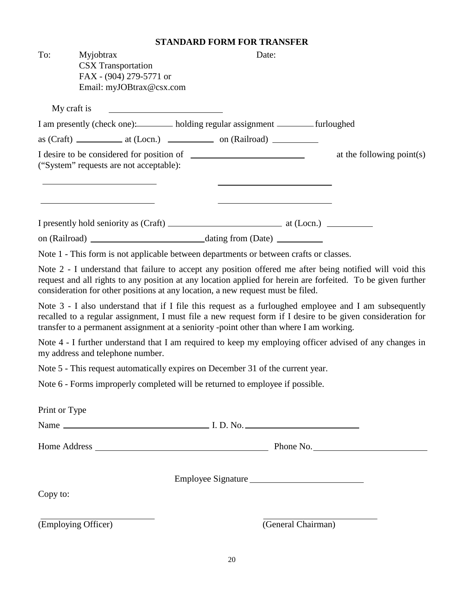#### **STANDARD FORM FOR TRANSFER**

|               |                                                                                                                                                                                                                                                                                                                | STANDARD FORM FOR TRANSFER |                              |
|---------------|----------------------------------------------------------------------------------------------------------------------------------------------------------------------------------------------------------------------------------------------------------------------------------------------------------------|----------------------------|------------------------------|
| To:           | Myjobtrax<br><b>CSX</b> Transportation<br>FAX - (904) 279-5771 or<br>Email: myJOBtrax@csx.com                                                                                                                                                                                                                  | Date:                      |                              |
|               | My craft is                                                                                                                                                                                                                                                                                                    |                            |                              |
|               | I am presently (check one): holding regular assignment ________ furloughed                                                                                                                                                                                                                                     |                            |                              |
|               |                                                                                                                                                                                                                                                                                                                |                            |                              |
|               | ("System" requests are not acceptable):                                                                                                                                                                                                                                                                        |                            | at the following point $(s)$ |
|               |                                                                                                                                                                                                                                                                                                                |                            |                              |
|               |                                                                                                                                                                                                                                                                                                                |                            |                              |
|               | Note 1 - This form is not applicable between departments or between crafts or classes.                                                                                                                                                                                                                         |                            |                              |
|               | Note 2 - I understand that failure to accept any position offered me after being notified will void this<br>request and all rights to any position at any location applied for herein are forfeited. To be given further<br>consideration for other positions at any location, a new request must be filed.    |                            |                              |
|               | Note 3 - I also understand that if I file this request as a furloughed employee and I am subsequently<br>recalled to a regular assignment, I must file a new request form if I desire to be given consideration for<br>transfer to a permanent assignment at a seniority -point other than where I am working. |                            |                              |
|               | Note 4 - I further understand that I am required to keep my employing officer advised of any changes in<br>my address and telephone number.                                                                                                                                                                    |                            |                              |
|               | Note 5 - This request automatically expires on December 31 of the current year.                                                                                                                                                                                                                                |                            |                              |
|               | Note 6 - Forms improperly completed will be returned to employee if possible.                                                                                                                                                                                                                                  |                            |                              |
| Print or Type |                                                                                                                                                                                                                                                                                                                |                            |                              |
|               |                                                                                                                                                                                                                                                                                                                |                            |                              |
|               |                                                                                                                                                                                                                                                                                                                |                            |                              |
| Copy to:      |                                                                                                                                                                                                                                                                                                                | Employee Signature         |                              |
|               |                                                                                                                                                                                                                                                                                                                |                            |                              |
|               | (Employing Officer)                                                                                                                                                                                                                                                                                            | (General Chairman)         |                              |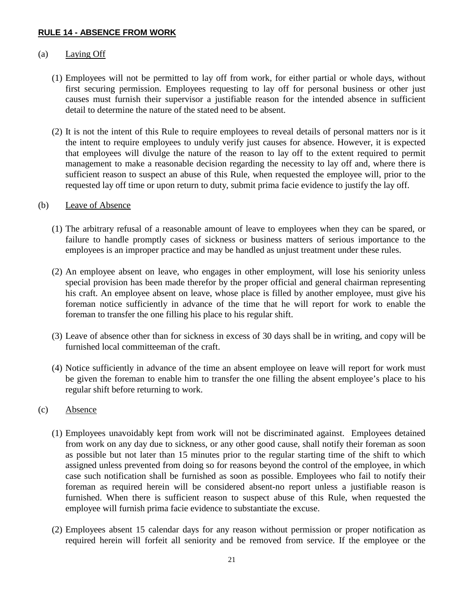#### <span id="page-20-0"></span>**RULE 14 - ABSENCE FROM WORK**

#### (a) Laying Off

- (1) Employees will not be permitted to lay off from work, for either partial or whole days, without first securing permission. Employees requesting to lay off for personal business or other just causes must furnish their supervisor a justifiable reason for the intended absence in sufficient detail to determine the nature of the stated need to be absent.
- (2) It is not the intent of this Rule to require employees to reveal details of personal matters nor is it the intent to require employees to unduly verify just causes for absence. However, it is expected that employees will divulge the nature of the reason to lay off to the extent required to permit management to make a reasonable decision regarding the necessity to lay off and, where there is sufficient reason to suspect an abuse of this Rule, when requested the employee will, prior to the requested lay off time or upon return to duty, submit prima facie evidence to justify the lay off.

#### (b) Leave of Absence

- (1) The arbitrary refusal of a reasonable amount of leave to employees when they can be spared, or failure to handle promptly cases of sickness or business matters of serious importance to the employees is an improper practice and may be handled as unjust treatment under these rules.
- (2) An employee absent on leave, who engages in other employment, will lose his seniority unless special provision has been made therefor by the proper official and general chairman representing his craft. An employee absent on leave, whose place is filled by another employee, must give his foreman notice sufficiently in advance of the time that he will report for work to enable the foreman to transfer the one filling his place to his regular shift.
- (3) Leave of absence other than for sickness in excess of 30 days shall be in writing, and copy will be furnished local committeeman of the craft.
- (4) Notice sufficiently in advance of the time an absent employee on leave will report for work must be given the foreman to enable him to transfer the one filling the absent employee's place to his regular shift before returning to work.

#### (c) Absence

- (1) Employees unavoidably kept from work will not be discriminated against. Employees detained from work on any day due to sickness, or any other good cause, shall notify their foreman as soon as possible but not later than 15 minutes prior to the regular starting time of the shift to which assigned unless prevented from doing so for reasons beyond the control of the employee, in which case such notification shall be furnished as soon as possible. Employees who fail to notify their foreman as required herein will be considered absent-no report unless a justifiable reason is furnished. When there is sufficient reason to suspect abuse of this Rule, when requested the employee will furnish prima facie evidence to substantiate the excuse.
- (2) Employees absent 15 calendar days for any reason without permission or proper notification as required herein will forfeit all seniority and be removed from service. If the employee or the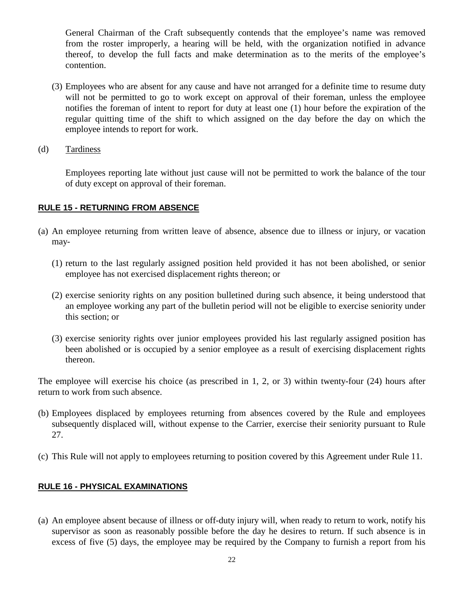General Chairman of the Craft subsequently contends that the employee's name was removed from the roster improperly, a hearing will be held, with the organization notified in advance thereof, to develop the full facts and make determination as to the merits of the employee's contention.

- (3) Employees who are absent for any cause and have not arranged for a definite time to resume duty will not be permitted to go to work except on approval of their foreman, unless the employee notifies the foreman of intent to report for duty at least one (1) hour before the expiration of the regular quitting time of the shift to which assigned on the day before the day on which the employee intends to report for work.
- (d) Tardiness

Employees reporting late without just cause will not be permitted to work the balance of the tour of duty except on approval of their foreman.

#### <span id="page-21-0"></span>**RULE 15 - RETURNING FROM ABSENCE**

- (a) An employee returning from written leave of absence, absence due to illness or injury, or vacation may-
	- (1) return to the last regularly assigned position held provided it has not been abolished, or senior employee has not exercised displacement rights thereon; or
	- (2) exercise seniority rights on any position bulletined during such absence, it being understood that an employee working any part of the bulletin period will not be eligible to exercise seniority under this section; or
	- (3) exercise seniority rights over junior employees provided his last regularly assigned position has been abolished or is occupied by a senior employee as a result of exercising displacement rights thereon.

The employee will exercise his choice (as prescribed in 1, 2, or 3) within twenty-four (24) hours after return to work from such absence.

- (b) Employees displaced by employees returning from absences covered by the Rule and employees subsequently displaced will, without expense to the Carrier, exercise their seniority pursuant to Rule 27.
- (c) This Rule will not apply to employees returning to position covered by this Agreement under Rule 11.

#### <span id="page-21-1"></span>**RULE 16 - PHYSICAL EXAMINATIONS**

(a) An employee absent because of illness or off-duty injury will, when ready to return to work, notify his supervisor as soon as reasonably possible before the day he desires to return. If such absence is in excess of five (5) days, the employee may be required by the Company to furnish a report from his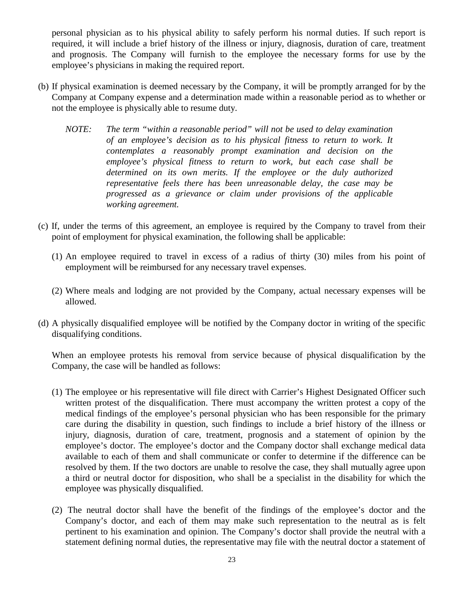personal physician as to his physical ability to safely perform his normal duties. If such report is required, it will include a brief history of the illness or injury, diagnosis, duration of care, treatment and prognosis. The Company will furnish to the employee the necessary forms for use by the employee's physicians in making the required report.

- (b) If physical examination is deemed necessary by the Company, it will be promptly arranged for by the Company at Company expense and a determination made within a reasonable period as to whether or not the employee is physically able to resume duty.
	- *NOTE: The term "within a reasonable period" will not be used to delay examination of an employee's decision as to his physical fitness to return to work. It contemplates a reasonably prompt examination and decision on the employee's physical fitness to return to work, but each case shall be determined on its own merits. If the employee or the duly authorized representative feels there has been unreasonable delay, the case may be progressed as a grievance or claim under provisions of the applicable working agreement.*
- (c) If, under the terms of this agreement, an employee is required by the Company to travel from their point of employment for physical examination, the following shall be applicable:
	- (1) An employee required to travel in excess of a radius of thirty (30) miles from his point of employment will be reimbursed for any necessary travel expenses.
	- (2) Where meals and lodging are not provided by the Company, actual necessary expenses will be allowed.
- (d) A physically disqualified employee will be notified by the Company doctor in writing of the specific disqualifying conditions.

When an employee protests his removal from service because of physical disqualification by the Company, the case will be handled as follows:

- (1) The employee or his representative will file direct with Carrier's Highest Designated Officer such written protest of the disqualification. There must accompany the written protest a copy of the medical findings of the employee's personal physician who has been responsible for the primary care during the disability in question, such findings to include a brief history of the illness or injury, diagnosis, duration of care, treatment, prognosis and a statement of opinion by the employee's doctor. The employee's doctor and the Company doctor shall exchange medical data available to each of them and shall communicate or confer to determine if the difference can be resolved by them. If the two doctors are unable to resolve the case, they shall mutually agree upon a third or neutral doctor for disposition, who shall be a specialist in the disability for which the employee was physically disqualified.
- (2) The neutral doctor shall have the benefit of the findings of the employee's doctor and the Company's doctor, and each of them may make such representation to the neutral as is felt pertinent to his examination and opinion. The Company's doctor shall provide the neutral with a statement defining normal duties, the representative may file with the neutral doctor a statement of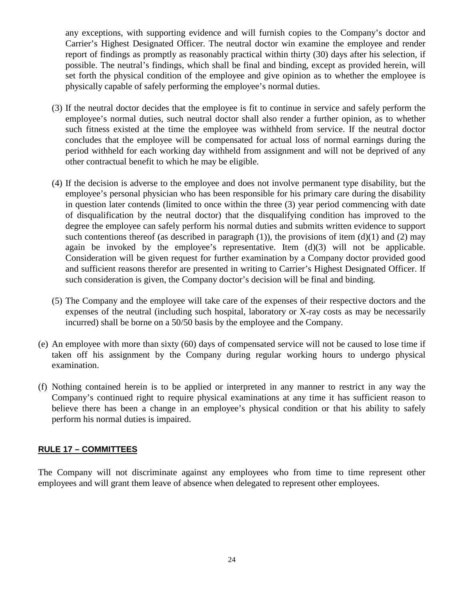any exceptions, with supporting evidence and will furnish copies to the Company's doctor and Carrier's Highest Designated Officer. The neutral doctor win examine the employee and render report of findings as promptly as reasonably practical within thirty (30) days after his selection, if possible. The neutral's findings, which shall be final and binding, except as provided herein, will set forth the physical condition of the employee and give opinion as to whether the employee is physically capable of safely performing the employee's normal duties.

- (3) If the neutral doctor decides that the employee is fit to continue in service and safely perform the employee's normal duties, such neutral doctor shall also render a further opinion, as to whether such fitness existed at the time the employee was withheld from service. If the neutral doctor concludes that the employee will be compensated for actual loss of normal earnings during the period withheld for each working day withheld from assignment and will not be deprived of any other contractual benefit to which he may be eligible.
- (4) If the decision is adverse to the employee and does not involve permanent type disability, but the employee's personal physician who has been responsible for his primary care during the disability in question later contends (limited to once within the three (3) year period commencing with date of disqualification by the neutral doctor) that the disqualifying condition has improved to the degree the employee can safely perform his normal duties and submits written evidence to support such contentions thereof (as described in paragraph (1)), the provisions of item (d)(1) and (2) may again be invoked by the employee's representative. Item (d)(3) will not be applicable. Consideration will be given request for further examination by a Company doctor provided good and sufficient reasons therefor are presented in writing to Carrier's Highest Designated Officer. If such consideration is given, the Company doctor's decision will be final and binding.
- (5) The Company and the employee will take care of the expenses of their respective doctors and the expenses of the neutral (including such hospital, laboratory or X-ray costs as may be necessarily incurred) shall be borne on a 50/50 basis by the employee and the Company.
- (e) An employee with more than sixty (60) days of compensated service will not be caused to lose time if taken off his assignment by the Company during regular working hours to undergo physical examination.
- (f) Nothing contained herein is to be applied or interpreted in any manner to restrict in any way the Company's continued right to require physical examinations at any time it has sufficient reason to believe there has been a change in an employee's physical condition or that his ability to safely perform his normal duties is impaired.

#### <span id="page-23-0"></span>**RULE 17 – COMMITTEES**

The Company will not discriminate against any employees who from time to time represent other employees and will grant them leave of absence when delegated to represent other employees.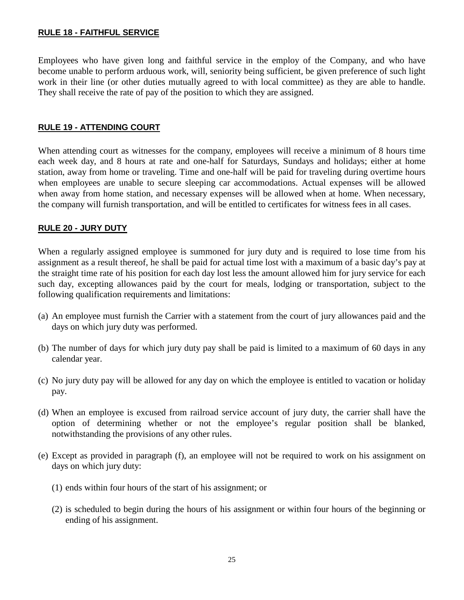#### <span id="page-24-0"></span>**RULE 18 - FAITHFUL SERVICE**

Employees who have given long and faithful service in the employ of the Company, and who have become unable to perform arduous work, will, seniority being sufficient, be given preference of such light work in their line (or other duties mutually agreed to with local committee) as they are able to handle. They shall receive the rate of pay of the position to which they are assigned.

#### <span id="page-24-1"></span>**RULE 19 - ATTENDING COURT**

When attending court as witnesses for the company, employees will receive a minimum of 8 hours time each week day, and 8 hours at rate and one-half for Saturdays, Sundays and holidays; either at home station, away from home or traveling. Time and one-half will be paid for traveling during overtime hours when employees are unable to secure sleeping car accommodations. Actual expenses will be allowed when away from home station, and necessary expenses will be allowed when at home. When necessary, the company will furnish transportation, and will be entitled to certificates for witness fees in all cases.

#### <span id="page-24-2"></span>**RULE 20 - JURY DUTY**

When a regularly assigned employee is summoned for jury duty and is required to lose time from his assignment as a result thereof, he shall be paid for actual time lost with a maximum of a basic day's pay at the straight time rate of his position for each day lost less the amount allowed him for jury service for each such day, excepting allowances paid by the court for meals, lodging or transportation, subject to the following qualification requirements and limitations:

- (a) An employee must furnish the Carrier with a statement from the court of jury allowances paid and the days on which jury duty was performed.
- (b) The number of days for which jury duty pay shall be paid is limited to a maximum of 60 days in any calendar year.
- (c) No jury duty pay will be allowed for any day on which the employee is entitled to vacation or holiday pay.
- (d) When an employee is excused from railroad service account of jury duty, the carrier shall have the option of determining whether or not the employee's regular position shall be blanked, notwithstanding the provisions of any other rules.
- (e) Except as provided in paragraph (f), an employee will not be required to work on his assignment on days on which jury duty:
	- (1) ends within four hours of the start of his assignment; or
	- (2) is scheduled to begin during the hours of his assignment or within four hours of the beginning or ending of his assignment.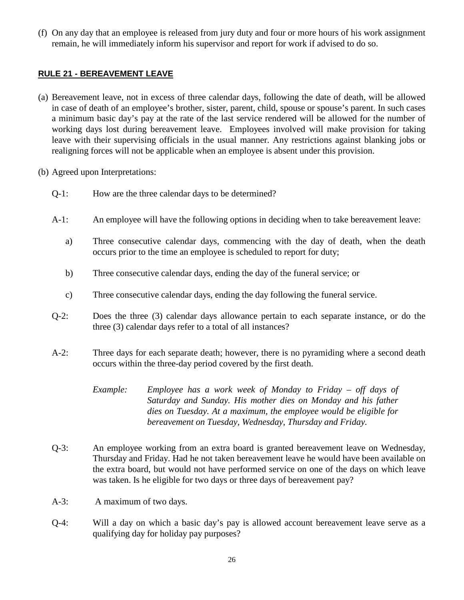(f) On any day that an employee is released from jury duty and four or more hours of his work assignment remain, he will immediately inform his supervisor and report for work if advised to do so.

#### <span id="page-25-0"></span>**RULE 21 - BEREAVEMENT LEAVE**

- (a) Bereavement leave, not in excess of three calendar days, following the date of death, will be allowed in case of death of an employee's brother, sister, parent, child, spouse or spouse's parent. In such cases a minimum basic day's pay at the rate of the last service rendered will be allowed for the number of working days lost during bereavement leave. Employees involved will make provision for taking leave with their supervising officials in the usual manner. Any restrictions against blanking jobs or realigning forces will not be applicable when an employee is absent under this provision.
- (b) Agreed upon Interpretations:
	- Q-1: How are the three calendar days to be determined?
	- A-1: An employee will have the following options in deciding when to take bereavement leave:
		- a) Three consecutive calendar days, commencing with the day of death, when the death occurs prior to the time an employee is scheduled to report for duty;
		- b) Three consecutive calendar days, ending the day of the funeral service; or
		- c) Three consecutive calendar days, ending the day following the funeral service.
	- Q-2: Does the three (3) calendar days allowance pertain to each separate instance, or do the three (3) calendar days refer to a total of all instances?
	- A-2: Three days for each separate death; however, there is no pyramiding where a second death occurs within the three-day period covered by the first death.
		- *Example: Employee has a work week of Monday to Friday – off days of Saturday and Sunday. His mother dies on Monday and his father dies on Tuesday. At a maximum, the employee would be eligible for bereavement on Tuesday, Wednesday, Thursday and Friday.*
	- Q-3: An employee working from an extra board is granted bereavement leave on Wednesday, Thursday and Friday. Had he not taken bereavement leave he would have been available on the extra board, but would not have performed service on one of the days on which leave was taken. Is he eligible for two days or three days of bereavement pay?
	- A-3: A maximum of two days.
	- Q-4: Will a day on which a basic day's pay is allowed account bereavement leave serve as a qualifying day for holiday pay purposes?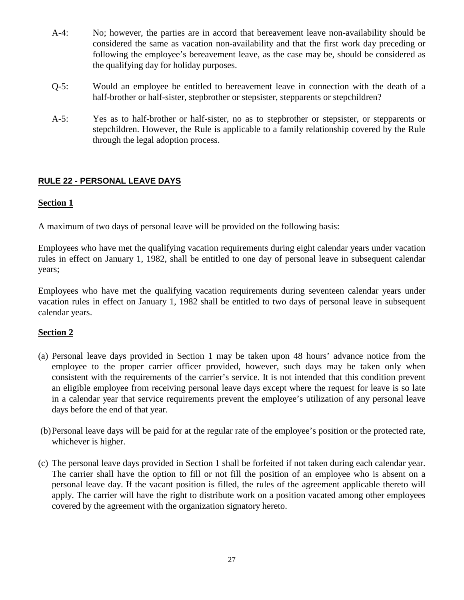- A-4: No; however, the parties are in accord that bereavement leave non-availability should be considered the same as vacation non-availability and that the first work day preceding or following the employee's bereavement leave, as the case may be, should be considered as the qualifying day for holiday purposes.
- Q-5: Would an employee be entitled to bereavement leave in connection with the death of a half-brother or half-sister, stepbrother or stepsister, stepparents or stepchildren?
- A-5: Yes as to half-brother or half-sister, no as to stepbrother or stepsister, or stepparents or stepchildren. However, the Rule is applicable to a family relationship covered by the Rule through the legal adoption process.

#### <span id="page-26-0"></span>**RULE 22 - PERSONAL LEAVE DAYS**

#### **Section 1**

A maximum of two days of personal leave will be provided on the following basis:

Employees who have met the qualifying vacation requirements during eight calendar years under vacation rules in effect on January 1, 1982, shall be entitled to one day of personal leave in subsequent calendar years;

Employees who have met the qualifying vacation requirements during seventeen calendar years under vacation rules in effect on January 1, 1982 shall be entitled to two days of personal leave in subsequent calendar years.

#### **Section 2**

- (a) Personal leave days provided in Section 1 may be taken upon 48 hours' advance notice from the employee to the proper carrier officer provided, however, such days may be taken only when consistent with the requirements of the carrier's service. It is not intended that this condition prevent an eligible employee from receiving personal leave days except where the request for leave is so late in a calendar year that service requirements prevent the employee's utilization of any personal leave days before the end of that year.
- (b)Personal leave days will be paid for at the regular rate of the employee's position or the protected rate, whichever is higher.
- (c) The personal leave days provided in Section 1 shall be forfeited if not taken during each calendar year. The carrier shall have the option to fill or not fill the position of an employee who is absent on a personal leave day. If the vacant position is filled, the rules of the agreement applicable thereto will apply. The carrier will have the right to distribute work on a position vacated among other employees covered by the agreement with the organization signatory hereto.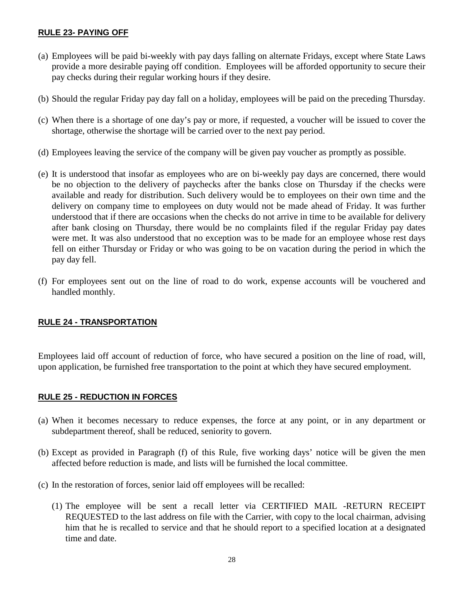#### <span id="page-27-0"></span>**RULE 23- PAYING OFF**

- (a) Employees will be paid bi-weekly with pay days falling on alternate Fridays, except where State Laws provide a more desirable paying off condition. Employees will be afforded opportunity to secure their pay checks during their regular working hours if they desire.
- (b) Should the regular Friday pay day fall on a holiday, employees will be paid on the preceding Thursday.
- (c) When there is a shortage of one day's pay or more, if requested, a voucher will be issued to cover the shortage, otherwise the shortage will be carried over to the next pay period.
- (d) Employees leaving the service of the company will be given pay voucher as promptly as possible.
- (e) It is understood that insofar as employees who are on bi-weekly pay days are concerned, there would be no objection to the delivery of paychecks after the banks close on Thursday if the checks were available and ready for distribution. Such delivery would be to employees on their own time and the delivery on company time to employees on duty would not be made ahead of Friday. It was further understood that if there are occasions when the checks do not arrive in time to be available for delivery after bank closing on Thursday, there would be no complaints filed if the regular Friday pay dates were met. It was also understood that no exception was to be made for an employee whose rest days fell on either Thursday or Friday or who was going to be on vacation during the period in which the pay day fell.
- (f) For employees sent out on the line of road to do work, expense accounts will be vouchered and handled monthly.

#### <span id="page-27-1"></span>**RULE 24 - TRANSPORTATION**

Employees laid off account of reduction of force, who have secured a position on the line of road, will, upon application, be furnished free transportation to the point at which they have secured employment.

#### <span id="page-27-2"></span>**RULE 25 - REDUCTION IN FORCES**

- (a) When it becomes necessary to reduce expenses, the force at any point, or in any department or subdepartment thereof, shall be reduced, seniority to govern.
- (b) Except as provided in Paragraph (f) of this Rule, five working days' notice will be given the men affected before reduction is made, and lists will be furnished the local committee.
- (c) In the restoration of forces, senior laid off employees will be recalled:
	- (1) The employee will be sent a recall letter via CERTIFIED MAIL -RETURN RECEIPT REQUESTED to the last address on file with the Carrier, with copy to the local chairman, advising him that he is recalled to service and that he should report to a specified location at a designated time and date.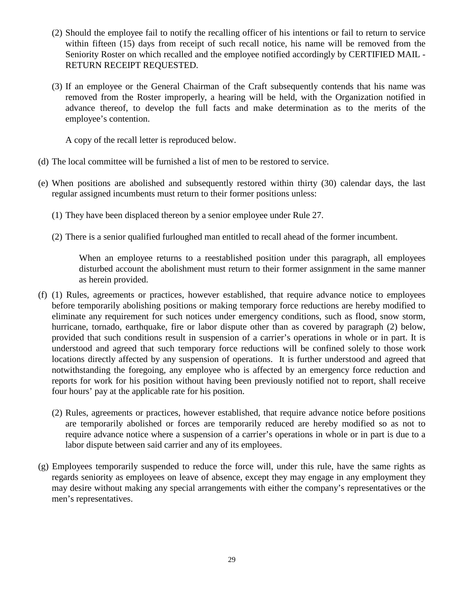- (2) Should the employee fail to notify the recalling officer of his intentions or fail to return to service within fifteen (15) days from receipt of such recall notice, his name will be removed from the Seniority Roster on which recalled and the employee notified accordingly by CERTIFIED MAIL - RETURN RECEIPT REQUESTED.
- (3) If an employee or the General Chairman of the Craft subsequently contends that his name was removed from the Roster improperly, a hearing will be held, with the Organization notified in advance thereof, to develop the full facts and make determination as to the merits of the employee's contention.

A copy of the recall letter is reproduced below.

- (d) The local committee will be furnished a list of men to be restored to service.
- (e) When positions are abolished and subsequently restored within thirty (30) calendar days, the last regular assigned incumbents must return to their former positions unless:
	- (1) They have been displaced thereon by a senior employee under Rule 27.
	- (2) There is a senior qualified furloughed man entitled to recall ahead of the former incumbent.

When an employee returns to a reestablished position under this paragraph, all employees disturbed account the abolishment must return to their former assignment in the same manner as herein provided.

- (f) (1) Rules, agreements or practices, however established, that require advance notice to employees before temporarily abolishing positions or making temporary force reductions are hereby modified to eliminate any requirement for such notices under emergency conditions, such as flood, snow storm, hurricane, tornado, earthquake, fire or labor dispute other than as covered by paragraph (2) below, provided that such conditions result in suspension of a carrier's operations in whole or in part. It is understood and agreed that such temporary force reductions will be confined solely to those work locations directly affected by any suspension of operations. It is further understood and agreed that notwithstanding the foregoing, any employee who is affected by an emergency force reduction and reports for work for his position without having been previously notified not to report, shall receive four hours' pay at the applicable rate for his position.
	- (2) Rules, agreements or practices, however established, that require advance notice before positions are temporarily abolished or forces are temporarily reduced are hereby modified so as not to require advance notice where a suspension of a carrier's operations in whole or in part is due to a labor dispute between said carrier and any of its employees.
- (g) Employees temporarily suspended to reduce the force will, under this rule, have the same rights as regards seniority as employees on leave of absence, except they may engage in any employment they may desire without making any special arrangements with either the company's representatives or the men's representatives.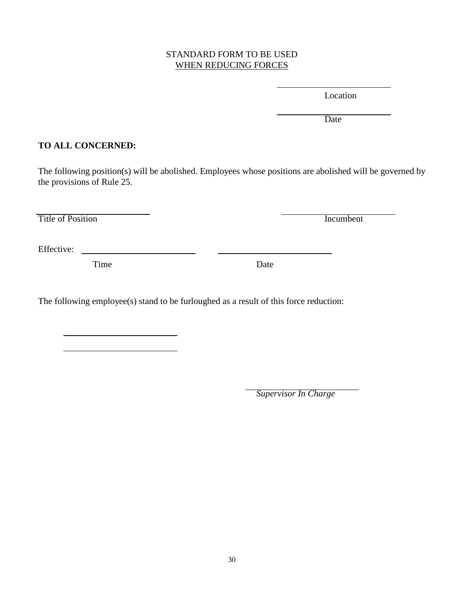#### STANDARD FORM TO BE USED WHEN REDUCING FORCES

Location

Date

#### **TO ALL CONCERNED:**

The following position(s) will be abolished. Employees whose positions are abolished will be governed by the provisions of Rule 25.

Title of Position Incumbent

Effective:

Time Date

The following employee(s) stand to be furloughed as a result of this force reduction:

*Supervisor In Charge*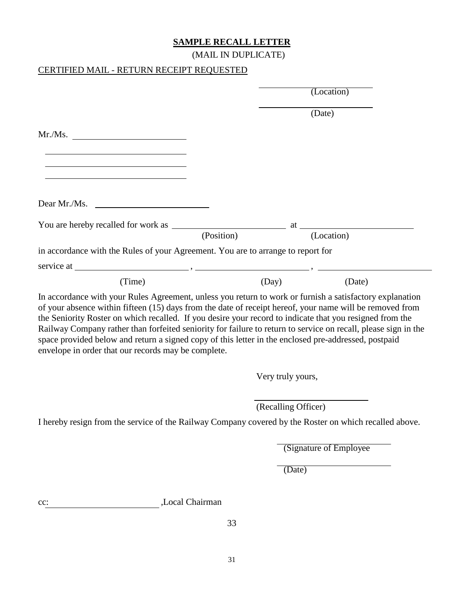#### **SAMPLE RECALL LETTER**

(MAIL IN DUPLICATE)

#### CERTIFIED MAIL - RETURN RECEIPT REQUESTED

|                                                                                                                                                                                                                                                                               |            |                     | (Location)              |  |
|-------------------------------------------------------------------------------------------------------------------------------------------------------------------------------------------------------------------------------------------------------------------------------|------------|---------------------|-------------------------|--|
|                                                                                                                                                                                                                                                                               |            |                     | (Date)                  |  |
| Mr.Ms.                                                                                                                                                                                                                                                                        |            |                     |                         |  |
|                                                                                                                                                                                                                                                                               |            |                     |                         |  |
|                                                                                                                                                                                                                                                                               |            |                     |                         |  |
| Dear Mr./Ms.                                                                                                                                                                                                                                                                  |            |                     |                         |  |
|                                                                                                                                                                                                                                                                               | (Position) |                     | (Location)              |  |
| in accordance with the Rules of your Agreement. You are to arrange to report for                                                                                                                                                                                              |            |                     |                         |  |
|                                                                                                                                                                                                                                                                               |            |                     |                         |  |
| (Time)                                                                                                                                                                                                                                                                        |            | (Day)               | (Date)                  |  |
| Railway Company rather than forfeited seniority for failure to return to service on recall, please sign in the<br>space provided below and return a signed copy of this letter in the enclosed pre-addressed, postpaid<br>envelope in order that our records may be complete. |            |                     |                         |  |
|                                                                                                                                                                                                                                                                               |            | Very truly yours,   |                         |  |
|                                                                                                                                                                                                                                                                               |            | (Recalling Officer) |                         |  |
| I hereby resign from the service of the Railway Company covered by the Roster on which recalled above                                                                                                                                                                         |            |                     |                         |  |
|                                                                                                                                                                                                                                                                               |            |                     | (Signature of Employee) |  |
|                                                                                                                                                                                                                                                                               |            | (Date)              |                         |  |
| ,Local Chairman<br>$cc$ :                                                                                                                                                                                                                                                     |            |                     |                         |  |
|                                                                                                                                                                                                                                                                               | 33         |                     |                         |  |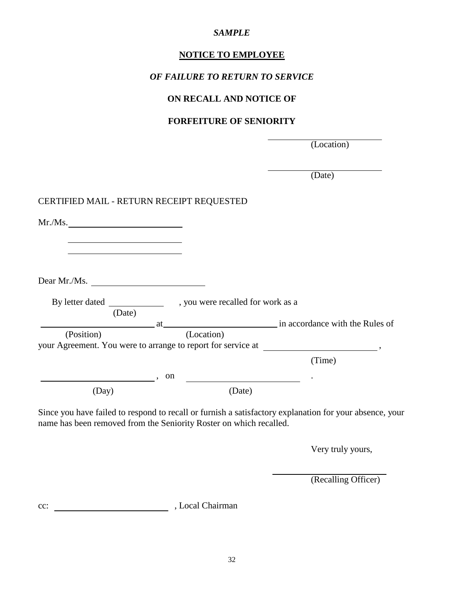#### *SAMPLE*

#### **NOTICE TO EMPLOYEE**

#### *OF FAILURE TO RETURN TO SERVICE*

#### **ON RECALL AND NOTICE OF**

#### **FORFEITURE OF SENIORITY**

(Location)

(Date)

#### CERTIFIED MAIL - RETURN RECEIPT REQUESTED

| , you were recalled for work as a<br>in accordance with the Rules of<br>at the contract of the contract of the contract of the contract of the contract of the contract of the contract of the contract of the contract of the contract of the contract of the contract of the contract of the contrac<br>your Agreement. You were to arrange to report for service at<br>(Time) |
|----------------------------------------------------------------------------------------------------------------------------------------------------------------------------------------------------------------------------------------------------------------------------------------------------------------------------------------------------------------------------------|
|                                                                                                                                                                                                                                                                                                                                                                                  |
|                                                                                                                                                                                                                                                                                                                                                                                  |
|                                                                                                                                                                                                                                                                                                                                                                                  |
|                                                                                                                                                                                                                                                                                                                                                                                  |
|                                                                                                                                                                                                                                                                                                                                                                                  |
|                                                                                                                                                                                                                                                                                                                                                                                  |
|                                                                                                                                                                                                                                                                                                                                                                                  |
|                                                                                                                                                                                                                                                                                                                                                                                  |
|                                                                                                                                                                                                                                                                                                                                                                                  |
|                                                                                                                                                                                                                                                                                                                                                                                  |
|                                                                                                                                                                                                                                                                                                                                                                                  |
|                                                                                                                                                                                                                                                                                                                                                                                  |

Since you have failed to respond to recall or furnish a satisfactory explanation for your absence, your name has been removed from the Seniority Roster on which recalled.

Very truly yours,

(Recalling Officer)

cc: Local Chairman , Local Chairman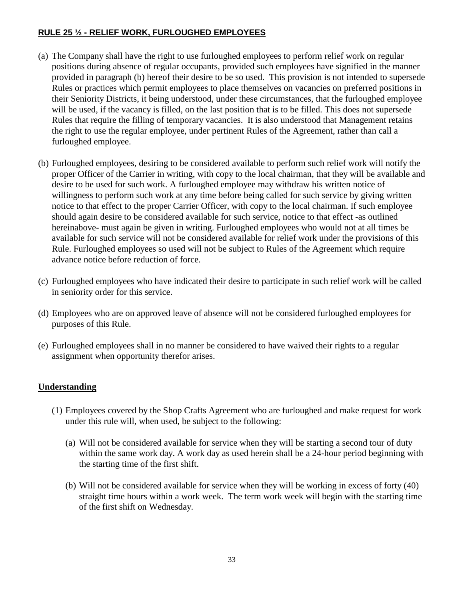#### <span id="page-32-0"></span>**RULE 25 ½ - RELIEF WORK, FURLOUGHED EMPLOYEES**

- (a) The Company shall have the right to use furloughed employees to perform relief work on regular positions during absence of regular occupants, provided such employees have signified in the manner provided in paragraph (b) hereof their desire to be so used. This provision is not intended to supersede Rules or practices which permit employees to place themselves on vacancies on preferred positions in their Seniority Districts, it being understood, under these circumstances, that the furloughed employee will be used, if the vacancy is filled, on the last position that is to be filled. This does not supersede Rules that require the filling of temporary vacancies. It is also understood that Management retains the right to use the regular employee, under pertinent Rules of the Agreement, rather than call a furloughed employee.
- (b) Furloughed employees, desiring to be considered available to perform such relief work will notify the proper Officer of the Carrier in writing, with copy to the local chairman, that they will be available and desire to be used for such work. A furloughed employee may withdraw his written notice of willingness to perform such work at any time before being called for such service by giving written notice to that effect to the proper Carrier Officer, with copy to the local chairman. If such employee should again desire to be considered available for such service, notice to that effect -as outlined hereinabove- must again be given in writing. Furloughed employees who would not at all times be available for such service will not be considered available for relief work under the provisions of this Rule. Furloughed employees so used will not be subject to Rules of the Agreement which require advance notice before reduction of force.
- (c) Furloughed employees who have indicated their desire to participate in such relief work will be called in seniority order for this service.
- (d) Employees who are on approved leave of absence will not be considered furloughed employees for purposes of this Rule.
- (e) Furloughed employees shall in no manner be considered to have waived their rights to a regular assignment when opportunity therefor arises.

#### **Understanding**

- (1) Employees covered by the Shop Crafts Agreement who are furloughed and make request for work under this rule will, when used, be subject to the following:
	- (a) Will not be considered available for service when they will be starting a second tour of duty within the same work day. A work day as used herein shall be a 24-hour period beginning with the starting time of the first shift.
	- (b) Will not be considered available for service when they will be working in excess of forty (40) straight time hours within a work week. The term work week will begin with the starting time of the first shift on Wednesday.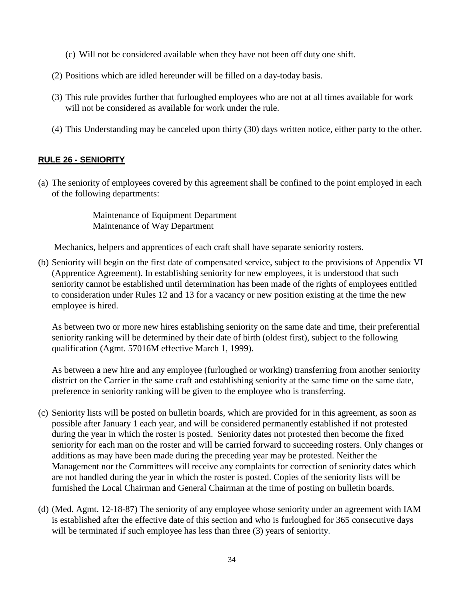- (c) Will not be considered available when they have not been off duty one shift.
- (2) Positions which are idled hereunder will be filled on a day-today basis.
- (3) This rule provides further that furloughed employees who are not at all times available for work will not be considered as available for work under the rule.
- (4) This Understanding may be canceled upon thirty (30) days written notice, either party to the other.

#### <span id="page-33-0"></span>**RULE 26 - SENIORITY**

(a) The seniority of employees covered by this agreement shall be confined to the point employed in each of the following departments:

> Maintenance of Equipment Department Maintenance of Way Department

Mechanics, helpers and apprentices of each craft shall have separate seniority rosters.

(b) Seniority will begin on the first date of compensated service, subject to the provisions of Appendix VI (Apprentice Agreement). In establishing seniority for new employees, it is understood that such seniority cannot be established until determination has been made of the rights of employees entitled to consideration under Rules 12 and 13 for a vacancy or new position existing at the time the new employee is hired.

As between two or more new hires establishing seniority on the same date and time, their preferential seniority ranking will be determined by their date of birth (oldest first), subject to the following qualification (Agmt. 57016M effective March 1, 1999).

As between a new hire and any employee (furloughed or working) transferring from another seniority district on the Carrier in the same craft and establishing seniority at the same time on the same date, preference in seniority ranking will be given to the employee who is transferring.

- (c) Seniority lists will be posted on bulletin boards, which are provided for in this agreement, as soon as possible after January 1 each year, and will be considered permanently established if not protested during the year in which the roster is posted. Seniority dates not protested then become the fixed seniority for each man on the roster and will be carried forward to succeeding rosters. Only changes or additions as may have been made during the preceding year may be protested. Neither the Management nor the Committees will receive any complaints for correction of seniority dates which are not handled during the year in which the roster is posted. Copies of the seniority lists will be furnished the Local Chairman and General Chairman at the time of posting on bulletin boards.
- (d) (Med. Agmt. 12-18-87) The seniority of any employee whose seniority under an agreement with IAM is established after the effective date of this section and who is furloughed for 365 consecutive days will be terminated if such employee has less than three (3) years of seniority.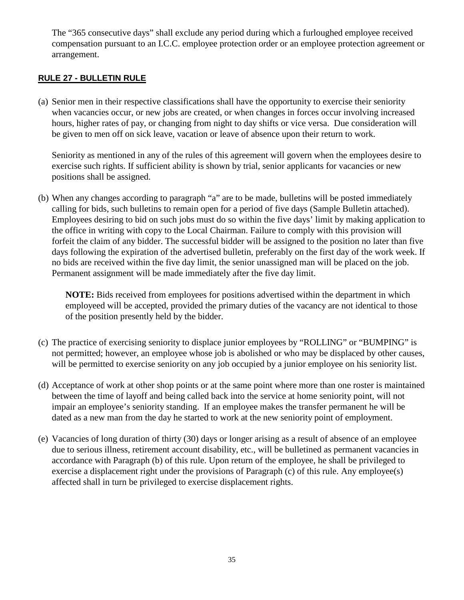The "365 consecutive days" shall exclude any period during which a furloughed employee received compensation pursuant to an I.C.C. employee protection order or an employee protection agreement or arrangement.

#### <span id="page-34-0"></span>**RULE 27 - BULLETIN RULE**

(a) Senior men in their respective classifications shall have the opportunity to exercise their seniority when vacancies occur, or new jobs are created, or when changes in forces occur involving increased hours, higher rates of pay, or changing from night to day shifts or vice versa. Due consideration will be given to men off on sick leave, vacation or leave of absence upon their return to work.

Seniority as mentioned in any of the rules of this agreement will govern when the employees desire to exercise such rights. If sufficient ability is shown by trial, senior applicants for vacancies or new positions shall be assigned.

(b) When any changes according to paragraph "a" are to be made, bulletins will be posted immediately calling for bids, such bulletins to remain open for a period of five days (Sample Bulletin attached). Employees desiring to bid on such jobs must do so within the five days' limit by making application to the office in writing with copy to the Local Chairman. Failure to comply with this provision will forfeit the claim of any bidder. The successful bidder will be assigned to the position no later than five days following the expiration of the advertised bulletin, preferably on the first day of the work week. If no bids are received within the five day limit, the senior unassigned man will be placed on the job. Permanent assignment will be made immediately after the five day limit.

**NOTE:** Bids received from employees for positions advertised within the department in which employeed will be accepted, provided the primary duties of the vacancy are not identical to those of the position presently held by the bidder.

- (c) The practice of exercising seniority to displace junior employees by "ROLLING" or "BUMPING" is not permitted; however, an employee whose job is abolished or who may be displaced by other causes, will be permitted to exercise seniority on any job occupied by a junior employee on his seniority list.
- (d) Acceptance of work at other shop points or at the same point where more than one roster is maintained between the time of layoff and being called back into the service at home seniority point, will not impair an employee's seniority standing. If an employee makes the transfer permanent he will be dated as a new man from the day he started to work at the new seniority point of employment.
- (e) Vacancies of long duration of thirty (30) days or longer arising as a result of absence of an employee due to serious illness, retirement account disability, etc., will be bulletined as permanent vacancies in accordance with Paragraph (b) of this rule. Upon return of the employee, he shall be privileged to exercise a displacement right under the provisions of Paragraph (c) of this rule. Any employee(s) affected shall in turn be privileged to exercise displacement rights.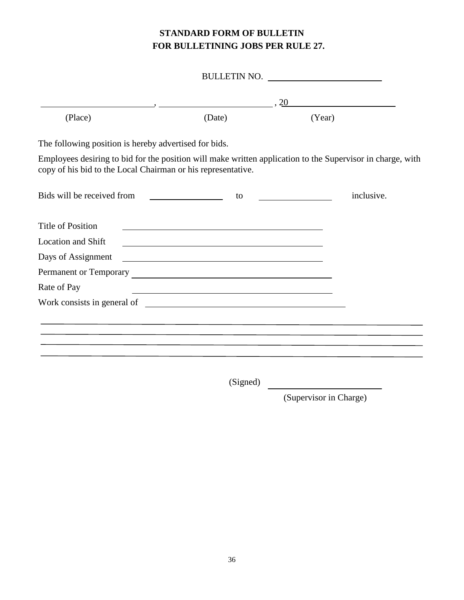#### **STANDARD FORM OF BULLETIN FOR BULLETINING JOBS PER RULE 27.**

|                                                              |                                                                                                                       | BULLETIN NO.                                                                                               |
|--------------------------------------------------------------|-----------------------------------------------------------------------------------------------------------------------|------------------------------------------------------------------------------------------------------------|
|                                                              |                                                                                                                       | $\cdot$ $\frac{20}{\sqrt{25}}$                                                                             |
| (Place)                                                      | (Date)                                                                                                                | (Year)                                                                                                     |
| The following position is hereby advertised for bids.        |                                                                                                                       |                                                                                                            |
| copy of his bid to the Local Chairman or his representative. |                                                                                                                       | Employees desiring to bid for the position will make written application to the Supervisor in charge, with |
|                                                              | to                                                                                                                    | inclusive.                                                                                                 |
| <b>Title of Position</b>                                     |                                                                                                                       |                                                                                                            |
| <b>Location and Shift</b>                                    | <u> 1989 - Johann Stoff, Amerikaansk politiker († 1908)</u>                                                           |                                                                                                            |
| Days of Assignment                                           | <u> 1989 - Johann Barbara, martin amerikan basal dan berasal dan berasal dalam basal dalam basal dalam basal dala</u> |                                                                                                            |
|                                                              |                                                                                                                       |                                                                                                            |
| Rate of Pay                                                  | <u> 1989 - Johann Barn, amerikansk politiker (d. 1989)</u>                                                            |                                                                                                            |
|                                                              |                                                                                                                       |                                                                                                            |
|                                                              |                                                                                                                       |                                                                                                            |
|                                                              |                                                                                                                       |                                                                                                            |
|                                                              |                                                                                                                       |                                                                                                            |
|                                                              |                                                                                                                       |                                                                                                            |

(Signed)

(Supervisor in Charge)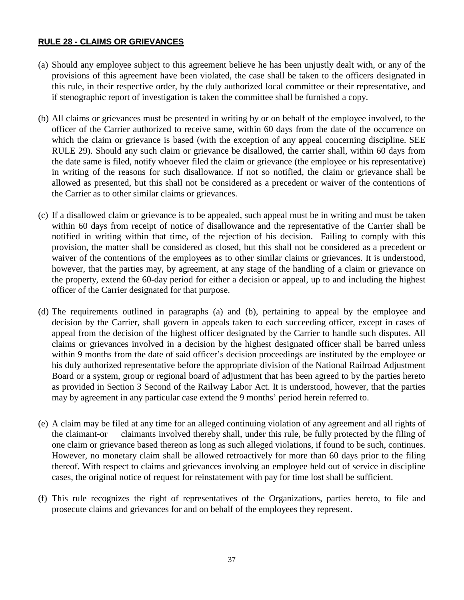### **RULE 28 - CLAIMS OR GRIEVANCES**

- (a) Should any employee subject to this agreement believe he has been unjustly dealt with, or any of the provisions of this agreement have been violated, the case shall be taken to the officers designated in this rule, in their respective order, by the duly authorized local committee or their representative, and if stenographic report of investigation is taken the committee shall be furnished a copy.
- (b) All claims or grievances must be presented in writing by or on behalf of the employee involved, to the officer of the Carrier authorized to receive same, within 60 days from the date of the occurrence on which the claim or grievance is based (with the exception of any appeal concerning discipline. SEE RULE 29). Should any such claim or grievance be disallowed, the carrier shall, within 60 days from the date same is filed, notify whoever filed the claim or grievance (the employee or his representative) in writing of the reasons for such disallowance. If not so notified, the claim or grievance shall be allowed as presented, but this shall not be considered as a precedent or waiver of the contentions of the Carrier as to other similar claims or grievances.
- (c) If a disallowed claim or grievance is to be appealed, such appeal must be in writing and must be taken within 60 days from receipt of notice of disallowance and the representative of the Carrier shall be notified in writing within that time, of the rejection of his decision. Failing to comply with this provision, the matter shall be considered as closed, but this shall not be considered as a precedent or waiver of the contentions of the employees as to other similar claims or grievances. It is understood, however, that the parties may, by agreement, at any stage of the handling of a claim or grievance on the property, extend the 60-day period for either a decision or appeal, up to and including the highest officer of the Carrier designated for that purpose.
- (d) The requirements outlined in paragraphs (a) and (b), pertaining to appeal by the employee and decision by the Carrier, shall govern in appeals taken to each succeeding officer, except in cases of appeal from the decision of the highest officer designated by the Carrier to handle such disputes. All claims or grievances involved in a decision by the highest designated officer shall be barred unless within 9 months from the date of said officer's decision proceedings are instituted by the employee or his duly authorized representative before the appropriate division of the National Railroad Adjustment Board or a system, group or regional board of adjustment that has been agreed to by the parties hereto as provided in Section 3 Second of the Railway Labor Act. It is understood, however, that the parties may by agreement in any particular case extend the 9 months' period herein referred to.
- (e) A claim may be filed at any time for an alleged continuing violation of any agreement and all rights of the claimant-or claimants involved thereby shall, under this rule, be fully protected by the filing of one claim or grievance based thereon as long as such alleged violations, if found to be such, continues. However, no monetary claim shall be allowed retroactively for more than 60 days prior to the filing thereof. With respect to claims and grievances involving an employee held out of service in discipline cases, the original notice of request for reinstatement with pay for time lost shall be sufficient.
- (f) This rule recognizes the right of representatives of the Organizations, parties hereto, to file and prosecute claims and grievances for and on behalf of the employees they represent.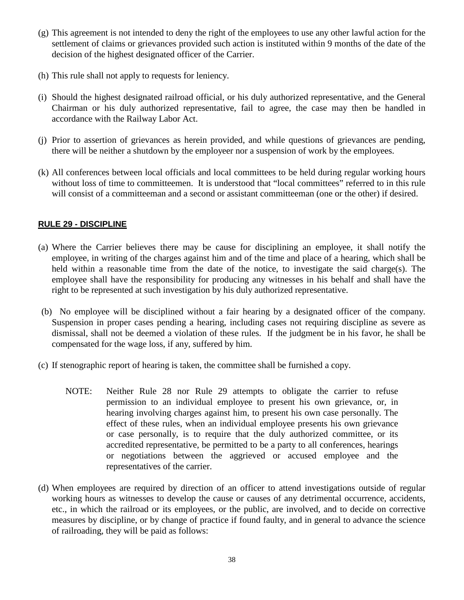- (g) This agreement is not intended to deny the right of the employees to use any other lawful action for the settlement of claims or grievances provided such action is instituted within 9 months of the date of the decision of the highest designated officer of the Carrier.
- (h) This rule shall not apply to requests for leniency.
- (i) Should the highest designated railroad official, or his duly authorized representative, and the General Chairman or his duly authorized representative, fail to agree, the case may then be handled in accordance with the Railway Labor Act.
- (j) Prior to assertion of grievances as herein provided, and while questions of grievances are pending, there will be neither a shutdown by the employeer nor a suspension of work by the employees.
- (k) All conferences between local officials and local committees to be held during regular working hours without loss of time to committeemen. It is understood that "local committees" referred to in this rule will consist of a committeeman and a second or assistant committeeman (one or the other) if desired.

### **RULE 29 - DISCIPLINE**

- (a) Where the Carrier believes there may be cause for disciplining an employee, it shall notify the employee, in writing of the charges against him and of the time and place of a hearing, which shall be held within a reasonable time from the date of the notice, to investigate the said charge(s). The employee shall have the responsibility for producing any witnesses in his behalf and shall have the right to be represented at such investigation by his duly authorized representative.
- (b) No employee will be disciplined without a fair hearing by a designated officer of the company. Suspension in proper cases pending a hearing, including cases not requiring discipline as severe as dismissal, shall not be deemed a violation of these rules. If the judgment be in his favor, he shall be compensated for the wage loss, if any, suffered by him.
- (c) If stenographic report of hearing is taken, the committee shall be furnished a copy.
	- NOTE: Neither Rule 28 nor Rule 29 attempts to obligate the carrier to refuse permission to an individual employee to present his own grievance, or, in hearing involving charges against him, to present his own case personally. The effect of these rules, when an individual employee presents his own grievance or case personally, is to require that the duly authorized committee, or its accredited representative, be permitted to be a party to all conferences, hearings or negotiations between the aggrieved or accused employee and the representatives of the carrier.
- (d) When employees are required by direction of an officer to attend investigations outside of regular working hours as witnesses to develop the cause or causes of any detrimental occurrence, accidents, etc., in which the railroad or its employees, or the public, are involved, and to decide on corrective measures by discipline, or by change of practice if found faulty, and in general to advance the science of railroading, they will be paid as follows: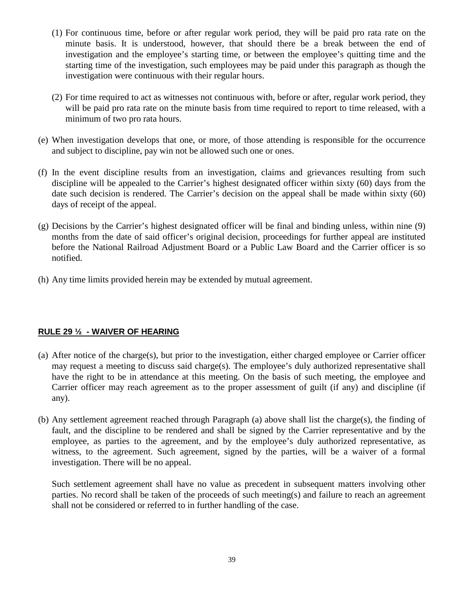- (1) For continuous time, before or after regular work period, they will be paid pro rata rate on the minute basis. It is understood, however, that should there be a break between the end of investigation and the employee's starting time, or between the employee's quitting time and the starting time of the investigation, such employees may be paid under this paragraph as though the investigation were continuous with their regular hours.
- (2) For time required to act as witnesses not continuous with, before or after, regular work period, they will be paid pro rata rate on the minute basis from time required to report to time released, with a minimum of two pro rata hours.
- (e) When investigation develops that one, or more, of those attending is responsible for the occurrence and subject to discipline, pay win not be allowed such one or ones.
- (f) In the event discipline results from an investigation, claims and grievances resulting from such discipline will be appealed to the Carrier's highest designated officer within sixty (60) days from the date such decision is rendered. The Carrier's decision on the appeal shall be made within sixty (60) days of receipt of the appeal.
- (g) Decisions by the Carrier's highest designated officer will be final and binding unless, within nine (9) months from the date of said officer's original decision, proceedings for further appeal are instituted before the National Railroad Adjustment Board or a Public Law Board and the Carrier officer is so notified.
- (h) Any time limits provided herein may be extended by mutual agreement.

## **RULE 29 ½ - WAIVER OF HEARING**

- (a) After notice of the charge(s), but prior to the investigation, either charged employee or Carrier officer may request a meeting to discuss said charge(s). The employee's duly authorized representative shall have the right to be in attendance at this meeting. On the basis of such meeting, the employee and Carrier officer may reach agreement as to the proper assessment of guilt (if any) and discipline (if any).
- (b) Any settlement agreement reached through Paragraph (a) above shall list the charge(s), the finding of fault, and the discipline to be rendered and shall be signed by the Carrier representative and by the employee, as parties to the agreement, and by the employee's duly authorized representative, as witness, to the agreement. Such agreement, signed by the parties, will be a waiver of a formal investigation. There will be no appeal.

Such settlement agreement shall have no value as precedent in subsequent matters involving other parties. No record shall be taken of the proceeds of such meeting(s) and failure to reach an agreement shall not be considered or referred to in further handling of the case.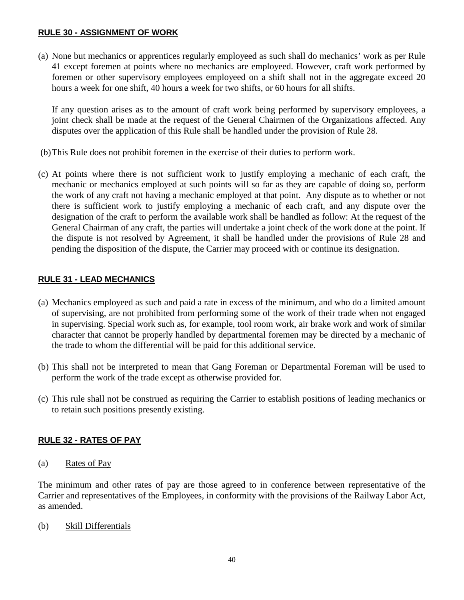### **RULE 30 - ASSIGNMENT OF WORK**

(a) None but mechanics or apprentices regularly employeed as such shall do mechanics' work as per Rule 41 except foremen at points where no mechanics are employeed. However, craft work performed by foremen or other supervisory employees employeed on a shift shall not in the aggregate exceed 20 hours a week for one shift, 40 hours a week for two shifts, or 60 hours for all shifts.

If any question arises as to the amount of craft work being performed by supervisory employees, a joint check shall be made at the request of the General Chairmen of the Organizations affected. Any disputes over the application of this Rule shall be handled under the provision of Rule 28.

- (b)This Rule does not prohibit foremen in the exercise of their duties to perform work.
- (c) At points where there is not sufficient work to justify employing a mechanic of each craft, the mechanic or mechanics employed at such points will so far as they are capable of doing so, perform the work of any craft not having a mechanic employed at that point. Any dispute as to whether or not there is sufficient work to justify employing a mechanic of each craft, and any dispute over the designation of the craft to perform the available work shall be handled as follow: At the request of the General Chairman of any craft, the parties will undertake a joint check of the work done at the point. If the dispute is not resolved by Agreement, it shall be handled under the provisions of Rule 28 and pending the disposition of the dispute, the Carrier may proceed with or continue its designation.

## **RULE 31 - LEAD MECHANICS**

- (a) Mechanics employeed as such and paid a rate in excess of the minimum, and who do a limited amount of supervising, are not prohibited from performing some of the work of their trade when not engaged in supervising. Special work such as, for example, tool room work, air brake work and work of similar character that cannot be properly handled by departmental foremen may be directed by a mechanic of the trade to whom the differential will be paid for this additional service.
- (b) This shall not be interpreted to mean that Gang Foreman or Departmental Foreman will be used to perform the work of the trade except as otherwise provided for.
- (c) This rule shall not be construed as requiring the Carrier to establish positions of leading mechanics or to retain such positions presently existing.

# **RULE 32 - RATES OF PAY**

(a) Rates of Pay

The minimum and other rates of pay are those agreed to in conference between representative of the Carrier and representatives of the Employees, in conformity with the provisions of the Railway Labor Act, as amended.

(b) Skill Differentials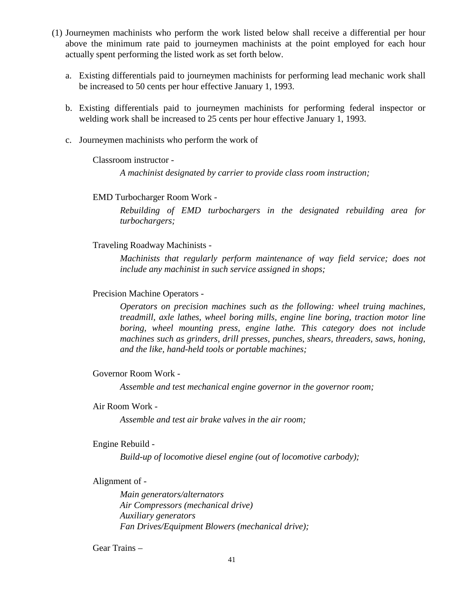- (1) Journeymen machinists who perform the work listed below shall receive a differential per hour above the minimum rate paid to journeymen machinists at the point employed for each hour actually spent performing the listed work as set forth below.
	- a. Existing differentials paid to journeymen machinists for performing lead mechanic work shall be increased to 50 cents per hour effective January 1, 1993.
	- b. Existing differentials paid to journeymen machinists for performing federal inspector or welding work shall be increased to 25 cents per hour effective January 1, 1993.
	- c. Journeymen machinists who perform the work of

Classroom instructor -

*A machinist designated by carrier to provide class room instruction;*

EMD Turbocharger Room Work -

*Rebuilding of EMD turbochargers in the designated rebuilding area for turbochargers;*

#### Traveling Roadway Machinists -

*Machinists that regularly perform maintenance of way field service; does not include any machinist in such service assigned in shops;*

#### Precision Machine Operators -

*Operators on precision machines such as the following: wheel truing machines, treadmill, axle lathes, wheel boring mills, engine line boring, traction motor line boring, wheel mounting press, engine lathe. This category does not include machines such as grinders, drill presses, punches, shears, threaders, saws, honing, and the like, hand-held tools or portable machines;*

#### Governor Room Work -

*Assemble and test mechanical engine governor in the governor room;*

#### Air Room Work -

*Assemble and test air brake valves in the air room;*

#### Engine Rebuild -

*Build-up of locomotive diesel engine (out of locomotive carbody);*

#### Alignment of -

*Main generators/alternators Air Compressors (mechanical drive) Auxiliary generators Fan Drives/Equipment Blowers (mechanical drive);*

#### Gear Trains –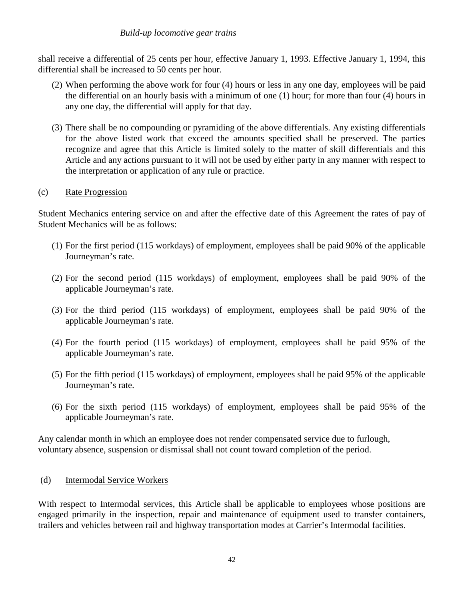#### *Build-up locomotive gear trains*

shall receive a differential of 25 cents per hour, effective January 1, 1993. Effective January 1, 1994, this differential shall be increased to 50 cents per hour.

- (2) When performing the above work for four (4) hours or less in any one day, employees will be paid the differential on an hourly basis with a minimum of one (1) hour; for more than four (4) hours in any one day, the differential will apply for that day.
- (3) There shall be no compounding or pyramiding of the above differentials. Any existing differentials for the above listed work that exceed the amounts specified shall be preserved. The parties recognize and agree that this Article is limited solely to the matter of skill differentials and this Article and any actions pursuant to it will not be used by either party in any manner with respect to the interpretation or application of any rule or practice.

### (c) Rate Progression

Student Mechanics entering service on and after the effective date of this Agreement the rates of pay of Student Mechanics will be as follows:

- (1) For the first period (115 workdays) of employment, employees shall be paid 90% of the applicable Journeyman's rate.
- (2) For the second period (115 workdays) of employment, employees shall be paid 90% of the applicable Journeyman's rate.
- (3) For the third period (115 workdays) of employment, employees shall be paid 90% of the applicable Journeyman's rate.
- (4) For the fourth period (115 workdays) of employment, employees shall be paid 95% of the applicable Journeyman's rate.
- (5) For the fifth period (115 workdays) of employment, employees shall be paid 95% of the applicable Journeyman's rate.
- (6) For the sixth period (115 workdays) of employment, employees shall be paid 95% of the applicable Journeyman's rate.

Any calendar month in which an employee does not render compensated service due to furlough, voluntary absence, suspension or dismissal shall not count toward completion of the period.

#### (d) Intermodal Service Workers

With respect to Intermodal services, this Article shall be applicable to employees whose positions are engaged primarily in the inspection, repair and maintenance of equipment used to transfer containers, trailers and vehicles between rail and highway transportation modes at Carrier's Intermodal facilities.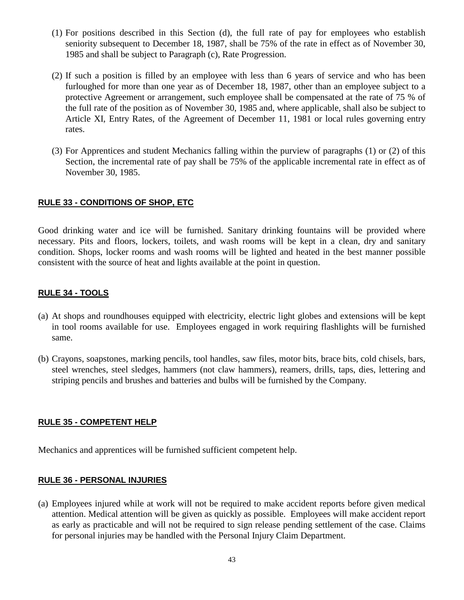- (1) For positions described in this Section (d), the full rate of pay for employees who establish seniority subsequent to December 18, 1987, shall be 75% of the rate in effect as of November 30, 1985 and shall be subject to Paragraph (c), Rate Progression.
- (2) If such a position is filled by an employee with less than 6 years of service and who has been furloughed for more than one year as of December 18, 1987, other than an employee subject to a protective Agreement or arrangement, such employee shall be compensated at the rate of 75 % of the full rate of the position as of November 30, 1985 and, where applicable, shall also be subject to Article XI, Entry Rates, of the Agreement of December 11, 1981 or local rules governing entry rates.
- (3) For Apprentices and student Mechanics falling within the purview of paragraphs (1) or (2) of this Section, the incremental rate of pay shall be 75% of the applicable incremental rate in effect as of November 30, 1985.

### **RULE 33 - CONDITIONS OF SHOP, ETC**

Good drinking water and ice will be furnished. Sanitary drinking fountains will be provided where necessary. Pits and floors, lockers, toilets, and wash rooms will be kept in a clean, dry and sanitary condition. Shops, locker rooms and wash rooms will be lighted and heated in the best manner possible consistent with the source of heat and lights available at the point in question.

### **RULE 34 - TOOLS**

- (a) At shops and roundhouses equipped with electricity, electric light globes and extensions will be kept in tool rooms available for use. Employees engaged in work requiring flashlights will be furnished same.
- (b) Crayons, soapstones, marking pencils, tool handles, saw files, motor bits, brace bits, cold chisels, bars, steel wrenches, steel sledges, hammers (not claw hammers), reamers, drills, taps, dies, lettering and striping pencils and brushes and batteries and bulbs will be furnished by the Company.

#### **RULE 35 - COMPETENT HELP**

Mechanics and apprentices will be furnished sufficient competent help.

#### **RULE 36 - PERSONAL INJURIES**

(a) Employees injured while at work will not be required to make accident reports before given medical attention. Medical attention will be given as quickly as possible. Employees will make accident report as early as practicable and will not be required to sign release pending settlement of the case. Claims for personal injuries may be handled with the Personal Injury Claim Department.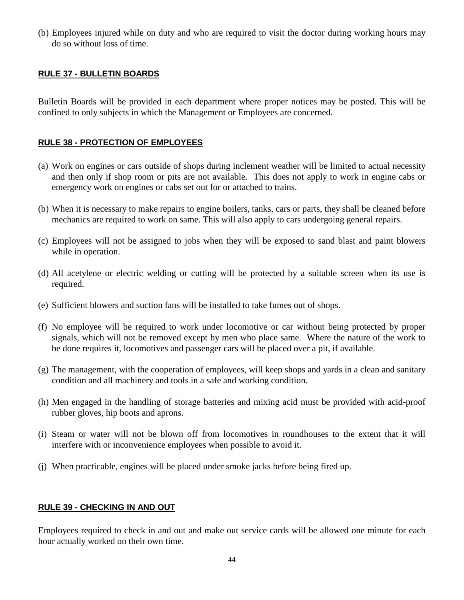(b) Employees injured while on duty and who are required to visit the doctor during working hours may do so without loss of time.

### **RULE 37 - BULLETIN BOARDS**

Bulletin Boards will be provided in each department where proper notices may be posted. This will be confined to only subjects in which the Management or Employees are concerned.

### **RULE 38 - PROTECTION OF EMPLOYEES**

- (a) Work on engines or cars outside of shops during inclement weather will be limited to actual necessity and then only if shop room or pits are not available. This does not apply to work in engine cabs or emergency work on engines or cabs set out for or attached to trains.
- (b) When it is necessary to make repairs to engine boilers, tanks, cars or parts, they shall be cleaned before mechanics are required to work on same. This will also apply to cars undergoing general repairs.
- (c) Employees will not be assigned to jobs when they will be exposed to sand blast and paint blowers while in operation.
- (d) All acetylene or electric welding or cutting will be protected by a suitable screen when its use is required.
- (e) Sufficient blowers and suction fans will be installed to take fumes out of shops.
- (f) No employee will be required to work under locomotive or car without being protected by proper signals, which will not be removed except by men who place same. Where the nature of the work to be done requires it, locomotives and passenger cars will be placed over a pit, if available.
- (g) The management, with the cooperation of employees, will keep shops and yards in a clean and sanitary condition and all machinery and tools in a safe and working condition.
- (h) Men engaged in the handling of storage batteries and mixing acid must be provided with acid-proof rubber gloves, hip boots and aprons.
- (i) Steam or water will not be blown off from locomotives in roundhouses to the extent that it will interfere with or inconvenience employees when possible to avoid it.
- (j) When practicable, engines will be placed under smoke jacks before being fired up.

#### **RULE 39 - CHECKING IN AND OUT**

Employees required to check in and out and make out service cards will be allowed one minute for each hour actually worked on their own time.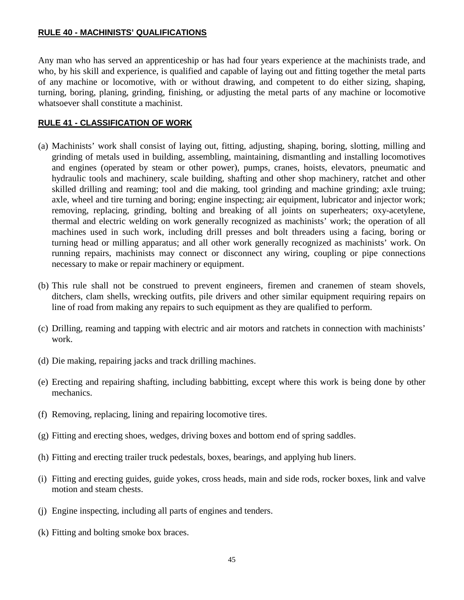#### **RULE 40 - MACHINISTS' QUALIFICATIONS**

Any man who has served an apprenticeship or has had four years experience at the machinists trade, and who, by his skill and experience, is qualified and capable of laying out and fitting together the metal parts of any machine or locomotive, with or without drawing, and competent to do either sizing, shaping, turning, boring, planing, grinding, finishing, or adjusting the metal parts of any machine or locomotive whatsoever shall constitute a machinist.

#### **RULE 41 - CLASSIFICATION OF WORK**

- (a) Machinists' work shall consist of laying out, fitting, adjusting, shaping, boring, slotting, milling and grinding of metals used in building, assembling, maintaining, dismantling and installing locomotives and engines (operated by steam or other power), pumps, cranes, hoists, elevators, pneumatic and hydraulic tools and machinery, scale building, shafting and other shop machinery, ratchet and other skilled drilling and reaming; tool and die making, tool grinding and machine grinding; axle truing; axle, wheel and tire turning and boring; engine inspecting; air equipment, lubricator and injector work; removing, replacing, grinding, bolting and breaking of all joints on superheaters; oxy-acetylene, thermal and electric welding on work generally recognized as machinists' work; the operation of all machines used in such work, including drill presses and bolt threaders using a facing, boring or turning head or milling apparatus; and all other work generally recognized as machinists' work. On running repairs, machinists may connect or disconnect any wiring, coupling or pipe connections necessary to make or repair machinery or equipment.
- (b) This rule shall not be construed to prevent engineers, firemen and cranemen of steam shovels, ditchers, clam shells, wrecking outfits, pile drivers and other similar equipment requiring repairs on line of road from making any repairs to such equipment as they are qualified to perform.
- (c) Drilling, reaming and tapping with electric and air motors and ratchets in connection with machinists' work.
- (d) Die making, repairing jacks and track drilling machines.
- (e) Erecting and repairing shafting, including babbitting, except where this work is being done by other mechanics.
- (f) Removing, replacing, lining and repairing locomotive tires.
- (g) Fitting and erecting shoes, wedges, driving boxes and bottom end of spring saddles.
- (h) Fitting and erecting trailer truck pedestals, boxes, bearings, and applying hub liners.
- (i) Fitting and erecting guides, guide yokes, cross heads, main and side rods, rocker boxes, link and valve motion and steam chests.
- (j) Engine inspecting, including all parts of engines and tenders.
- (k) Fitting and bolting smoke box braces.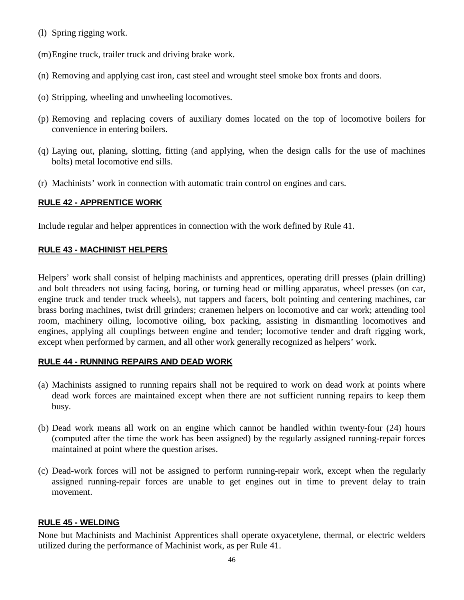(l) Spring rigging work.

(m)Engine truck, trailer truck and driving brake work.

- (n) Removing and applying cast iron, cast steel and wrought steel smoke box fronts and doors.
- (o) Stripping, wheeling and unwheeling locomotives.
- (p) Removing and replacing covers of auxiliary domes located on the top of locomotive boilers for convenience in entering boilers.
- (q) Laying out, planing, slotting, fitting (and applying, when the design calls for the use of machines bolts) metal locomotive end sills.
- (r) Machinists' work in connection with automatic train control on engines and cars.

### **RULE 42 - APPRENTICE WORK**

Include regular and helper apprentices in connection with the work defined by Rule 41.

### **RULE 43 - MACHINIST HELPERS**

Helpers' work shall consist of helping machinists and apprentices, operating drill presses (plain drilling) and bolt threaders not using facing, boring, or turning head or milling apparatus, wheel presses (on car, engine truck and tender truck wheels), nut tappers and facers, bolt pointing and centering machines, car brass boring machines, twist drill grinders; cranemen helpers on locomotive and car work; attending tool room, machinery oiling, locomotive oiling, box packing, assisting in dismantling locomotives and engines, applying all couplings between engine and tender; locomotive tender and draft rigging work, except when performed by carmen, and all other work generally recognized as helpers' work.

#### **RULE 44 - RUNNING REPAIRS AND DEAD WORK**

- (a) Machinists assigned to running repairs shall not be required to work on dead work at points where dead work forces are maintained except when there are not sufficient running repairs to keep them busy.
- (b) Dead work means all work on an engine which cannot be handled within twenty-four (24) hours (computed after the time the work has been assigned) by the regularly assigned running-repair forces maintained at point where the question arises.
- (c) Dead-work forces will not be assigned to perform running-repair work, except when the regularly assigned running-repair forces are unable to get engines out in time to prevent delay to train movement.

#### **RULE 45 - WELDING**

None but Machinists and Machinist Apprentices shall operate oxyacetylene, thermal, or electric welders utilized during the performance of Machinist work, as per Rule 41.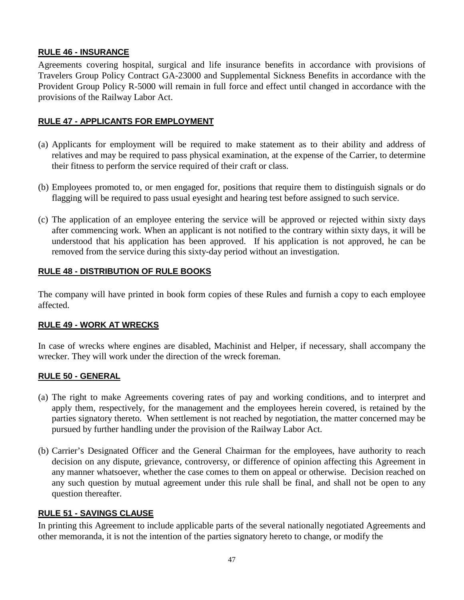# **RULE 46 - INSURANCE**

Agreements covering hospital, surgical and life insurance benefits in accordance with provisions of Travelers Group Policy Contract GA-23000 and Supplemental Sickness Benefits in accordance with the Provident Group Policy R-5000 will remain in full force and effect until changed in accordance with the provisions of the Railway Labor Act.

## **RULE 47 - APPLICANTS FOR EMPLOYMENT**

- (a) Applicants for employment will be required to make statement as to their ability and address of relatives and may be required to pass physical examination, at the expense of the Carrier, to determine their fitness to perform the service required of their craft or class.
- (b) Employees promoted to, or men engaged for, positions that require them to distinguish signals or do flagging will be required to pass usual eyesight and hearing test before assigned to such service.
- (c) The application of an employee entering the service will be approved or rejected within sixty days after commencing work. When an applicant is not notified to the contrary within sixty days, it will be understood that his application has been approved. If his application is not approved, he can be removed from the service during this sixty-day period without an investigation.

# **RULE 48 - DISTRIBUTION OF RULE BOOKS**

The company will have printed in book form copies of these Rules and furnish a copy to each employee affected.

## **RULE 49 - WORK AT WRECKS**

In case of wrecks where engines are disabled, Machinist and Helper, if necessary, shall accompany the wrecker. They will work under the direction of the wreck foreman.

## **RULE 50 - GENERAL**

- (a) The right to make Agreements covering rates of pay and working conditions, and to interpret and apply them, respectively, for the management and the employees herein covered, is retained by the parties signatory thereto. When settlement is not reached by negotiation, the matter concerned may be pursued by further handling under the provision of the Railway Labor Act.
- (b) Carrier's Designated Officer and the General Chairman for the employees, have authority to reach decision on any dispute, grievance, controversy, or difference of opinion affecting this Agreement in any manner whatsoever, whether the case comes to them on appeal or otherwise. Decision reached on any such question by mutual agreement under this rule shall be final, and shall not be open to any question thereafter.

## **RULE 51 - SAVINGS CLAUSE**

In printing this Agreement to include applicable parts of the several nationally negotiated Agreements and other memoranda, it is not the intention of the parties signatory hereto to change, or modify the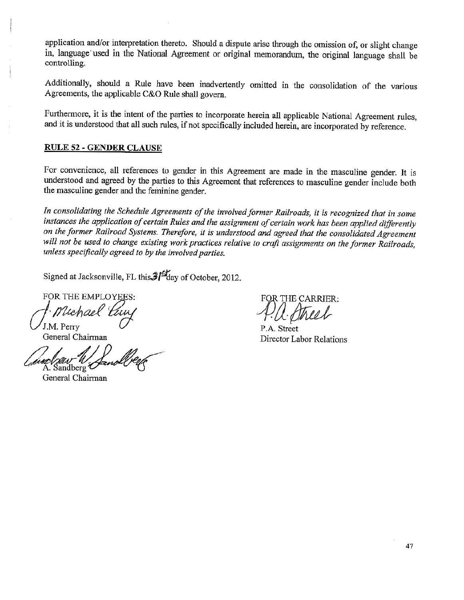application and/or interpretation thereto. Should a dispute arise through the omission of, or slight change in, language used in the National Agreement or original memorandum, the original language shall be controlling.

Additionally, should a Rule have been inadvertently omitted in the consolidation of the various Agreements, the applicable C&O Rule shall govern.

Furthermore, it is the intent of the parties to incorporate herein all applicable National Agreement rules, and it is understood that all such rules, if not specifically included herein, are incorporated by reference.

#### **RULE 52 - GENDER CLAUSE**

For convenience, all references to gender in this Agreement are made in the masculine gender. It is understood and agreed by the parties to this Agreement that references to masculine gender include both the masculine gender and the feminine gender.

In consolidating the Schedule Agreements of the involved former Railroads, it is recognized that in some instances the application of certain Rules and the assignment of certain work has been applied differently on the former Railroad Systems. Therefore, it is understood and agreed that the consolidated Agreement will not be used to change existing work practices relative to craft assignments on the former Railroads, unless specifically agreed to by the involved parties.

Signed at Jacksonville, FL this  $3\frac{3}{4}$  day of October, 2012.

FOR THE EMPLOYEES: Uchael

J.M. Perry General Chairman

A. Sandberg

General Chairman

FOR THE CARRIER:

P.A. Street Director Labor Relations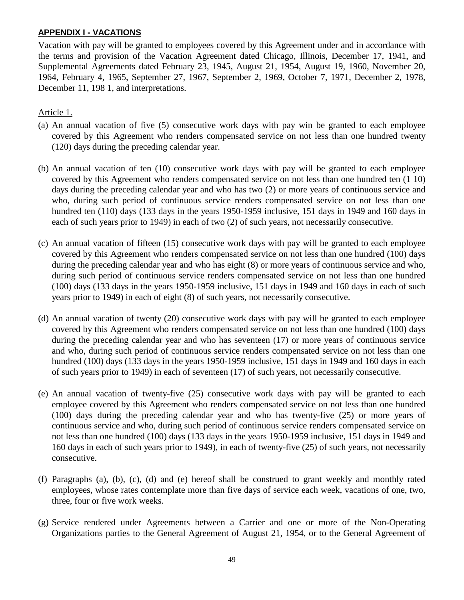#### **APPENDIX I - VACATIONS**

Vacation with pay will be granted to employees covered by this Agreement under and in accordance with the terms and provision of the Vacation Agreement dated Chicago, Illinois, December 17, 1941, and Supplemental Agreements dated February 23, 1945, August 21, 1954, August 19, 1960, November 20, 1964, February 4, 1965, September 27, 1967, September 2, 1969, October 7, 1971, December 2, 1978, December 11, 198 1, and interpretations.

## Article 1.

- (a) An annual vacation of five (5) consecutive work days with pay win be granted to each employee covered by this Agreement who renders compensated service on not less than one hundred twenty (120) days during the preceding calendar year.
- (b) An annual vacation of ten (10) consecutive work days with pay will be granted to each employee covered by this Agreement who renders compensated service on not less than one hundred ten (1 10) days during the preceding calendar year and who has two (2) or more years of continuous service and who, during such period of continuous service renders compensated service on not less than one hundred ten (110) days (133 days in the years 1950-1959 inclusive, 151 days in 1949 and 160 days in each of such years prior to 1949) in each of two (2) of such years, not necessarily consecutive.
- (c) An annual vacation of fifteen (15) consecutive work days with pay will be granted to each employee covered by this Agreement who renders compensated service on not less than one hundred (100) days during the preceding calendar year and who has eight (8) or more years of continuous service and who, during such period of continuous service renders compensated service on not less than one hundred (100) days (133 days in the years 1950-1959 inclusive, 151 days in 1949 and 160 days in each of such years prior to 1949) in each of eight (8) of such years, not necessarily consecutive.
- (d) An annual vacation of twenty (20) consecutive work days with pay will be granted to each employee covered by this Agreement who renders compensated service on not less than one hundred (100) days during the preceding calendar year and who has seventeen (17) or more years of continuous service and who, during such period of continuous service renders compensated service on not less than one hundred (100) days (133 days in the years 1950-1959 inclusive, 151 days in 1949 and 160 days in each of such years prior to 1949) in each of seventeen (17) of such years, not necessarily consecutive.
- (e) An annual vacation of twenty-five (25) consecutive work days with pay will be granted to each employee covered by this Agreement who renders compensated service on not less than one hundred (100) days during the preceding calendar year and who has twenty-five (25) or more years of continuous service and who, during such period of continuous service renders compensated service on not less than one hundred (100) days (133 days in the years 1950-1959 inclusive, 151 days in 1949 and 160 days in each of such years prior to 1949), in each of twenty-five (25) of such years, not necessarily consecutive.
- (f) Paragraphs (a), (b), (c), (d) and (e) hereof shall be construed to grant weekly and monthly rated employees, whose rates contemplate more than five days of service each week, vacations of one, two, three, four or five work weeks.
- (g) Service rendered under Agreements between a Carrier and one or more of the Non-Operating Organizations parties to the General Agreement of August 21, 1954, or to the General Agreement of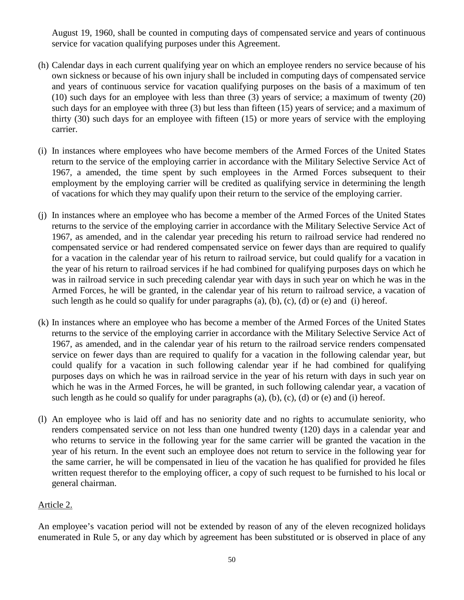August 19, 1960, shall be counted in computing days of compensated service and years of continuous service for vacation qualifying purposes under this Agreement.

- (h) Calendar days in each current qualifying year on which an employee renders no service because of his own sickness or because of his own injury shall be included in computing days of compensated service and years of continuous service for vacation qualifying purposes on the basis of a maximum of ten (10) such days for an employee with less than three (3) years of service; a maximum of twenty (20) such days for an employee with three (3) but less than fifteen (15) years of service; and a maximum of thirty (30) such days for an employee with fifteen (15) or more years of service with the employing carrier.
- (i) In instances where employees who have become members of the Armed Forces of the United States return to the service of the employing carrier in accordance with the Military Selective Service Act of 1967, a amended, the time spent by such employees in the Armed Forces subsequent to their employment by the employing carrier will be credited as qualifying service in determining the length of vacations for which they may qualify upon their return to the service of the employing carrier.
- (j) In instances where an employee who has become a member of the Armed Forces of the United States returns to the service of the employing carrier in accordance with the Military Selective Service Act of 1967, as amended, and in the calendar year preceding his return to railroad service had rendered no compensated service or had rendered compensated service on fewer days than are required to qualify for a vacation in the calendar year of his return to railroad service, but could qualify for a vacation in the year of his return to railroad services if he had combined for qualifying purposes days on which he was in railroad service in such preceding calendar year with days in such year on which he was in the Armed Forces, he will be granted, in the calendar year of his return to railroad service, a vacation of such length as he could so qualify for under paragraphs (a), (b), (c), (d) or (e) and (i) hereof.
- (k) In instances where an employee who has become a member of the Armed Forces of the United States returns to the service of the employing carrier in accordance with the Military Selective Service Act of 1967, as amended, and in the calendar year of his return to the railroad service renders compensated service on fewer days than are required to qualify for a vacation in the following calendar year, but could qualify for a vacation in such following calendar year if he had combined for qualifying purposes days on which he was in railroad service in the year of his return with days in such year on which he was in the Armed Forces, he will be granted, in such following calendar year, a vacation of such length as he could so qualify for under paragraphs (a), (b), (c), (d) or (e) and (i) hereof.
- (l) An employee who is laid off and has no seniority date and no rights to accumulate seniority, who renders compensated service on not less than one hundred twenty (120) days in a calendar year and who returns to service in the following year for the same carrier will be granted the vacation in the year of his return. In the event such an employee does not return to service in the following year for the same carrier, he will be compensated in lieu of the vacation he has qualified for provided he files written request therefor to the employing officer, a copy of such request to be furnished to his local or general chairman.

## Article 2.

An employee's vacation period will not be extended by reason of any of the eleven recognized holidays enumerated in Rule 5, or any day which by agreement has been substituted or is observed in place of any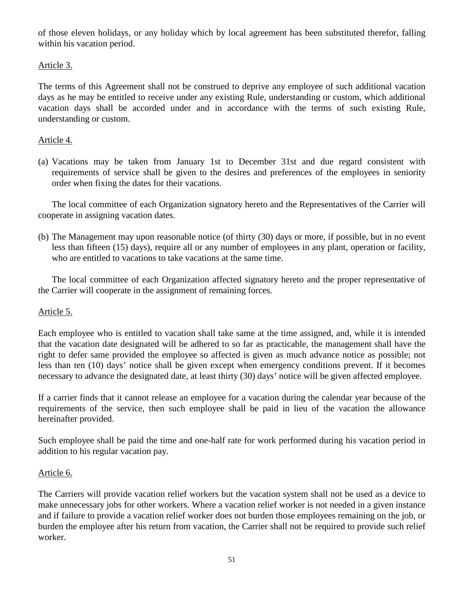of those eleven holidays, or any holiday which by local agreement has been substituted therefor, falling within his vacation period.

## Article 3.

The terms of this Agreement shall not be construed to deprive any employee of such additional vacation days as he may be entitled to receive under any existing Rule, understanding or custom, which additional vacation days shall be accorded under and in accordance with the terms of such existing Rule, understanding or custom.

## Article 4.

(a) Vacations may be taken from January 1st to December 31st and due regard consistent with requirements of service shall be given to the desires and preferences of the employees in seniority order when fixing the dates for their vacations.

The local committee of each Organization signatory hereto and the Representatives of the Carrier will cooperate in assigning vacation dates.

(b) The Management may upon reasonable notice (of thirty (30) days or more, if possible, but in no event less than fifteen (15) days), require all or any number of employees in any plant, operation or facility, who are entitled to vacations to take vacations at the same time.

The local committee of each Organization affected signatory hereto and the proper representative of the Carrier will cooperate in the assignment of remaining forces.

## Article 5.

Each employee who is entitled to vacation shall take same at the time assigned, and, while it is intended that the vacation date designated will be adhered to so far as practicable, the management shall have the right to defer same provided the employee so affected is given as much advance notice as possible; not less than ten (10) days' notice shall be given except when emergency conditions prevent. If it becomes necessary to advance the designated date, at least thirty (30) days' notice will be given affected employee.

If a carrier finds that it cannot release an employee for a vacation during the calendar year because of the requirements of the service, then such employee shall be paid in lieu of the vacation the allowance hereinafter provided.

Such employee shall be paid the time and one-half rate for work performed during his vacation period in addition to his regular vacation pay.

## Article 6.

The Carriers will provide vacation relief workers but the vacation system shall not be used as a device to make unnecessary jobs for other workers. Where a vacation relief worker is not needed in a given instance and if failure to provide a vacation relief worker does not burden those employees remaining on the job, or burden the employee after his return from vacation, the Carrier shall not be required to provide such relief worker.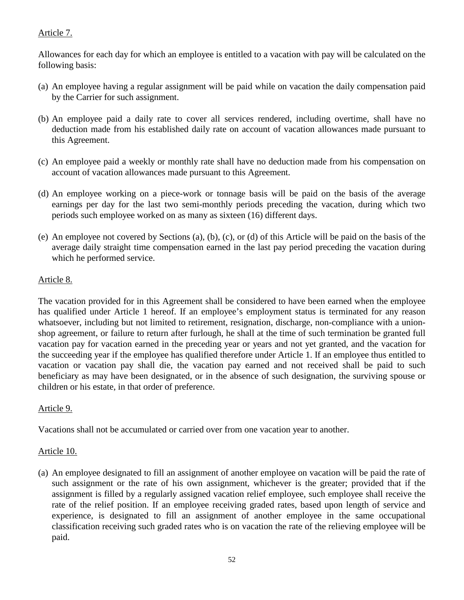# Article 7.

Allowances for each day for which an employee is entitled to a vacation with pay will be calculated on the following basis:

- (a) An employee having a regular assignment will be paid while on vacation the daily compensation paid by the Carrier for such assignment.
- (b) An employee paid a daily rate to cover all services rendered, including overtime, shall have no deduction made from his established daily rate on account of vacation allowances made pursuant to this Agreement.
- (c) An employee paid a weekly or monthly rate shall have no deduction made from his compensation on account of vacation allowances made pursuant to this Agreement.
- (d) An employee working on a piece-work or tonnage basis will be paid on the basis of the average earnings per day for the last two semi-monthly periods preceding the vacation, during which two periods such employee worked on as many as sixteen (16) different days.
- (e) An employee not covered by Sections (a), (b), (c), or (d) of this Article will be paid on the basis of the average daily straight time compensation earned in the last pay period preceding the vacation during which he performed service.

# Article 8.

The vacation provided for in this Agreement shall be considered to have been earned when the employee has qualified under Article 1 hereof. If an employee's employment status is terminated for any reason whatsoever, including but not limited to retirement, resignation, discharge, non-compliance with a unionshop agreement, or failure to return after furlough, he shall at the time of such termination be granted full vacation pay for vacation earned in the preceding year or years and not yet granted, and the vacation for the succeeding year if the employee has qualified therefore under Article 1. If an employee thus entitled to vacation or vacation pay shall die, the vacation pay earned and not received shall be paid to such beneficiary as may have been designated, or in the absence of such designation, the surviving spouse or children or his estate, in that order of preference.

# Article 9.

Vacations shall not be accumulated or carried over from one vacation year to another.

## Article 10.

(a) An employee designated to fill an assignment of another employee on vacation will be paid the rate of such assignment or the rate of his own assignment, whichever is the greater; provided that if the assignment is filled by a regularly assigned vacation relief employee, such employee shall receive the rate of the relief position. If an employee receiving graded rates, based upon length of service and experience, is designated to fill an assignment of another employee in the same occupational classification receiving such graded rates who is on vacation the rate of the relieving employee will be paid.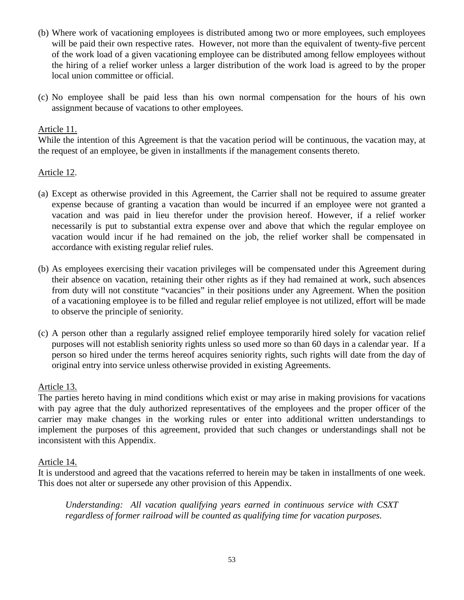- (b) Where work of vacationing employees is distributed among two or more employees, such employees will be paid their own respective rates. However, not more than the equivalent of twenty-five percent of the work load of a given vacationing employee can be distributed among fellow employees without the hiring of a relief worker unless a larger distribution of the work load is agreed to by the proper local union committee or official.
- (c) No employee shall be paid less than his own normal compensation for the hours of his own assignment because of vacations to other employees.

### Article 11.

While the intention of this Agreement is that the vacation period will be continuous, the vacation may, at the request of an employee, be given in installments if the management consents thereto.

### Article 12.

- (a) Except as otherwise provided in this Agreement, the Carrier shall not be required to assume greater expense because of granting a vacation than would be incurred if an employee were not granted a vacation and was paid in lieu therefor under the provision hereof. However, if a relief worker necessarily is put to substantial extra expense over and above that which the regular employee on vacation would incur if he had remained on the job, the relief worker shall be compensated in accordance with existing regular relief rules.
- (b) As employees exercising their vacation privileges will be compensated under this Agreement during their absence on vacation, retaining their other rights as if they had remained at work, such absences from duty will not constitute "vacancies" in their positions under any Agreement. When the position of a vacationing employee is to be filled and regular relief employee is not utilized, effort will be made to observe the principle of seniority.
- (c) A person other than a regularly assigned relief employee temporarily hired solely for vacation relief purposes will not establish seniority rights unless so used more so than 60 days in a calendar year. If a person so hired under the terms hereof acquires seniority rights, such rights will date from the day of original entry into service unless otherwise provided in existing Agreements.

## Article 13.

The parties hereto having in mind conditions which exist or may arise in making provisions for vacations with pay agree that the duly authorized representatives of the employees and the proper officer of the carrier may make changes in the working rules or enter into additional written understandings to implement the purposes of this agreement, provided that such changes or understandings shall not be inconsistent with this Appendix.

#### Article 14.

It is understood and agreed that the vacations referred to herein may be taken in installments of one week. This does not alter or supersede any other provision of this Appendix.

*Understanding: All vacation qualifying years earned in continuous service with CSXT regardless of former railroad will be counted as qualifying time for vacation purposes.*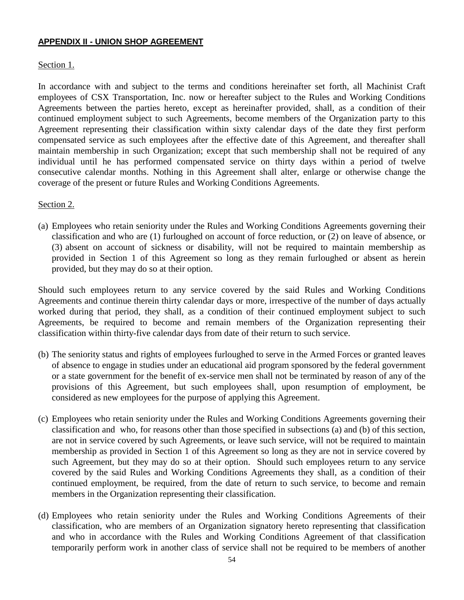#### **APPENDIX II - UNION SHOP AGREEMENT**

#### Section 1.

In accordance with and subject to the terms and conditions hereinafter set forth, all Machinist Craft employees of CSX Transportation, Inc. now or hereafter subject to the Rules and Working Conditions Agreements between the parties hereto, except as hereinafter provided, shall, as a condition of their continued employment subject to such Agreements, become members of the Organization party to this Agreement representing their classification within sixty calendar days of the date they first perform compensated service as such employees after the effective date of this Agreement, and thereafter shall maintain membership in such Organization; except that such membership shall not be required of any individual until he has performed compensated service on thirty days within a period of twelve consecutive calendar months. Nothing in this Agreement shall alter, enlarge or otherwise change the coverage of the present or future Rules and Working Conditions Agreements.

Section 2.

(a) Employees who retain seniority under the Rules and Working Conditions Agreements governing their classification and who are (1) furloughed on account of force reduction, or (2) on leave of absence, or (3) absent on account of sickness or disability, will not be required to maintain membership as provided in Section 1 of this Agreement so long as they remain furloughed or absent as herein provided, but they may do so at their option.

Should such employees return to any service covered by the said Rules and Working Conditions Agreements and continue therein thirty calendar days or more, irrespective of the number of days actually worked during that period, they shall, as a condition of their continued employment subject to such Agreements, be required to become and remain members of the Organization representing their classification within thirty-five calendar days from date of their return to such service.

- (b) The seniority status and rights of employees furloughed to serve in the Armed Forces or granted leaves of absence to engage in studies under an educational aid program sponsored by the federal government or a state government for the benefit of ex-service men shall not be terminated by reason of any of the provisions of this Agreement, but such employees shall, upon resumption of employment, be considered as new employees for the purpose of applying this Agreement.
- (c) Employees who retain seniority under the Rules and Working Conditions Agreements governing their classification and who, for reasons other than those specified in subsections (a) and (b) of this section, are not in service covered by such Agreements, or leave such service, will not be required to maintain membership as provided in Section 1 of this Agreement so long as they are not in service covered by such Agreement, but they may do so at their option. Should such employees return to any service covered by the said Rules and Working Conditions Agreements they shall, as a condition of their continued employment, be required, from the date of return to such service, to become and remain members in the Organization representing their classification.
- (d) Employees who retain seniority under the Rules and Working Conditions Agreements of their classification, who are members of an Organization signatory hereto representing that classification and who in accordance with the Rules and Working Conditions Agreement of that classification temporarily perform work in another class of service shall not be required to be members of another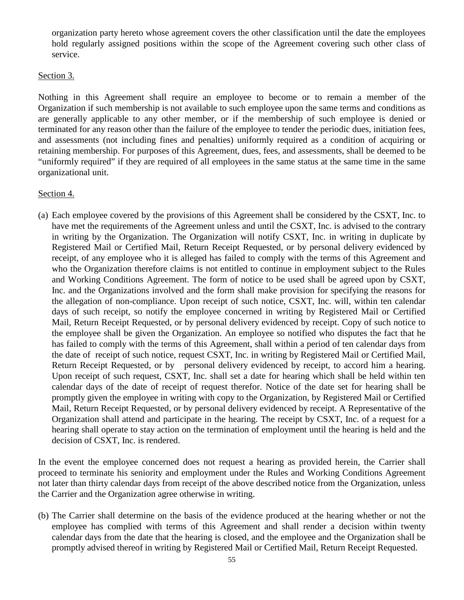organization party hereto whose agreement covers the other classification until the date the employees hold regularly assigned positions within the scope of the Agreement covering such other class of service.

#### Section 3.

Nothing in this Agreement shall require an employee to become or to remain a member of the Organization if such membership is not available to such employee upon the same terms and conditions as are generally applicable to any other member, or if the membership of such employee is denied or terminated for any reason other than the failure of the employee to tender the periodic dues, initiation fees, and assessments (not including fines and penalties) uniformly required as a condition of acquiring or retaining membership. For purposes of this Agreement, dues, fees, and assessments, shall be deemed to be "uniformly required" if they are required of all employees in the same status at the same time in the same organizational unit.

### Section 4.

(a) Each employee covered by the provisions of this Agreement shall be considered by the CSXT, Inc. to have met the requirements of the Agreement unless and until the CSXT, Inc. is advised to the contrary in writing by the Organization. The Organization will notify CSXT, Inc. in writing in duplicate by Registered Mail or Certified Mail, Return Receipt Requested, or by personal delivery evidenced by receipt, of any employee who it is alleged has failed to comply with the terms of this Agreement and who the Organization therefore claims is not entitled to continue in employment subject to the Rules and Working Conditions Agreement. The form of notice to be used shall be agreed upon by CSXT, Inc. and the Organizations involved and the form shall make provision for specifying the reasons for the allegation of non-compliance. Upon receipt of such notice, CSXT, Inc. will, within ten calendar days of such receipt, so notify the employee concerned in writing by Registered Mail or Certified Mail, Return Receipt Requested, or by personal delivery evidenced by receipt. Copy of such notice to the employee shall be given the Organization. An employee so notified who disputes the fact that he has failed to comply with the terms of this Agreement, shall within a period of ten calendar days from the date of receipt of such notice, request CSXT, Inc. in writing by Registered Mail or Certified Mail, Return Receipt Requested, or by personal delivery evidenced by receipt, to accord him a hearing. Upon receipt of such request, CSXT, Inc. shall set a date for hearing which shall be held within ten calendar days of the date of receipt of request therefor. Notice of the date set for hearing shall be promptly given the employee in writing with copy to the Organization, by Registered Mail or Certified Mail, Return Receipt Requested, or by personal delivery evidenced by receipt. A Representative of the Organization shall attend and participate in the hearing. The receipt by CSXT, Inc. of a request for a hearing shall operate to stay action on the termination of employment until the hearing is held and the decision of CSXT, Inc. is rendered.

In the event the employee concerned does not request a hearing as provided herein, the Carrier shall proceed to terminate his seniority and employment under the Rules and Working Conditions Agreement not later than thirty calendar days from receipt of the above described notice from the Organization, unless the Carrier and the Organization agree otherwise in writing.

(b) The Carrier shall determine on the basis of the evidence produced at the hearing whether or not the employee has complied with terms of this Agreement and shall render a decision within twenty calendar days from the date that the hearing is closed, and the employee and the Organization shall be promptly advised thereof in writing by Registered Mail or Certified Mail, Return Receipt Requested.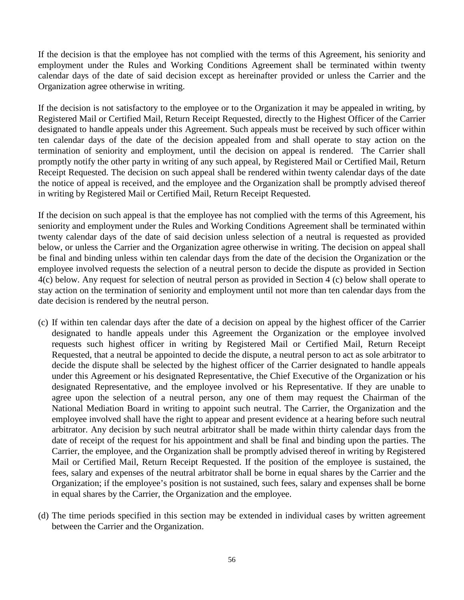If the decision is that the employee has not complied with the terms of this Agreement, his seniority and employment under the Rules and Working Conditions Agreement shall be terminated within twenty calendar days of the date of said decision except as hereinafter provided or unless the Carrier and the Organization agree otherwise in writing.

If the decision is not satisfactory to the employee or to the Organization it may be appealed in writing, by Registered Mail or Certified Mail, Return Receipt Requested, directly to the Highest Officer of the Carrier designated to handle appeals under this Agreement. Such appeals must be received by such officer within ten calendar days of the date of the decision appealed from and shall operate to stay action on the termination of seniority and employment, until the decision on appeal is rendered. The Carrier shall promptly notify the other party in writing of any such appeal, by Registered Mail or Certified Mail, Return Receipt Requested. The decision on such appeal shall be rendered within twenty calendar days of the date the notice of appeal is received, and the employee and the Organization shall be promptly advised thereof in writing by Registered Mail or Certified Mail, Return Receipt Requested.

If the decision on such appeal is that the employee has not complied with the terms of this Agreement, his seniority and employment under the Rules and Working Conditions Agreement shall be terminated within twenty calendar days of the date of said decision unless selection of a neutral is requested as provided below, or unless the Carrier and the Organization agree otherwise in writing. The decision on appeal shall be final and binding unless within ten calendar days from the date of the decision the Organization or the employee involved requests the selection of a neutral person to decide the dispute as provided in Section 4(c) below. Any request for selection of neutral person as provided in Section 4 (c) below shall operate to stay action on the termination of seniority and employment until not more than ten calendar days from the date decision is rendered by the neutral person.

- (c) If within ten calendar days after the date of a decision on appeal by the highest officer of the Carrier designated to handle appeals under this Agreement the Organization or the employee involved requests such highest officer in writing by Registered Mail or Certified Mail, Return Receipt Requested, that a neutral be appointed to decide the dispute, a neutral person to act as sole arbitrator to decide the dispute shall be selected by the highest officer of the Carrier designated to handle appeals under this Agreement or his designated Representative, the Chief Executive of the Organization or his designated Representative, and the employee involved or his Representative. If they are unable to agree upon the selection of a neutral person, any one of them may request the Chairman of the National Mediation Board in writing to appoint such neutral. The Carrier, the Organization and the employee involved shall have the right to appear and present evidence at a hearing before such neutral arbitrator. Any decision by such neutral arbitrator shall be made within thirty calendar days from the date of receipt of the request for his appointment and shall be final and binding upon the parties. The Carrier, the employee, and the Organization shall be promptly advised thereof in writing by Registered Mail or Certified Mail, Return Receipt Requested. If the position of the employee is sustained, the fees, salary and expenses of the neutral arbitrator shall be borne in equal shares by the Carrier and the Organization; if the employee's position is not sustained, such fees, salary and expenses shall be borne in equal shares by the Carrier, the Organization and the employee.
- (d) The time periods specified in this section may be extended in individual cases by written agreement between the Carrier and the Organization.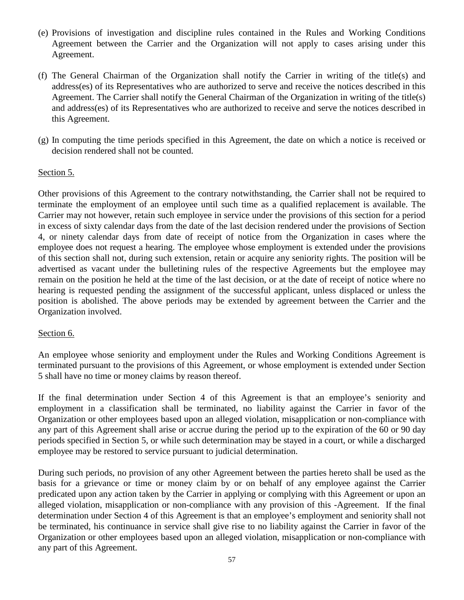- (e) Provisions of investigation and discipline rules contained in the Rules and Working Conditions Agreement between the Carrier and the Organization will not apply to cases arising under this Agreement.
- (f) The General Chairman of the Organization shall notify the Carrier in writing of the title(s) and address(es) of its Representatives who are authorized to serve and receive the notices described in this Agreement. The Carrier shall notify the General Chairman of the Organization in writing of the title(s) and address(es) of its Representatives who are authorized to receive and serve the notices described in this Agreement.
- (g) In computing the time periods specified in this Agreement, the date on which a notice is received or decision rendered shall not be counted.

#### Section 5.

Other provisions of this Agreement to the contrary notwithstanding, the Carrier shall not be required to terminate the employment of an employee until such time as a qualified replacement is available. The Carrier may not however, retain such employee in service under the provisions of this section for a period in excess of sixty calendar days from the date of the last decision rendered under the provisions of Section 4, or ninety calendar days from date of receipt of notice from the Organization in cases where the employee does not request a hearing. The employee whose employment is extended under the provisions of this section shall not, during such extension, retain or acquire any seniority rights. The position will be advertised as vacant under the bulletining rules of the respective Agreements but the employee may remain on the position he held at the time of the last decision, or at the date of receipt of notice where no hearing is requested pending the assignment of the successful applicant, unless displaced or unless the position is abolished. The above periods may be extended by agreement between the Carrier and the Organization involved.

#### Section 6.

An employee whose seniority and employment under the Rules and Working Conditions Agreement is terminated pursuant to the provisions of this Agreement, or whose employment is extended under Section 5 shall have no time or money claims by reason thereof.

If the final determination under Section 4 of this Agreement is that an employee's seniority and employment in a classification shall be terminated, no liability against the Carrier in favor of the Organization or other employees based upon an alleged violation, misapplication or non-compliance with any part of this Agreement shall arise or accrue during the period up to the expiration of the 60 or 90 day periods specified in Section 5, or while such determination may be stayed in a court, or while a discharged employee may be restored to service pursuant to judicial determination.

During such periods, no provision of any other Agreement between the parties hereto shall be used as the basis for a grievance or time or money claim by or on behalf of any employee against the Carrier predicated upon any action taken by the Carrier in applying or complying with this Agreement or upon an alleged violation, misapplication or non-compliance with any provision of this -Agreement. If the final determination under Section 4 of this Agreement is that an employee's employment and seniority shall not be terminated, his continuance in service shall give rise to no liability against the Carrier in favor of the Organization or other employees based upon an alleged violation, misapplication or non-compliance with any part of this Agreement.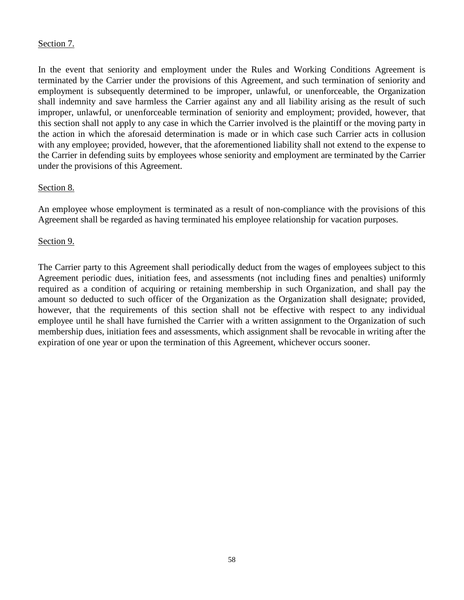## Section 7.

In the event that seniority and employment under the Rules and Working Conditions Agreement is terminated by the Carrier under the provisions of this Agreement, and such termination of seniority and employment is subsequently determined to be improper, unlawful, or unenforceable, the Organization shall indemnity and save harmless the Carrier against any and all liability arising as the result of such improper, unlawful, or unenforceable termination of seniority and employment; provided, however, that this section shall not apply to any case in which the Carrier involved is the plaintiff or the moving party in the action in which the aforesaid determination is made or in which case such Carrier acts in collusion with any employee; provided, however, that the aforementioned liability shall not extend to the expense to the Carrier in defending suits by employees whose seniority and employment are terminated by the Carrier under the provisions of this Agreement.

## Section 8.

An employee whose employment is terminated as a result of non-compliance with the provisions of this Agreement shall be regarded as having terminated his employee relationship for vacation purposes.

## Section 9.

The Carrier party to this Agreement shall periodically deduct from the wages of employees subject to this Agreement periodic dues, initiation fees, and assessments (not including fines and penalties) uniformly required as a condition of acquiring or retaining membership in such Organization, and shall pay the amount so deducted to such officer of the Organization as the Organization shall designate; provided, however, that the requirements of this section shall not be effective with respect to any individual employee until he shall have furnished the Carrier with a written assignment to the Organization of such membership dues, initiation fees and assessments, which assignment shall be revocable in writing after the expiration of one year or upon the termination of this Agreement, whichever occurs sooner.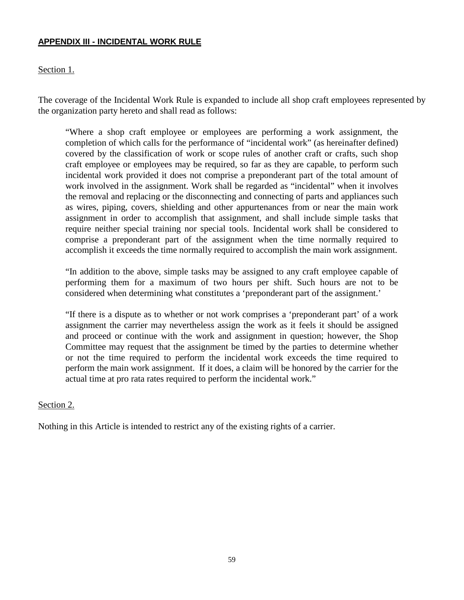#### **APPENDIX III - INCIDENTAL WORK RULE**

### Section 1.

The coverage of the Incidental Work Rule is expanded to include all shop craft employees represented by the organization party hereto and shall read as follows:

"Where a shop craft employee or employees are performing a work assignment, the completion of which calls for the performance of "incidental work" (as hereinafter defined) covered by the classification of work or scope rules of another craft or crafts, such shop craft employee or employees may be required, so far as they are capable, to perform such incidental work provided it does not comprise a preponderant part of the total amount of work involved in the assignment. Work shall be regarded as "incidental" when it involves the removal and replacing or the disconnecting and connecting of parts and appliances such as wires, piping, covers, shielding and other appurtenances from or near the main work assignment in order to accomplish that assignment, and shall include simple tasks that require neither special training nor special tools. Incidental work shall be considered to comprise a preponderant part of the assignment when the time normally required to accomplish it exceeds the time normally required to accomplish the main work assignment.

"In addition to the above, simple tasks may be assigned to any craft employee capable of performing them for a maximum of two hours per shift. Such hours are not to be considered when determining what constitutes a 'preponderant part of the assignment.'

"If there is a dispute as to whether or not work comprises a 'preponderant part' of a work assignment the carrier may nevertheless assign the work as it feels it should be assigned and proceed or continue with the work and assignment in question; however, the Shop Committee may request that the assignment be timed by the parties to determine whether or not the time required to perform the incidental work exceeds the time required to perform the main work assignment. If it does, a claim will be honored by the carrier for the actual time at pro rata rates required to perform the incidental work."

#### Section 2.

Nothing in this Article is intended to restrict any of the existing rights of a carrier.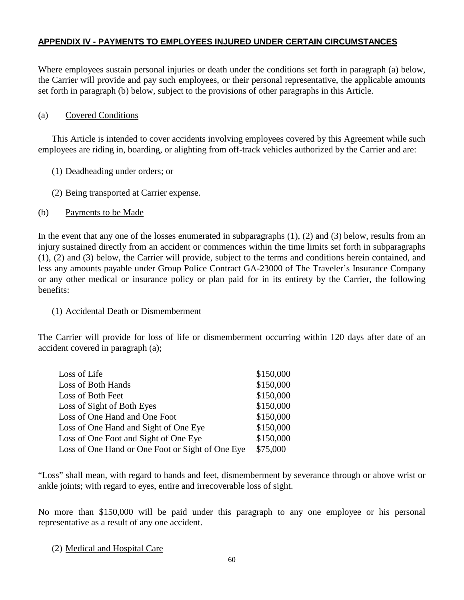## **APPENDIX IV - PAYMENTS TO EMPLOYEES INJURED UNDER CERTAIN CIRCUMSTANCES**

Where employees sustain personal injuries or death under the conditions set forth in paragraph (a) below, the Carrier will provide and pay such employees, or their personal representative, the applicable amounts set forth in paragraph (b) below, subject to the provisions of other paragraphs in this Article.

#### (a) Covered Conditions

This Article is intended to cover accidents involving employees covered by this Agreement while such employees are riding in, boarding, or alighting from off-track vehicles authorized by the Carrier and are:

- (1) Deadheading under orders; or
- (2) Being transported at Carrier expense.
- (b) Payments to be Made

In the event that any one of the losses enumerated in subparagraphs (1), (2) and (3) below, results from an injury sustained directly from an accident or commences within the time limits set forth in subparagraphs (1), (2) and (3) below, the Carrier will provide, subject to the terms and conditions herein contained, and less any amounts payable under Group Police Contract GA-23000 of The Traveler's Insurance Company or any other medical or insurance policy or plan paid for in its entirety by the Carrier, the following benefits:

#### (1) Accidental Death or Dismemberment

The Carrier will provide for loss of life or dismemberment occurring within 120 days after date of an accident covered in paragraph (a);

| Loss of Life                                     | \$150,000 |
|--------------------------------------------------|-----------|
| Loss of Both Hands                               | \$150,000 |
| Loss of Both Feet                                | \$150,000 |
| Loss of Sight of Both Eyes                       | \$150,000 |
| Loss of One Hand and One Foot                    | \$150,000 |
| Loss of One Hand and Sight of One Eye            | \$150,000 |
| Loss of One Foot and Sight of One Eye            | \$150,000 |
| Loss of One Hand or One Foot or Sight of One Eye | \$75,000  |

"Loss" shall mean, with regard to hands and feet, dismemberment by severance through or above wrist or ankle joints; with regard to eyes, entire and irrecoverable loss of sight.

No more than \$150,000 will be paid under this paragraph to any one employee or his personal representative as a result of any one accident.

#### (2) Medical and Hospital Care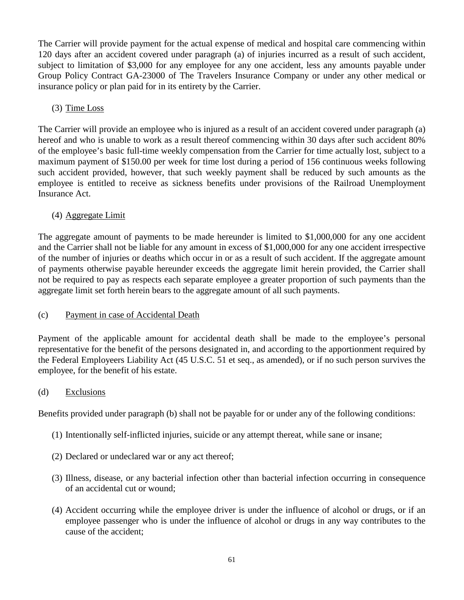The Carrier will provide payment for the actual expense of medical and hospital care commencing within 120 days after an accident covered under paragraph (a) of injuries incurred as a result of such accident, subject to limitation of \$3,000 for any employee for any one accident, less any amounts payable under Group Policy Contract GA-23000 of The Travelers Insurance Company or under any other medical or insurance policy or plan paid for in its entirety by the Carrier.

# (3) Time Loss

The Carrier will provide an employee who is injured as a result of an accident covered under paragraph (a) hereof and who is unable to work as a result thereof commencing within 30 days after such accident 80% of the employee's basic full-time weekly compensation from the Carrier for time actually lost, subject to a maximum payment of \$150.00 per week for time lost during a period of 156 continuous weeks following such accident provided, however, that such weekly payment shall be reduced by such amounts as the employee is entitled to receive as sickness benefits under provisions of the Railroad Unemployment Insurance Act.

# (4) Aggregate Limit

The aggregate amount of payments to be made hereunder is limited to \$1,000,000 for any one accident and the Carrier shall not be liable for any amount in excess of \$1,000,000 for any one accident irrespective of the number of injuries or deaths which occur in or as a result of such accident. If the aggregate amount of payments otherwise payable hereunder exceeds the aggregate limit herein provided, the Carrier shall not be required to pay as respects each separate employee a greater proportion of such payments than the aggregate limit set forth herein bears to the aggregate amount of all such payments.

# (c) Payment in case of Accidental Death

Payment of the applicable amount for accidental death shall be made to the employee's personal representative for the benefit of the persons designated in, and according to the apportionment required by the Federal Employeers Liability Act (45 U.S.C. 51 et seq., as amended), or if no such person survives the employee, for the benefit of his estate.

## (d) Exclusions

Benefits provided under paragraph (b) shall not be payable for or under any of the following conditions:

- (1) Intentionally self-inflicted injuries, suicide or any attempt thereat, while sane or insane;
- (2) Declared or undeclared war or any act thereof;
- (3) Illness, disease, or any bacterial infection other than bacterial infection occurring in consequence of an accidental cut or wound;
- (4) Accident occurring while the employee driver is under the influence of alcohol or drugs, or if an employee passenger who is under the influence of alcohol or drugs in any way contributes to the cause of the accident;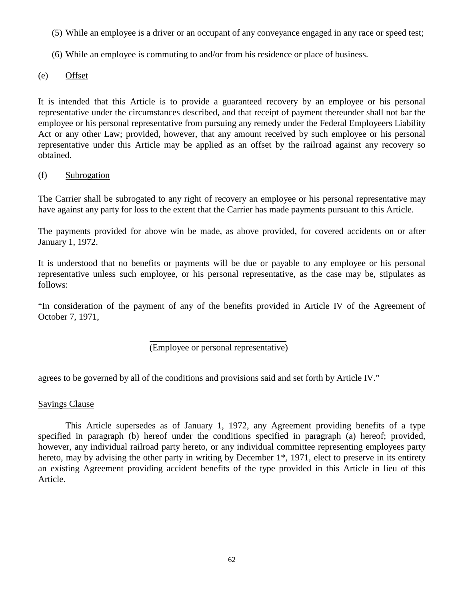- (5) While an employee is a driver or an occupant of any conveyance engaged in any race or speed test;
- (6) While an employee is commuting to and/or from his residence or place of business.
- (e) Offset

It is intended that this Article is to provide a guaranteed recovery by an employee or his personal representative under the circumstances described, and that receipt of payment thereunder shall not bar the employee or his personal representative from pursuing any remedy under the Federal Employeers Liability Act or any other Law; provided, however, that any amount received by such employee or his personal representative under this Article may be applied as an offset by the railroad against any recovery so obtained.

(f) Subrogation

The Carrier shall be subrogated to any right of recovery an employee or his personal representative may have against any party for loss to the extent that the Carrier has made payments pursuant to this Article.

The payments provided for above win be made, as above provided, for covered accidents on or after January 1, 1972.

It is understood that no benefits or payments will be due or payable to any employee or his personal representative unless such employee, or his personal representative, as the case may be, stipulates as follows:

"In consideration of the payment of any of the benefits provided in Article IV of the Agreement of October 7, 1971,

(Employee or personal representative)

agrees to be governed by all of the conditions and provisions said and set forth by Article IV."

Savings Clause

This Article supersedes as of January 1, 1972, any Agreement providing benefits of a type specified in paragraph (b) hereof under the conditions specified in paragraph (a) hereof; provided, however, any individual railroad party hereto, or any individual committee representing employees party hereto, may by advising the other party in writing by December 1<sup>\*</sup>, 1971, elect to preserve in its entirety an existing Agreement providing accident benefits of the type provided in this Article in lieu of this Article.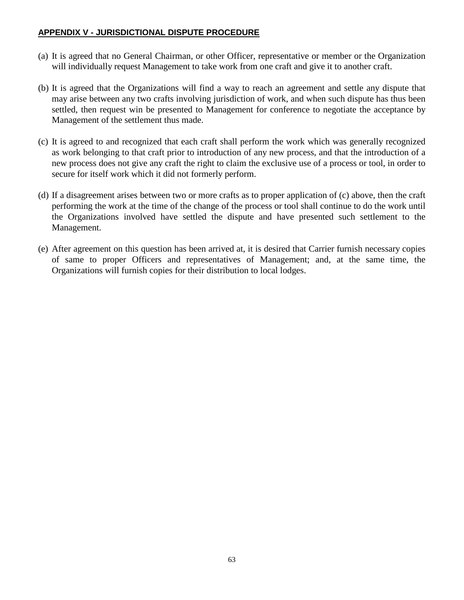#### **APPENDIX V - JURISDICTIONAL DISPUTE PROCEDURE**

- (a) It is agreed that no General Chairman, or other Officer, representative or member or the Organization will individually request Management to take work from one craft and give it to another craft.
- (b) It is agreed that the Organizations will find a way to reach an agreement and settle any dispute that may arise between any two crafts involving jurisdiction of work, and when such dispute has thus been settled, then request win be presented to Management for conference to negotiate the acceptance by Management of the settlement thus made.
- (c) It is agreed to and recognized that each craft shall perform the work which was generally recognized as work belonging to that craft prior to introduction of any new process, and that the introduction of a new process does not give any craft the right to claim the exclusive use of a process or tool, in order to secure for itself work which it did not formerly perform.
- (d) If a disagreement arises between two or more crafts as to proper application of (c) above, then the craft performing the work at the time of the change of the process or tool shall continue to do the work until the Organizations involved have settled the dispute and have presented such settlement to the Management.
- (e) After agreement on this question has been arrived at, it is desired that Carrier furnish necessary copies of same to proper Officers and representatives of Management; and, at the same time, the Organizations will furnish copies for their distribution to local lodges.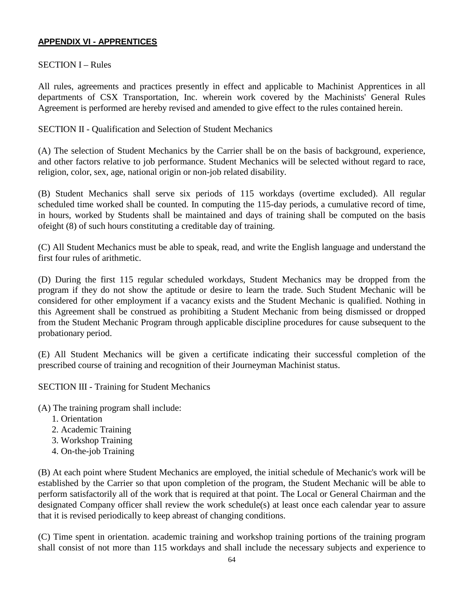## **APPENDIX VI - APPRENTICES**

#### SECTION I – Rules

All rules, agreements and practices presently in effect and applicable to Machinist Apprentices in all departments of CSX Transportation, Inc. wherein work covered by the Machinists' General Rules Agreement is performed are hereby revised and amended to give effect to the rules contained herein.

SECTION II - Qualification and Selection of Student Mechanics

(A) The selection of Student Mechanics by the Carrier shall be on the basis of background, experience, and other factors relative to job performance. Student Mechanics will be selected without regard to race, religion, color, sex, age, national origin or non-job related disability.

(B) Student Mechanics shall serve six periods of 115 workdays (overtime excluded). All regular scheduled time worked shall be counted. In computing the 115-day periods, a cumulative record of time, in hours, worked by Students shall be maintained and days of training shall be computed on the basis ofeight (8) of such hours constituting a creditable day of training.

(C) All Student Mechanics must be able to speak, read, and write the English language and understand the first four rules of arithmetic.

(D) During the first 115 regular scheduled workdays, Student Mechanics may be dropped from the program if they do not show the aptitude or desire to learn the trade. Such Student Mechanic will be considered for other employment if a vacancy exists and the Student Mechanic is qualified. Nothing in this Agreement shall be construed as prohibiting a Student Mechanic from being dismissed or dropped from the Student Mechanic Program through applicable discipline procedures for cause subsequent to the probationary period.

(E) All Student Mechanics will be given a certificate indicating their successful completion of the prescribed course of training and recognition of their Journeyman Machinist status.

SECTION III - Training for Student Mechanics

(A) The training program shall include:

- 1. Orientation
- 2. Academic Training
- 3. Workshop Training
- 4. On-the-job Training

(B) At each point where Student Mechanics are employed, the initial schedule of Mechanic's work will be established by the Carrier so that upon completion of the program, the Student Mechanic will be able to perform satisfactorily all of the work that is required at that point. The Local or General Chairman and the designated Company officer shall review the work schedule(s) at least once each calendar year to assure that it is revised periodically to keep abreast of changing conditions.

(C) Time spent in orientation. academic training and workshop training portions of the training program shall consist of not more than 115 workdays and shall include the necessary subjects and experience to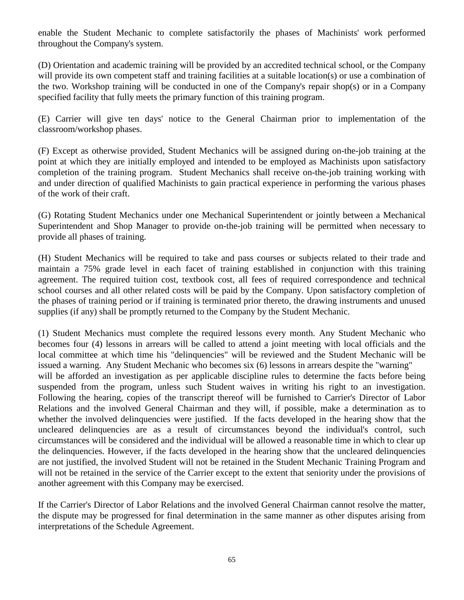enable the Student Mechanic to complete satisfactorily the phases of Machinists' work performed throughout the Company's system.

(D) Orientation and academic training will be provided by an accredited technical school, or the Company will provide its own competent staff and training facilities at a suitable location(s) or use a combination of the two. Workshop training will be conducted in one of the Company's repair shop(s) or in a Company specified facility that fully meets the primary function of this training program.

(E) Carrier will give ten days' notice to the General Chairman prior to implementation of the classroom/workshop phases.

(F) Except as otherwise provided, Student Mechanics will be assigned during on-the-job training at the point at which they are initially employed and intended to be employed as Machinists upon satisfactory completion of the training program. Student Mechanics shall receive on-the-job training working with and under direction of qualified Machinists to gain practical experience in performing the various phases of the work of their craft.

(G) Rotating Student Mechanics under one Mechanical Superintendent or jointly between a Mechanical Superintendent and Shop Manager to provide on-the-job training will be permitted when necessary to provide all phases of training.

(H) Student Mechanics will be required to take and pass courses or subjects related to their trade and maintain a 75% grade level in each facet of training established in conjunction with this training agreement. The required tuition cost, textbook cost, all fees of required correspondence and technical school courses and all other related costs will be paid by the Company. Upon satisfactory completion of the phases of training period or if training is terminated prior thereto, the drawing instruments and unused supplies (if any) shall be promptly returned to the Company by the Student Mechanic.

(1) Student Mechanics must complete the required lessons every month. Any Student Mechanic who becomes four (4) lessons in arrears will be called to attend a joint meeting with local officials and the local committee at which time his "delinquencies" will be reviewed and the Student Mechanic will be issued a warning. Any Student Mechanic who becomes six (6) lessons in arrears despite the "warning" will be afforded an investigation as per applicable discipline rules to determine the facts before being suspended from the program, unless such Student waives in writing his right to an investigation. Following the hearing, copies of the transcript thereof will be furnished to Carrier's Director of Labor Relations and the involved General Chairman and they will, if possible, make a determination as to whether the involved delinquencies were justified. If the facts developed in the hearing show that the uncleared delinquencies are as a result of circumstances beyond the individual's control, such circumstances will be considered and the individual will be allowed a reasonable time in which to clear up the delinquencies. However, if the facts developed in the hearing show that the uncleared delinquencies are not justified, the involved Student will not be retained in the Student Mechanic Training Program and will not be retained in the service of the Carrier except to the extent that seniority under the provisions of another agreement with this Company may be exercised.

If the Carrier's Director of Labor Relations and the involved General Chairman cannot resolve the matter, the dispute may be progressed for final determination in the same manner as other disputes arising from interpretations of the Schedule Agreement.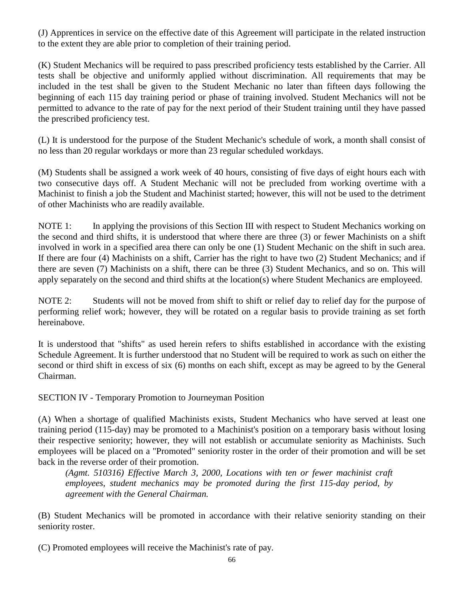(J) Apprentices in service on the effective date of this Agreement will participate in the related instruction to the extent they are able prior to completion of their training period.

(K) Student Mechanics will be required to pass prescribed proficiency tests established by the Carrier. All tests shall be objective and uniformly applied without discrimination. All requirements that may be included in the test shall be given to the Student Mechanic no later than fifteen days following the beginning of each 115 day training period or phase of training involved. Student Mechanics will not be permitted to advance to the rate of pay for the next period of their Student training until they have passed the prescribed proficiency test.

(L) It is understood for the purpose of the Student Mechanic's schedule of work, a month shall consist of no less than 20 regular workdays or more than 23 regular scheduled workdays.

(M) Students shall be assigned a work week of 40 hours, consisting of five days of eight hours each with two consecutive days off. A Student Mechanic will not be precluded from working overtime with a Machinist to finish a job the Student and Machinist started; however, this will not be used to the detriment of other Machinists who are readily available.

NOTE 1: In applying the provisions of this Section III with respect to Student Mechanics working on the second and third shifts, it is understood that where there are three (3) or fewer Machinists on a shift involved in work in a specified area there can only be one (1) Student Mechanic on the shift in such area. If there are four (4) Machinists on a shift, Carrier has the right to have two (2) Student Mechanics; and if there are seven (7) Machinists on a shift, there can be three (3) Student Mechanics, and so on. This will apply separately on the second and third shifts at the location(s) where Student Mechanics are employeed.

NOTE 2: Students will not be moved from shift to shift or relief day to relief day for the purpose of performing relief work; however, they will be rotated on a regular basis to provide training as set forth hereinabove.

It is understood that "shifts" as used herein refers to shifts established in accordance with the existing Schedule Agreement. It is further understood that no Student will be required to work as such on either the second or third shift in excess of six (6) months on each shift, except as may be agreed to by the General Chairman.

SECTION IV - Temporary Promotion to Journeyman Position

(A) When a shortage of qualified Machinists exists, Student Mechanics who have served at least one training period (115-day) may be promoted to a Machinist's position on a temporary basis without losing their respective seniority; however, they will not establish or accumulate seniority as Machinists. Such employees will be placed on a "Promoted" seniority roster in the order of their promotion and will be set back in the reverse order of their promotion.

*(Agmt. 510316) Effective March 3, 2000, Locations with ten or fewer machinist craft employees, student mechanics may be promoted during the first 115-day period, by agreement with the General Chairman.*

(B) Student Mechanics will be promoted in accordance with their relative seniority standing on their seniority roster.

(C) Promoted employees will receive the Machinist's rate of pay.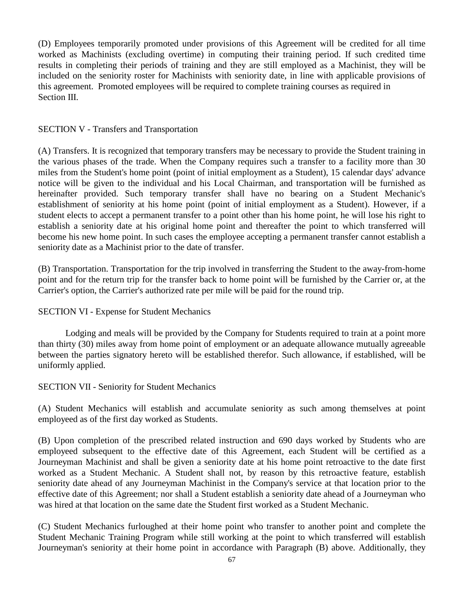(D) Employees temporarily promoted under provisions of this Agreement will be credited for all time worked as Machinists (excluding overtime) in computing their training period. If such credited time results in completing their periods of training and they are still employed as a Machinist, they will be included on the seniority roster for Machinists with seniority date, in line with applicable provisions of this agreement. Promoted employees will be required to complete training courses as required in Section III.

### SECTION V - Transfers and Transportation

(A) Transfers. It is recognized that temporary transfers may be necessary to provide the Student training in the various phases of the trade. When the Company requires such a transfer to a facility more than 30 miles from the Student's home point (point of initial employment as a Student), 15 calendar days' advance notice will be given to the individual and his Local Chairman, and transportation will be furnished as hereinafter provided. Such temporary transfer shall have no bearing on a Student Mechanic's establishment of seniority at his home point (point of initial employment as a Student). However, if a student elects to accept a permanent transfer to a point other than his home point, he will lose his right to establish a seniority date at his original home point and thereafter the point to which transferred will become his new home point. In such cases the employee accepting a permanent transfer cannot establish a seniority date as a Machinist prior to the date of transfer.

(B) Transportation. Transportation for the trip involved in transferring the Student to the away-from-home point and for the return trip for the transfer back to home point will be furnished by the Carrier or, at the Carrier's option, the Carrier's authorized rate per mile will be paid for the round trip.

## SECTION VI - Expense for Student Mechanics

Lodging and meals will be provided by the Company for Students required to train at a point more than thirty (30) miles away from home point of employment or an adequate allowance mutually agreeable between the parties signatory hereto will be established therefor. Such allowance, if established, will be uniformly applied.

## SECTION VII - Seniority for Student Mechanics

(A) Student Mechanics will establish and accumulate seniority as such among themselves at point employeed as of the first day worked as Students.

(B) Upon completion of the prescribed related instruction and 690 days worked by Students who are employeed subsequent to the effective date of this Agreement, each Student will be certified as a Journeyman Machinist and shall be given a seniority date at his home point retroactive to the date first worked as a Student Mechanic. A Student shall not, by reason by this retroactive feature, establish seniority date ahead of any Journeyman Machinist in the Company's service at that location prior to the effective date of this Agreement; nor shall a Student establish a seniority date ahead of a Journeyman who was hired at that location on the same date the Student first worked as a Student Mechanic.

(C) Student Mechanics furloughed at their home point who transfer to another point and complete the Student Mechanic Training Program while still working at the point to which transferred will establish Journeyman's seniority at their home point in accordance with Paragraph (B) above. Additionally, they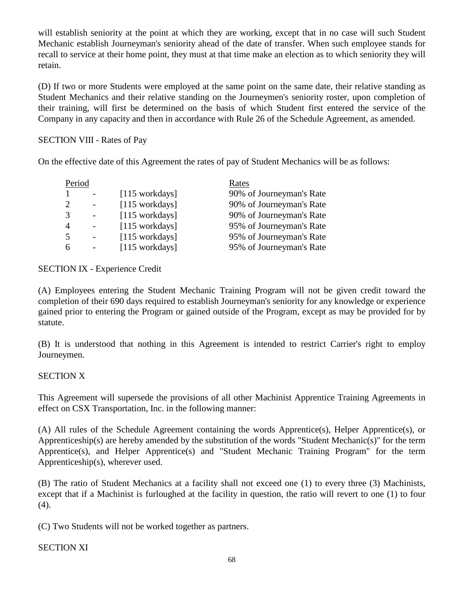will establish seniority at the point at which they are working, except that in no case will such Student Mechanic establish Journeyman's seniority ahead of the date of transfer. When such employee stands for recall to service at their home point, they must at that time make an election as to which seniority they will retain.

(D) If two or more Students were employed at the same point on the same date, their relative standing as Student Mechanics and their relative standing on the Journeymen's seniority roster, upon completion of their training, will first be determined on the basis of which Student first entered the service of the Company in any capacity and then in accordance with Rule 26 of the Schedule Agreement, as amended.

## SECTION VIII - Rates of Pay

On the effective date of this Agreement the rates of pay of Student Mechanics will be as follows:

| Period         |                | Rates                    |
|----------------|----------------|--------------------------|
|                | [115 workdays] | 90% of Journeyman's Rate |
|                | [115 workdays] | 90% of Journeyman's Rate |
| 3              | [115 workdays] | 90% of Journeyman's Rate |
| $\overline{4}$ | [115 workdays] | 95% of Journeyman's Rate |
| $\overline{5}$ | [115 workdays] | 95% of Journeyman's Rate |
| 6              | [115 workdays] | 95% of Journeyman's Rate |
|                |                |                          |

### SECTION IX - Experience Credit

(A) Employees entering the Student Mechanic Training Program will not be given credit toward the completion of their 690 days required to establish Journeyman's seniority for any knowledge or experience gained prior to entering the Program or gained outside of the Program, except as may be provided for by statute.

(B) It is understood that nothing in this Agreement is intended to restrict Carrier's right to employ Journeymen.

#### SECTION X

This Agreement will supersede the provisions of all other Machinist Apprentice Training Agreements in effect on CSX Transportation, Inc. in the following manner:

(A) All rules of the Schedule Agreement containing the words Apprentice(s), Helper Apprentice(s), or Apprenticeship(s) are hereby amended by the substitution of the words "Student Mechanic(s)" for the term Apprentice(s), and Helper Apprentice(s) and "Student Mechanic Training Program" for the term Apprenticeship(s), wherever used.

(B) The ratio of Student Mechanics at a facility shall not exceed one (1) to every three (3) Machinists, except that if a Machinist is furloughed at the facility in question, the ratio will revert to one (1) to four (4).

(C) Two Students will not be worked together as partners.

## SECTION XI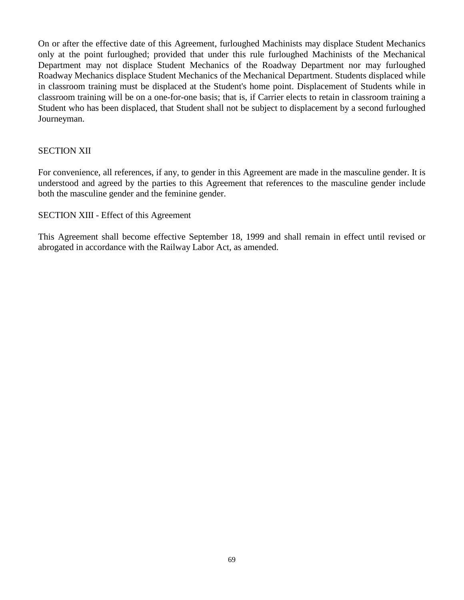On or after the effective date of this Agreement, furloughed Machinists may displace Student Mechanics only at the point furloughed; provided that under this rule furloughed Machinists of the Mechanical Department may not displace Student Mechanics of the Roadway Department nor may furloughed Roadway Mechanics displace Student Mechanics of the Mechanical Department. Students displaced while in classroom training must be displaced at the Student's home point. Displacement of Students while in classroom training will be on a one-for-one basis; that is, if Carrier elects to retain in classroom training a Student who has been displaced, that Student shall not be subject to displacement by a second furloughed Journeyman.

### SECTION XII

For convenience, all references, if any, to gender in this Agreement are made in the masculine gender. It is understood and agreed by the parties to this Agreement that references to the masculine gender include both the masculine gender and the feminine gender.

### SECTION XIII - Effect of this Agreement

This Agreement shall become effective September 18, 1999 and shall remain in effect until revised or abrogated in accordance with the Railway Labor Act, as amended.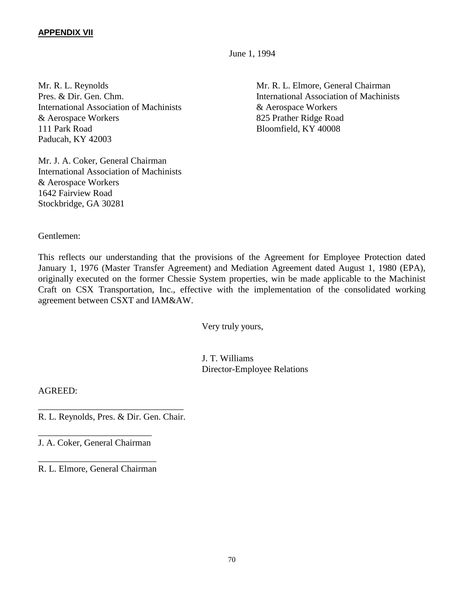#### **APPENDIX VII**

June 1, 1994

Mr. R. L. Reynolds Mr. R. L. Elmore, General Chairman International Association of Machinists & Aerospace Workers & Aerospace Workers 825 Prather Ridge Road 111 Park Road Bloomfield, KY 40008 Paducah, KY 42003

Mr. J. A. Coker, General Chairman International Association of Machinists & Aerospace Workers 1642 Fairview Road Stockbridge, GA 30281

Pres. & Dir. Gen. Chm. International Association of Machinists

Gentlemen:

This reflects our understanding that the provisions of the Agreement for Employee Protection dated January 1, 1976 (Master Transfer Agreement) and Mediation Agreement dated August 1, 1980 (EPA), originally executed on the former Chessie System properties, win be made applicable to the Machinist Craft on CSX Transportation, Inc., effective with the implementation of the consolidated working agreement between CSXT and IAM&AW.

Very truly yours,

J. T. Williams Director-Employee Relations

AGREED:

\_\_\_\_\_\_\_\_\_\_\_\_\_\_\_\_\_\_\_\_\_\_\_\_\_\_\_\_\_\_\_\_ R. L. Reynolds, Pres. & Dir. Gen. Chair.

\_\_\_\_\_\_\_\_\_\_\_\_\_\_\_\_\_\_\_\_\_\_\_\_\_ J. A. Coker, General Chairman

\_\_\_\_\_\_\_\_\_\_\_\_\_\_\_\_\_\_\_\_\_\_\_\_\_\_ R. L. Elmore, General Chairman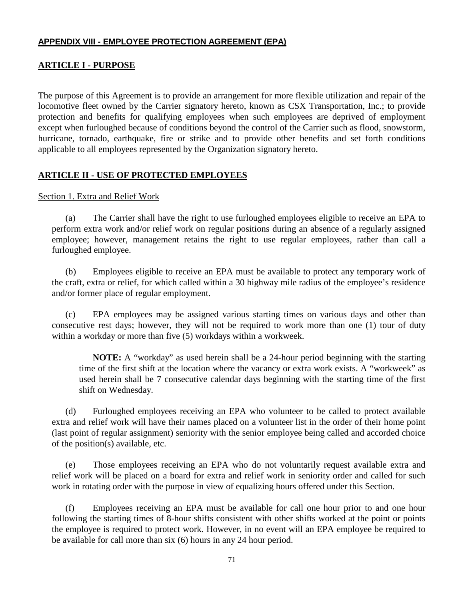### **APPENDIX VIII - EMPLOYEE PROTECTION AGREEMENT (EPA)**

### **ARTICLE I - PURPOSE**

The purpose of this Agreement is to provide an arrangement for more flexible utilization and repair of the locomotive fleet owned by the Carrier signatory hereto, known as CSX Transportation, Inc.; to provide protection and benefits for qualifying employees when such employees are deprived of employment except when furloughed because of conditions beyond the control of the Carrier such as flood, snowstorm, hurricane, tornado, earthquake, fire or strike and to provide other benefits and set forth conditions applicable to all employees represented by the Organization signatory hereto.

### **ARTICLE II - USE OF PROTECTED EMPLOYEES**

#### Section 1. Extra and Relief Work

(a) The Carrier shall have the right to use furloughed employees eligible to receive an EPA to perform extra work and/or relief work on regular positions during an absence of a regularly assigned employee; however, management retains the right to use regular employees, rather than call a furloughed employee.

(b) Employees eligible to receive an EPA must be available to protect any temporary work of the craft, extra or relief, for which called within a 30 highway mile radius of the employee's residence and/or former place of regular employment.

(c) EPA employees may be assigned various starting times on various days and other than consecutive rest days; however, they will not be required to work more than one (1) tour of duty within a workday or more than five (5) workdays within a workweek.

**NOTE:** A "workday" as used herein shall be a 24-hour period beginning with the starting time of the first shift at the location where the vacancy or extra work exists. A "workweek" as used herein shall be 7 consecutive calendar days beginning with the starting time of the first shift on Wednesday.

(d) Furloughed employees receiving an EPA who volunteer to be called to protect available extra and relief work will have their names placed on a volunteer list in the order of their home point (last point of regular assignment) seniority with the senior employee being called and accorded choice of the position(s) available, etc.

(e) Those employees receiving an EPA who do not voluntarily request available extra and relief work will be placed on a board for extra and relief work in seniority order and called for such work in rotating order with the purpose in view of equalizing hours offered under this Section.

(f) Employees receiving an EPA must be available for call one hour prior to and one hour following the starting times of 8-hour shifts consistent with other shifts worked at the point or points the employee is required to protect work. However, in no event will an EPA employee be required to be available for call more than six (6) hours in any 24 hour period.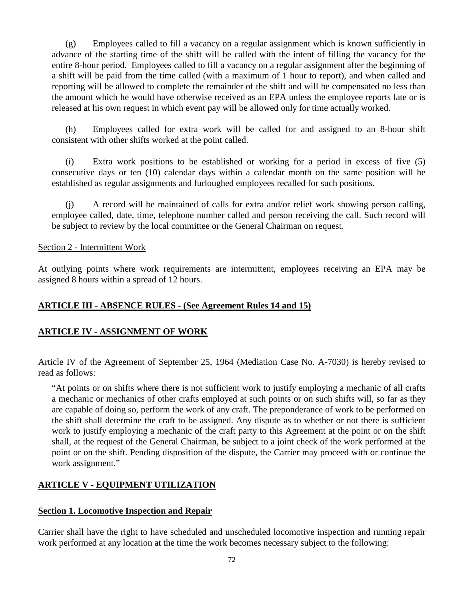(g) Employees called to fill a vacancy on a regular assignment which is known sufficiently in advance of the starting time of the shift will be called with the intent of filling the vacancy for the entire 8-hour period. Employees called to fill a vacancy on a regular assignment after the beginning of a shift will be paid from the time called (with a maximum of 1 hour to report), and when called and reporting will be allowed to complete the remainder of the shift and will be compensated no less than the amount which he would have otherwise received as an EPA unless the employee reports late or is released at his own request in which event pay will be allowed only for time actually worked.

(h) Employees called for extra work will be called for and assigned to an 8-hour shift consistent with other shifts worked at the point called.

(i) Extra work positions to be established or working for a period in excess of five (5) consecutive days or ten (10) calendar days within a calendar month on the same position will be established as regular assignments and furloughed employees recalled for such positions.

(j) A record will be maintained of calls for extra and/or relief work showing person calling, employee called, date, time, telephone number called and person receiving the call. Such record will be subject to review by the local committee or the General Chairman on request.

### Section 2 - Intermittent Work

At outlying points where work requirements are intermittent, employees receiving an EPA may be assigned 8 hours within a spread of 12 hours.

## **ARTICLE III - ABSENCE RULES - (See Agreement Rules 14 and 15)**

## **ARTICLE IV - ASSIGNMENT OF WORK**

Article IV of the Agreement of September 25, 1964 (Mediation Case No. A-7030) is hereby revised to read as follows:

"At points or on shifts where there is not sufficient work to justify employing a mechanic of all crafts a mechanic or mechanics of other crafts employed at such points or on such shifts will, so far as they are capable of doing so, perform the work of any craft. The preponderance of work to be performed on the shift shall determine the craft to be assigned. Any dispute as to whether or not there is sufficient work to justify employing a mechanic of the craft party to this Agreement at the point or on the shift shall, at the request of the General Chairman, be subject to a joint check of the work performed at the point or on the shift. Pending disposition of the dispute, the Carrier may proceed with or continue the work assignment."

# **ARTICLE V - EQUIPMENT UTILIZATION**

## **Section 1. Locomotive Inspection and Repair**

Carrier shall have the right to have scheduled and unscheduled locomotive inspection and running repair work performed at any location at the time the work becomes necessary subject to the following: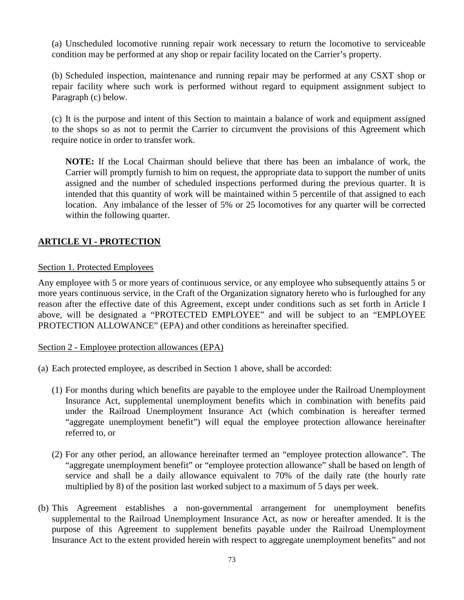(a) Unscheduled locomotive running repair work necessary to return the locomotive to serviceable condition may be performed at any shop or repair facility located on the Carrier's property.

(b) Scheduled inspection, maintenance and running repair may be performed at any CSXT shop or repair facility where such work is performed without regard to equipment assignment subject to Paragraph (c) below.

(c) It is the purpose and intent of this Section to maintain a balance of work and equipment assigned to the shops so as not to permit the Carrier to circumvent the provisions of this Agreement which require notice in order to transfer work.

**NOTE:** If the Local Chairman should believe that there has been an imbalance of work, the Carrier will promptly furnish to him on request, the appropriate data to support the number of units assigned and the number of scheduled inspections performed during the previous quarter. It is intended that this quantity of work will be maintained within 5 percentile of that assigned to each location. Any imbalance of the lesser of 5% or 25 locomotives for any quarter will be corrected within the following quarter.

# **ARTICLE VI - PROTECTION**

#### Section 1. Protected Employees

Any employee with 5 or more years of continuous service, or any employee who subsequently attains 5 or more years continuous service, in the Craft of the Organization signatory hereto who is furloughed for any reason after the effective date of this Agreement, except under conditions such as set forth in Article I above, will be designated a "PROTECTED EMPLOYEE" and will be subject to an "EMPLOYEE PROTECTION ALLOWANCE" (EPA) and other conditions as hereinafter specified.

#### Section 2 - Employee protection allowances (EPA)

- (a) Each protected employee, as described in Section 1 above, shall be accorded:
	- (1) For months during which benefits are payable to the employee under the Railroad Unemployment Insurance Act, supplemental unemployment benefits which in combination with benefits paid under the Railroad Unemployment Insurance Act (which combination is hereafter termed "aggregate unemployment benefit") will equal the employee protection allowance hereinafter referred to, or
	- (2) For any other period, an allowance hereinafter termed an "employee protection allowance". The "aggregate unemployment benefit" or "employee protection allowance" shall be based on length of service and shall be a daily allowance equivalent to 70% of the daily rate (the hourly rate multiplied by 8) of the position last worked subject to a maximum of 5 days per week.
- (b) This Agreement establishes a non-governmental arrangement for unemployment benefits supplemental to the Railroad Unemployment Insurance Act, as now or hereafter amended. It is the purpose of this Agreement to supplement benefits payable under the Railroad Unemployment Insurance Act to the extent provided herein with respect to aggregate unemployment benefits" and not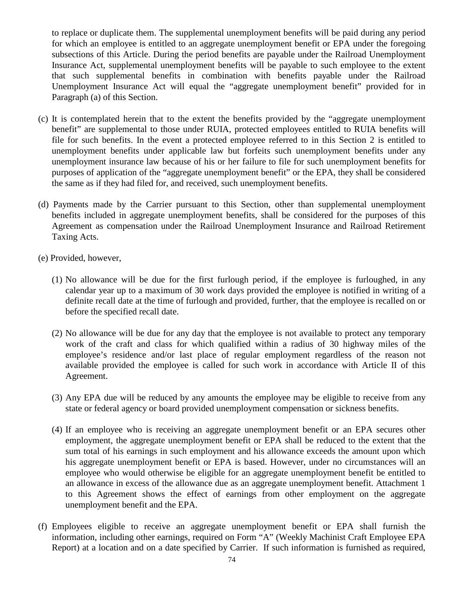to replace or duplicate them. The supplemental unemployment benefits will be paid during any period for which an employee is entitled to an aggregate unemployment benefit or EPA under the foregoing subsections of this Article. During the period benefits are payable under the Railroad Unemployment Insurance Act, supplemental unemployment benefits will be payable to such employee to the extent that such supplemental benefits in combination with benefits payable under the Railroad Unemployment Insurance Act will equal the "aggregate unemployment benefit" provided for in Paragraph (a) of this Section.

- (c) It is contemplated herein that to the extent the benefits provided by the "aggregate unemployment benefit" are supplemental to those under RUIA, protected employees entitled to RUIA benefits will file for such benefits. In the event a protected employee referred to in this Section 2 is entitled to unemployment benefits under applicable law but forfeits such unemployment benefits under any unemployment insurance law because of his or her failure to file for such unemployment benefits for purposes of application of the "aggregate unemployment benefit" or the EPA, they shall be considered the same as if they had filed for, and received, such unemployment benefits.
- (d) Payments made by the Carrier pursuant to this Section, other than supplemental unemployment benefits included in aggregate unemployment benefits, shall be considered for the purposes of this Agreement as compensation under the Railroad Unemployment Insurance and Railroad Retirement Taxing Acts.
- (e) Provided, however,
	- (1) No allowance will be due for the first furlough period, if the employee is furloughed, in any calendar year up to a maximum of 30 work days provided the employee is notified in writing of a definite recall date at the time of furlough and provided, further, that the employee is recalled on or before the specified recall date.
	- (2) No allowance will be due for any day that the employee is not available to protect any temporary work of the craft and class for which qualified within a radius of 30 highway miles of the employee's residence and/or last place of regular employment regardless of the reason not available provided the employee is called for such work in accordance with Article II of this Agreement.
	- (3) Any EPA due will be reduced by any amounts the employee may be eligible to receive from any state or federal agency or board provided unemployment compensation or sickness benefits.
	- (4) If an employee who is receiving an aggregate unemployment benefit or an EPA secures other employment, the aggregate unemployment benefit or EPA shall be reduced to the extent that the sum total of his earnings in such employment and his allowance exceeds the amount upon which his aggregate unemployment benefit or EPA is based. However, under no circumstances will an employee who would otherwise be eligible for an aggregate unemployment benefit be entitled to an allowance in excess of the allowance due as an aggregate unemployment benefit. Attachment 1 to this Agreement shows the effect of earnings from other employment on the aggregate unemployment benefit and the EPA.
- (f) Employees eligible to receive an aggregate unemployment benefit or EPA shall furnish the information, including other earnings, required on Form "A" (Weekly Machinist Craft Employee EPA Report) at a location and on a date specified by Carrier. If such information is furnished as required,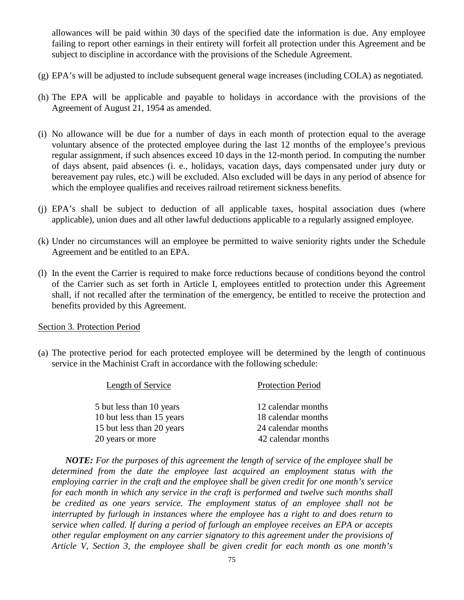allowances will be paid within 30 days of the specified date the information is due. Any employee failing to report other earnings in their entirety will forfeit all protection under this Agreement and be subject to discipline in accordance with the provisions of the Schedule Agreement.

- (g) EPA's will be adjusted to include subsequent general wage increases (including COLA) as negotiated.
- (h) The EPA will be applicable and payable to holidays in accordance with the provisions of the Agreement of August 21, 1954 as amended.
- (i) No allowance will be due for a number of days in each month of protection equal to the average voluntary absence of the protected employee during the last 12 months of the employee's previous regular assignment, if such absences exceed 10 days in the 12-month period. In computing the number of days absent, paid absences (i. e., holidays, vacation days, days compensated under jury duty or bereavement pay rules, etc.) will be excluded. Also excluded will be days in any period of absence for which the employee qualifies and receives railroad retirement sickness benefits.
- (j) EPA's shall be subject to deduction of all applicable taxes, hospital association dues (where applicable), union dues and all other lawful deductions applicable to a regularly assigned employee.
- (k) Under no circumstances will an employee be permitted to waive seniority rights under the Schedule Agreement and be entitled to an EPA.
- (l) In the event the Carrier is required to make force reductions because of conditions beyond the control of the Carrier such as set forth in Article I, employees entitled to protection under this Agreement shall, if not recalled after the termination of the emergency, be entitled to receive the protection and benefits provided by this Agreement.

#### Section 3. Protection Period

(a) The protective period for each protected employee will be determined by the length of continuous service in the Machinist Craft in accordance with the following schedule:

| Length of Service         | <b>Protection Period</b> |
|---------------------------|--------------------------|
| 5 but less than 10 years  | 12 calendar months       |
| 10 but less than 15 years | 18 calendar months       |
| 15 but less than 20 years | 24 calendar months       |
| 20 years or more          | 42 calendar months       |

*NOTE: For the purposes of this agreement the length of service of the employee shall be determined from the date the employee last acquired an employment status with the employing carrier in the craft and the employee shall be given credit for one month's service for each month in which any service in the craft is performed and twelve such months shall be credited as one years service. The employment status of an employee shall not be interrupted by furlough in instances where the employee has a right to and does return to service when called. If during a period of furlough an employee receives an EPA or accepts other regular employment on any carrier signatory to this agreement under the provisions of Article V, Section 3, the employee shall be given credit for each month as one month's*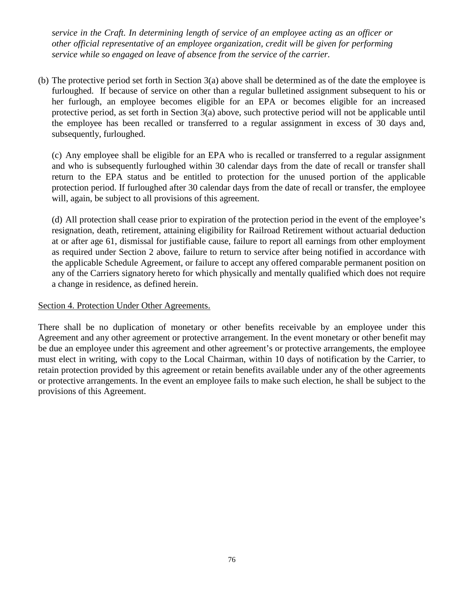*service in the Craft. In determining length of service of an employee acting as an officer or other official representative of an employee organization, credit will be given for performing service while so engaged on leave of absence from the service of the carrier.*

(b) The protective period set forth in Section 3(a) above shall be determined as of the date the employee is furloughed. If because of service on other than a regular bulletined assignment subsequent to his or her furlough, an employee becomes eligible for an EPA or becomes eligible for an increased protective period, as set forth in Section 3(a) above, such protective period will not be applicable until the employee has been recalled or transferred to a regular assignment in excess of 30 days and, subsequently, furloughed.

(c) Any employee shall be eligible for an EPA who is recalled or transferred to a regular assignment and who is subsequently furloughed within 30 calendar days from the date of recall or transfer shall return to the EPA status and be entitled to protection for the unused portion of the applicable protection period. If furloughed after 30 calendar days from the date of recall or transfer, the employee will, again, be subject to all provisions of this agreement.

(d) All protection shall cease prior to expiration of the protection period in the event of the employee's resignation, death, retirement, attaining eligibility for Railroad Retirement without actuarial deduction at or after age 61, dismissal for justifiable cause, failure to report all earnings from other employment as required under Section 2 above, failure to return to service after being notified in accordance with the applicable Schedule Agreement, or failure to accept any offered comparable permanent position on any of the Carriers signatory hereto for which physically and mentally qualified which does not require a change in residence, as defined herein.

#### Section 4. Protection Under Other Agreements.

There shall be no duplication of monetary or other benefits receivable by an employee under this Agreement and any other agreement or protective arrangement. In the event monetary or other benefit may be due an employee under this agreement and other agreement's or protective arrangements, the employee must elect in writing, with copy to the Local Chairman, within 10 days of notification by the Carrier, to retain protection provided by this agreement or retain benefits available under any of the other agreements or protective arrangements. In the event an employee fails to make such election, he shall be subject to the provisions of this Agreement.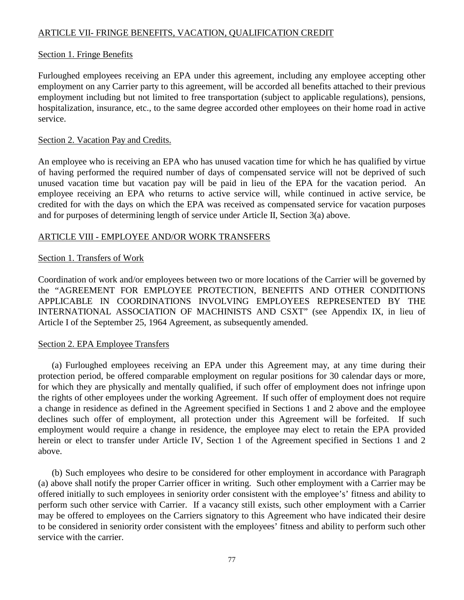# ARTICLE VII- FRINGE BENEFITS, VACATION, QUALIFICATION CREDIT

#### Section 1. Fringe Benefits

Furloughed employees receiving an EPA under this agreement, including any employee accepting other employment on any Carrier party to this agreement, will be accorded all benefits attached to their previous employment including but not limited to free transportation (subject to applicable regulations), pensions, hospitalization, insurance, etc., to the same degree accorded other employees on their home road in active service.

#### Section 2. Vacation Pay and Credits.

An employee who is receiving an EPA who has unused vacation time for which he has qualified by virtue of having performed the required number of days of compensated service will not be deprived of such unused vacation time but vacation pay will be paid in lieu of the EPA for the vacation period. An employee receiving an EPA who returns to active service will, while continued in active service, be credited for with the days on which the EPA was received as compensated service for vacation purposes and for purposes of determining length of service under Article II, Section 3(a) above.

#### ARTICLE VIII - EMPLOYEE AND/OR WORK TRANSFERS

#### Section 1. Transfers of Work

Coordination of work and/or employees between two or more locations of the Carrier will be governed by the "AGREEMENT FOR EMPLOYEE PROTECTION, BENEFITS AND OTHER CONDITIONS APPLICABLE IN COORDINATIONS INVOLVING EMPLOYEES REPRESENTED BY THE INTERNATIONAL ASSOCIATION OF MACHINISTS AND CSXT" (see Appendix IX, in lieu of Article I of the September 25, 1964 Agreement, as subsequently amended.

#### Section 2. EPA Employee Transfers

(a) Furloughed employees receiving an EPA under this Agreement may, at any time during their protection period, be offered comparable employment on regular positions for 30 calendar days or more, for which they are physically and mentally qualified, if such offer of employment does not infringe upon the rights of other employees under the working Agreement. If such offer of employment does not require a change in residence as defined in the Agreement specified in Sections 1 and 2 above and the employee declines such offer of employment, all protection under this Agreement will be forfeited. If such employment would require a change in residence, the employee may elect to retain the EPA provided herein or elect to transfer under Article IV, Section 1 of the Agreement specified in Sections 1 and 2 above.

(b) Such employees who desire to be considered for other employment in accordance with Paragraph (a) above shall notify the proper Carrier officer in writing. Such other employment with a Carrier may be offered initially to such employees in seniority order consistent with the employee's' fitness and ability to perform such other service with Carrier. If a vacancy still exists, such other employment with a Carrier may be offered to employees on the Carriers signatory to this Agreement who have indicated their desire to be considered in seniority order consistent with the employees' fitness and ability to perform such other service with the carrier.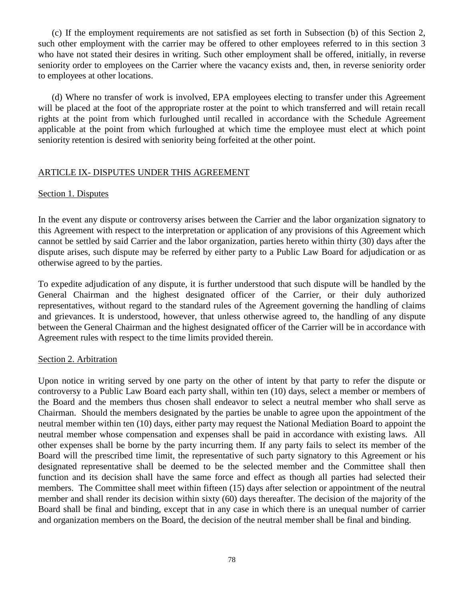(c) If the employment requirements are not satisfied as set forth in Subsection (b) of this Section 2, such other employment with the carrier may be offered to other employees referred to in this section 3 who have not stated their desires in writing. Such other employment shall be offered, initially, in reverse seniority order to employees on the Carrier where the vacancy exists and, then, in reverse seniority order to employees at other locations.

(d) Where no transfer of work is involved, EPA employees electing to transfer under this Agreement will be placed at the foot of the appropriate roster at the point to which transferred and will retain recall rights at the point from which furloughed until recalled in accordance with the Schedule Agreement applicable at the point from which furloughed at which time the employee must elect at which point seniority retention is desired with seniority being forfeited at the other point.

#### ARTICLE IX- DISPUTES UNDER THIS AGREEMENT

#### Section 1. Disputes

In the event any dispute or controversy arises between the Carrier and the labor organization signatory to this Agreement with respect to the interpretation or application of any provisions of this Agreement which cannot be settled by said Carrier and the labor organization, parties hereto within thirty (30) days after the dispute arises, such dispute may be referred by either party to a Public Law Board for adjudication or as otherwise agreed to by the parties.

To expedite adjudication of any dispute, it is further understood that such dispute will be handled by the General Chairman and the highest designated officer of the Carrier, or their duly authorized representatives, without regard to the standard rules of the Agreement governing the handling of claims and grievances. It is understood, however, that unless otherwise agreed to, the handling of any dispute between the General Chairman and the highest designated officer of the Carrier will be in accordance with Agreement rules with respect to the time limits provided therein.

#### Section 2. Arbitration

Upon notice in writing served by one party on the other of intent by that party to refer the dispute or controversy to a Public Law Board each party shall, within ten (10) days, select a member or members of the Board and the members thus chosen shall endeavor to select a neutral member who shall serve as Chairman. Should the members designated by the parties be unable to agree upon the appointment of the neutral member within ten (10) days, either party may request the National Mediation Board to appoint the neutral member whose compensation and expenses shall be paid in accordance with existing laws. All other expenses shall be borne by the party incurring them. If any party fails to select its member of the Board will the prescribed time limit, the representative of such party signatory to this Agreement or his designated representative shall be deemed to be the selected member and the Committee shall then function and its decision shall have the same force and effect as though all parties had selected their members. The Committee shall meet within fifteen (15) days after selection or appointment of the neutral member and shall render its decision within sixty (60) days thereafter. The decision of the majority of the Board shall be final and binding, except that in any case in which there is an unequal number of carrier and organization members on the Board, the decision of the neutral member shall be final and binding.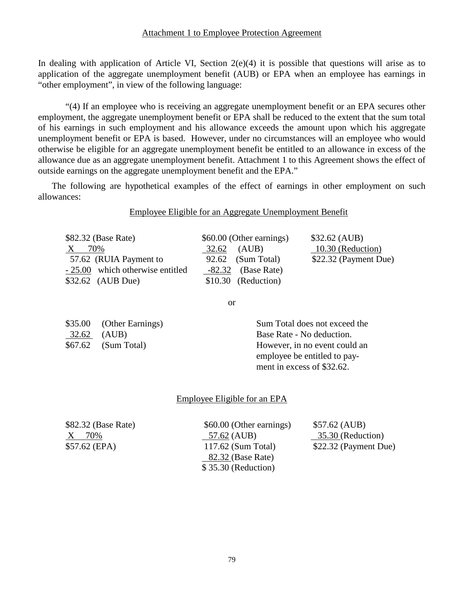In dealing with application of Article VI, Section 2(e)(4) it is possible that questions will arise as to application of the aggregate unemployment benefit (AUB) or EPA when an employee has earnings in "other employment", in view of the following language:

"(4) If an employee who is receiving an aggregate unemployment benefit or an EPA secures other employment, the aggregate unemployment benefit or EPA shall be reduced to the extent that the sum total of his earnings in such employment and his allowance exceeds the amount upon which his aggregate unemployment benefit or EPA is based. However, under no circumstances will an employee who would otherwise be eligible for an aggregate unemployment benefit be entitled to an allowance in excess of the allowance due as an aggregate unemployment benefit. Attachment 1 to this Agreement shows the effect of outside earnings on the aggregate unemployment benefit and the EPA."

The following are hypothetical examples of the effect of earnings in other employment on such allowances:

Employee Eligible for an Aggregate Unemployment Benefit

| \$82.32 (Base Rate)              | \$60.00 (Other earnings) | \$32.62 (AUB)         |
|----------------------------------|--------------------------|-----------------------|
| 70%<br>X.                        | 32.62 (AUB)              | 10.30 (Reduction)     |
| 57.62 (RUIA Payment to           | 92.62 (Sum Total)        | \$22.32 (Payment Due) |
| - 25.00 which otherwise entitled | $-82.32$ (Base Rate)     |                       |
| $$32.62$ (AUB Due)               | \$10.30 (Reduction)      |                       |
|                                  |                          |                       |

or

\$35.00 (Other Earnings) Sum Total does not exceed the 32.62 (AUB) Base Rate - No deduction. \$67.62 (Sum Total) However, in no event could an employee be entitled to pay ment in excess of \$32.62.

#### Employee Eligible for an EPA

\$82.32 (Base Rate) \$60.00 (Other earnings) \$57.62 (AUB) X 70% 57.62 (AUB) 35.30 (Reduction) \$57.62 (EPA) 117.62 (Sum Total) \$22.32 (Payment Due) 82.32 (Base Rate) \$ 35.30 (Reduction)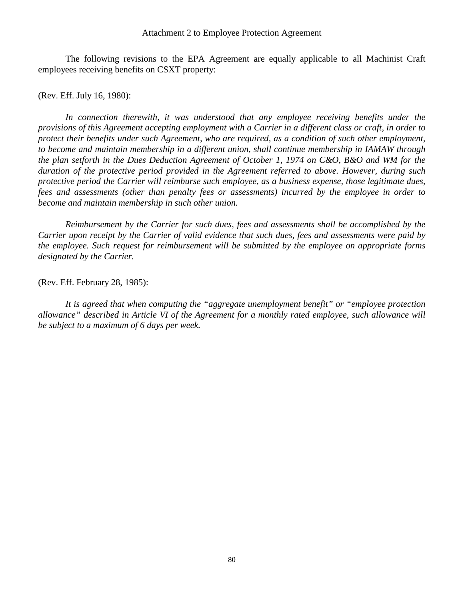#### Attachment 2 to Employee Protection Agreement

The following revisions to the EPA Agreement are equally applicable to all Machinist Craft employees receiving benefits on CSXT property:

(Rev. Eff. July 16, 1980):

*In connection therewith, it was understood that any employee receiving benefits under the provisions of this Agreement accepting employment with a Carrier in a different class or craft, in order to protect their benefits under such Agreement, who are required, as a condition of such other employment, to become and maintain membership in a different union, shall continue membership in IAMAW through the plan setforth in the Dues Deduction Agreement of October 1, 1974 on C&O, B&O and WM for the duration of the protective period provided in the Agreement referred to above. However, during such protective period the Carrier will reimburse such employee, as a business expense, those legitimate dues, fees and assessments (other than penalty fees or assessments) incurred by the employee in order to become and maintain membership in such other union.*

*Reimbursement by the Carrier for such dues, fees and assessments shall be accomplished by the Carrier upon receipt by the Carrier of valid evidence that such dues, fees and assessments were paid by the employee. Such request for reimbursement will be submitted by the employee on appropriate forms designated by the Carrier.*

(Rev. Eff. February 28, 1985):

*It is agreed that when computing the "aggregate unemployment benefit" or "employee protection allowance" described in Article VI of the Agreement for a monthly rated employee, such allowance will be subject to a maximum of 6 days per week.*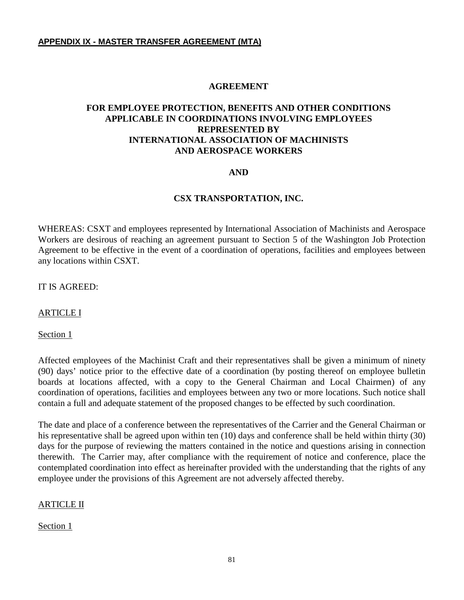#### **AGREEMENT**

# **FOR EMPLOYEE PROTECTION, BENEFITS AND OTHER CONDITIONS APPLICABLE IN COORDINATIONS INVOLVING EMPLOYEES REPRESENTED BY INTERNATIONAL ASSOCIATION OF MACHINISTS AND AEROSPACE WORKERS**

#### **AND**

#### **CSX TRANSPORTATION, INC.**

WHEREAS: CSXT and employees represented by International Association of Machinists and Aerospace Workers are desirous of reaching an agreement pursuant to Section 5 of the Washington Job Protection Agreement to be effective in the event of a coordination of operations, facilities and employees between any locations within CSXT.

#### IT IS AGREED:

#### ARTICLE I

Section 1

Affected employees of the Machinist Craft and their representatives shall be given a minimum of ninety (90) days' notice prior to the effective date of a coordination (by posting thereof on employee bulletin boards at locations affected, with a copy to the General Chairman and Local Chairmen) of any coordination of operations, facilities and employees between any two or more locations. Such notice shall contain a full and adequate statement of the proposed changes to be effected by such coordination.

The date and place of a conference between the representatives of the Carrier and the General Chairman or his representative shall be agreed upon within ten (10) days and conference shall be held within thirty (30) days for the purpose of reviewing the matters contained in the notice and questions arising in connection therewith. The Carrier may, after compliance with the requirement of notice and conference, place the contemplated coordination into effect as hereinafter provided with the understanding that the rights of any employee under the provisions of this Agreement are not adversely affected thereby.

#### ARTICLE II

#### Section 1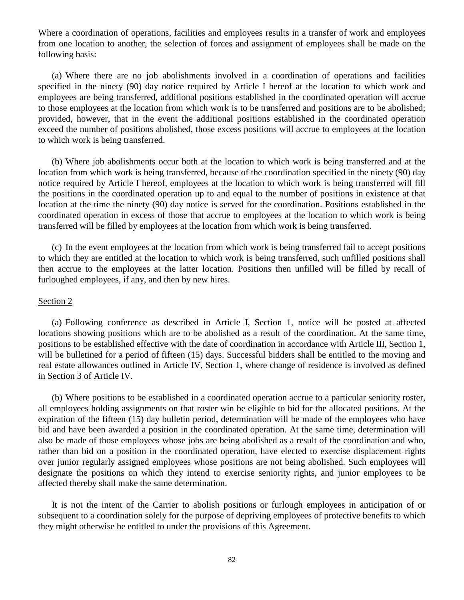Where a coordination of operations, facilities and employees results in a transfer of work and employees from one location to another, the selection of forces and assignment of employees shall be made on the following basis:

(a) Where there are no job abolishments involved in a coordination of operations and facilities specified in the ninety (90) day notice required by Article I hereof at the location to which work and employees are being transferred, additional positions established in the coordinated operation will accrue to those employees at the location from which work is to be transferred and positions are to be abolished; provided, however, that in the event the additional positions established in the coordinated operation exceed the number of positions abolished, those excess positions will accrue to employees at the location to which work is being transferred.

(b) Where job abolishments occur both at the location to which work is being transferred and at the location from which work is being transferred, because of the coordination specified in the ninety (90) day notice required by Article I hereof, employees at the location to which work is being transferred will fill the positions in the coordinated operation up to and equal to the number of positions in existence at that location at the time the ninety (90) day notice is served for the coordination. Positions established in the coordinated operation in excess of those that accrue to employees at the location to which work is being transferred will be filled by employees at the location from which work is being transferred.

(c) In the event employees at the location from which work is being transferred fail to accept positions to which they are entitled at the location to which work is being transferred, such unfilled positions shall then accrue to the employees at the latter location. Positions then unfilled will be filled by recall of furloughed employees, if any, and then by new hires.

#### Section 2

(a) Following conference as described in Article I, Section 1, notice will be posted at affected locations showing positions which are to be abolished as a result of the coordination. At the same time, positions to be established effective with the date of coordination in accordance with Article III, Section 1, will be bulletined for a period of fifteen (15) days. Successful bidders shall be entitled to the moving and real estate allowances outlined in Article IV, Section 1, where change of residence is involved as defined in Section 3 of Article IV.

(b) Where positions to be established in a coordinated operation accrue to a particular seniority roster, all employees holding assignments on that roster win be eligible to bid for the allocated positions. At the expiration of the fifteen (15) day bulletin period, determination will be made of the employees who have bid and have been awarded a position in the coordinated operation. At the same time, determination will also be made of those employees whose jobs are being abolished as a result of the coordination and who, rather than bid on a position in the coordinated operation, have elected to exercise displacement rights over junior regularly assigned employees whose positions are not being abolished. Such employees will designate the positions on which they intend to exercise seniority rights, and junior employees to be affected thereby shall make the same determination.

It is not the intent of the Carrier to abolish positions or furlough employees in anticipation of or subsequent to a coordination solely for the purpose of depriving employees of protective benefits to which they might otherwise be entitled to under the provisions of this Agreement.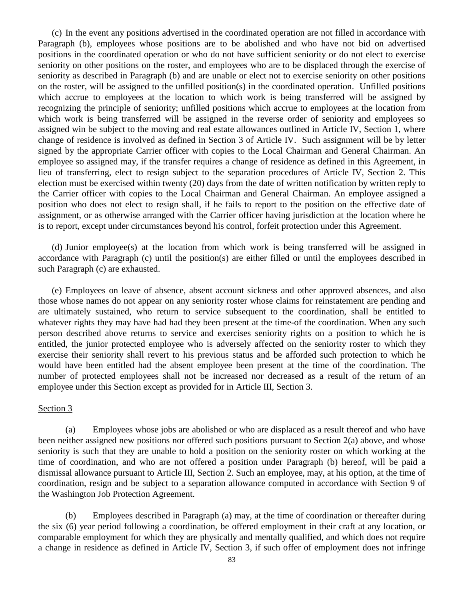(c) In the event any positions advertised in the coordinated operation are not filled in accordance with Paragraph (b), employees whose positions are to be abolished and who have not bid on advertised positions in the coordinated operation or who do not have sufficient seniority or do not elect to exercise seniority on other positions on the roster, and employees who are to be displaced through the exercise of seniority as described in Paragraph (b) and are unable or elect not to exercise seniority on other positions on the roster, will be assigned to the unfilled position(s) in the coordinated operation. Unfilled positions which accrue to employees at the location to which work is being transferred will be assigned by recognizing the principle of seniority; unfilled positions which accrue to employees at the location from which work is being transferred will be assigned in the reverse order of seniority and employees so assigned win be subject to the moving and real estate allowances outlined in Article IV, Section 1, where change of residence is involved as defined in Section 3 of Article IV. Such assignment will be by letter signed by the appropriate Carrier officer with copies to the Local Chairman and General Chairman. An employee so assigned may, if the transfer requires a change of residence as defined in this Agreement, in lieu of transferring, elect to resign subject to the separation procedures of Article IV, Section 2. This election must be exercised within twenty (20) days from the date of written notification by written reply to the Carrier officer with copies to the Local Chairman and General Chairman. An employee assigned a position who does not elect to resign shall, if he fails to report to the position on the effective date of assignment, or as otherwise arranged with the Carrier officer having jurisdiction at the location where he is to report, except under circumstances beyond his control, forfeit protection under this Agreement.

(d) Junior employee(s) at the location from which work is being transferred will be assigned in accordance with Paragraph (c) until the position(s) are either filled or until the employees described in such Paragraph (c) are exhausted.

(e) Employees on leave of absence, absent account sickness and other approved absences, and also those whose names do not appear on any seniority roster whose claims for reinstatement are pending and are ultimately sustained, who return to service subsequent to the coordination, shall be entitled to whatever rights they may have had had they been present at the time-of the coordination. When any such person described above returns to service and exercises seniority rights on a position to which he is entitled, the junior protected employee who is adversely affected on the seniority roster to which they exercise their seniority shall revert to his previous status and be afforded such protection to which he would have been entitled had the absent employee been present at the time of the coordination. The number of protected employees shall not be increased nor decreased as a result of the return of an employee under this Section except as provided for in Article III, Section 3.

#### Section 3

(a) Employees whose jobs are abolished or who are displaced as a result thereof and who have been neither assigned new positions nor offered such positions pursuant to Section 2(a) above, and whose seniority is such that they are unable to hold a position on the seniority roster on which working at the time of coordination, and who are not offered a position under Paragraph (b) hereof, will be paid a dismissal allowance pursuant to Article III, Section 2. Such an employee, may, at his option, at the time of coordination, resign and be subject to a separation allowance computed in accordance with Section 9 of the Washington Job Protection Agreement.

(b) Employees described in Paragraph (a) may, at the time of coordination or thereafter during the six (6) year period following a coordination, be offered employment in their craft at any location, or comparable employment for which they are physically and mentally qualified, and which does not require a change in residence as defined in Article IV, Section 3, if such offer of employment does not infringe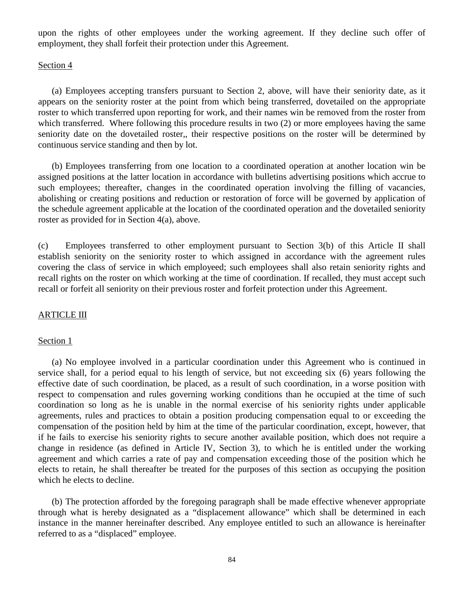upon the rights of other employees under the working agreement. If they decline such offer of employment, they shall forfeit their protection under this Agreement.

#### Section 4

(a) Employees accepting transfers pursuant to Section 2, above, will have their seniority date, as it appears on the seniority roster at the point from which being transferred, dovetailed on the appropriate roster to which transferred upon reporting for work, and their names win be removed from the roster from which transferred. Where following this procedure results in two (2) or more employees having the same seniority date on the dovetailed roster,, their respective positions on the roster will be determined by continuous service standing and then by lot.

(b) Employees transferring from one location to a coordinated operation at another location win be assigned positions at the latter location in accordance with bulletins advertising positions which accrue to such employees; thereafter, changes in the coordinated operation involving the filling of vacancies, abolishing or creating positions and reduction or restoration of force will be governed by application of the schedule agreement applicable at the location of the coordinated operation and the dovetailed seniority roster as provided for in Section 4(a), above.

(c) Employees transferred to other employment pursuant to Section 3(b) of this Article II shall establish seniority on the seniority roster to which assigned in accordance with the agreement rules covering the class of service in which employeed; such employees shall also retain seniority rights and recall rights on the roster on which working at the time of coordination. If recalled, they must accept such recall or forfeit all seniority on their previous roster and forfeit protection under this Agreement.

#### **ARTICLE III**

#### Section 1

(a) No employee involved in a particular coordination under this Agreement who is continued in service shall, for a period equal to his length of service, but not exceeding six (6) years following the effective date of such coordination, be placed, as a result of such coordination, in a worse position with respect to compensation and rules governing working conditions than he occupied at the time of such coordination so long as he is unable in the normal exercise of his seniority rights under applicable agreements, rules and practices to obtain a position producing compensation equal to or exceeding the compensation of the position held by him at the time of the particular coordination, except, however, that if he fails to exercise his seniority rights to secure another available position, which does not require a change in residence (as defined in Article IV, Section 3), to which he is entitled under the working agreement and which carries a rate of pay and compensation exceeding those of the position which he elects to retain, he shall thereafter be treated for the purposes of this section as occupying the position which he elects to decline.

(b) The protection afforded by the foregoing paragraph shall be made effective whenever appropriate through what is hereby designated as a "displacement allowance" which shall be determined in each instance in the manner hereinafter described. Any employee entitled to such an allowance is hereinafter referred to as a "displaced" employee.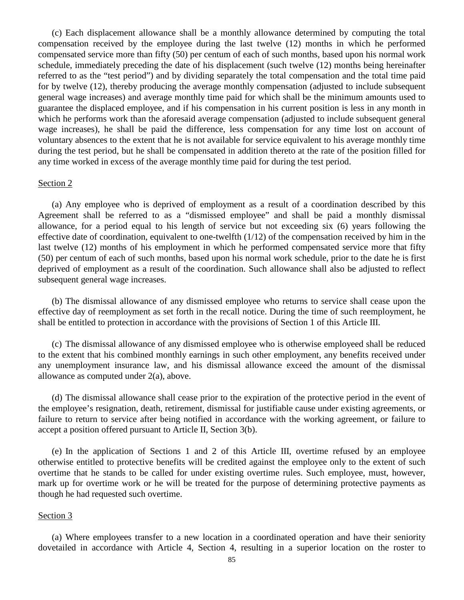(c) Each displacement allowance shall be a monthly allowance determined by computing the total compensation received by the employee during the last twelve (12) months in which he performed compensated service more than fifty (50) per centum of each of such months, based upon his normal work schedule, immediately preceding the date of his displacement (such twelve (12) months being hereinafter referred to as the "test period") and by dividing separately the total compensation and the total time paid for by twelve (12), thereby producing the average monthly compensation (adjusted to include subsequent general wage increases) and average monthly time paid for which shall be the minimum amounts used to guarantee the displaced employee, and if his compensation in his current position is less in any month in which he performs work than the aforesaid average compensation (adjusted to include subsequent general wage increases), he shall be paid the difference, less compensation for any time lost on account of voluntary absences to the extent that he is not available for service equivalent to his average monthly time during the test period, but he shall be compensated in addition thereto at the rate of the position filled for any time worked in excess of the average monthly time paid for during the test period.

#### Section 2

(a) Any employee who is deprived of employment as a result of a coordination described by this Agreement shall be referred to as a "dismissed employee" and shall be paid a monthly dismissal allowance, for a period equal to his length of service but not exceeding six (6) years following the effective date of coordination, equivalent to one-twelfth (1/12) of the compensation received by him in the last twelve (12) months of his employment in which he performed compensated service more that fifty (50) per centum of each of such months, based upon his normal work schedule, prior to the date he is first deprived of employment as a result of the coordination. Such allowance shall also be adjusted to reflect subsequent general wage increases.

(b) The dismissal allowance of any dismissed employee who returns to service shall cease upon the effective day of reemployment as set forth in the recall notice. During the time of such reemployment, he shall be entitled to protection in accordance with the provisions of Section 1 of this Article III.

(c) The dismissal allowance of any dismissed employee who is otherwise employeed shall be reduced to the extent that his combined monthly earnings in such other employment, any benefits received under any unemployment insurance law, and his dismissal allowance exceed the amount of the dismissal allowance as computed under 2(a), above.

(d) The dismissal allowance shall cease prior to the expiration of the protective period in the event of the employee's resignation, death, retirement, dismissal for justifiable cause under existing agreements, or failure to return to service after being notified in accordance with the working agreement, or failure to accept a position offered pursuant to Article II, Section 3(b).

(e) In the application of Sections 1 and 2 of this Article III, overtime refused by an employee otherwise entitled to protective benefits will be credited against the employee only to the extent of such overtime that he stands to be called for under existing overtime rules. Such employee, must, however, mark up for overtime work or he will be treated for the purpose of determining protective payments as though he had requested such overtime.

#### Section 3

(a) Where employees transfer to a new location in a coordinated operation and have their seniority dovetailed in accordance with Article 4, Section 4, resulting in a superior location on the roster to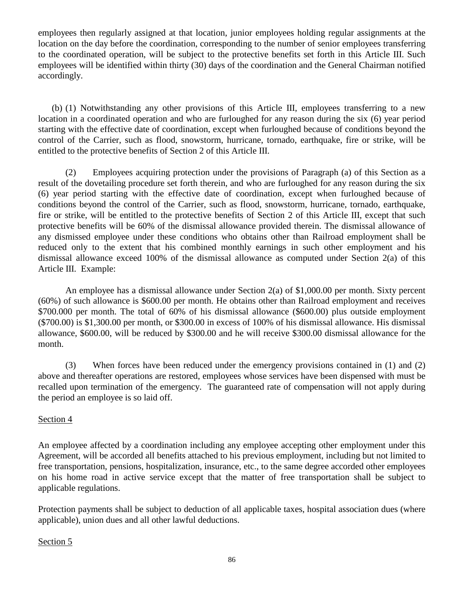employees then regularly assigned at that location, junior employees holding regular assignments at the location on the day before the coordination, corresponding to the number of senior employees transferring to the coordinated operation, will be subject to the protective benefits set forth in this Article III. Such employees will be identified within thirty (30) days of the coordination and the General Chairman notified accordingly.

(b) (1) Notwithstanding any other provisions of this Article III, employees transferring to a new location in a coordinated operation and who are furloughed for any reason during the six (6) year period starting with the effective date of coordination, except when furloughed because of conditions beyond the control of the Carrier, such as flood, snowstorm, hurricane, tornado, earthquake, fire or strike, will be entitled to the protective benefits of Section 2 of this Article III.

(2) Employees acquiring protection under the provisions of Paragraph (a) of this Section as a result of the dovetailing procedure set forth therein, and who are furloughed for any reason during the six (6) year period starting with the effective date of coordination, except when furloughed because of conditions beyond the control of the Carrier, such as flood, snowstorm, hurricane, tornado, earthquake, fire or strike, will be entitled to the protective benefits of Section 2 of this Article III, except that such protective benefits will be 60% of the dismissal allowance provided therein. The dismissal allowance of any dismissed employee under these conditions who obtains other than Railroad employment shall be reduced only to the extent that his combined monthly earnings in such other employment and his dismissal allowance exceed 100% of the dismissal allowance as computed under Section 2(a) of this Article III. Example:

An employee has a dismissal allowance under Section 2(a) of \$1,000.00 per month. Sixty percent (60%) of such allowance is \$600.00 per month. He obtains other than Railroad employment and receives \$700.000 per month. The total of 60% of his dismissal allowance (\$600.00) plus outside employment (\$700.00) is \$1,300.00 per month, or \$300.00 in excess of 100% of his dismissal allowance. His dismissal allowance, \$600.00, will be reduced by \$300.00 and he will receive \$300.00 dismissal allowance for the month.

(3) When forces have been reduced under the emergency provisions contained in (1) and (2) above and thereafter operations are restored, employees whose services have been dispensed with must be recalled upon termination of the emergency. The guaranteed rate of compensation will not apply during the period an employee is so laid off.

# Section 4

An employee affected by a coordination including any employee accepting other employment under this Agreement, will be accorded all benefits attached to his previous employment, including but not limited to free transportation, pensions, hospitalization, insurance, etc., to the same degree accorded other employees on his home road in active service except that the matter of free transportation shall be subject to applicable regulations.

Protection payments shall be subject to deduction of all applicable taxes, hospital association dues (where applicable), union dues and all other lawful deductions.

# Section 5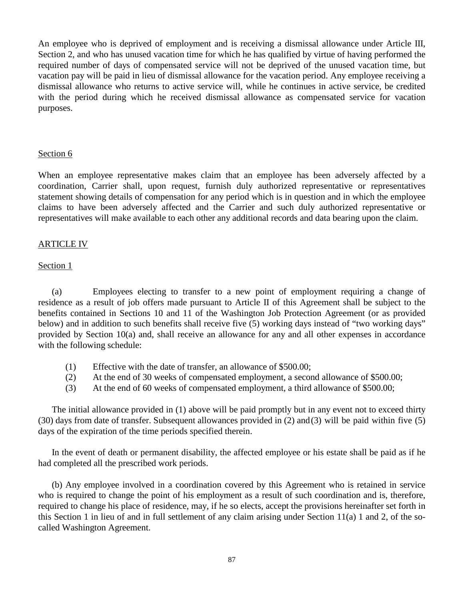An employee who is deprived of employment and is receiving a dismissal allowance under Article III, Section 2, and who has unused vacation time for which he has qualified by virtue of having performed the required number of days of compensated service will not be deprived of the unused vacation time, but vacation pay will be paid in lieu of dismissal allowance for the vacation period. Any employee receiving a dismissal allowance who returns to active service will, while he continues in active service, be credited with the period during which he received dismissal allowance as compensated service for vacation purposes.

#### Section 6

When an employee representative makes claim that an employee has been adversely affected by a coordination, Carrier shall, upon request, furnish duly authorized representative or representatives statement showing details of compensation for any period which is in question and in which the employee claims to have been adversely affected and the Carrier and such duly authorized representative or representatives will make available to each other any additional records and data bearing upon the claim.

#### ARTICLE IV

#### Section 1

(a) Employees electing to transfer to a new point of employment requiring a change of residence as a result of job offers made pursuant to Article II of this Agreement shall be subject to the benefits contained in Sections 10 and 11 of the Washington Job Protection Agreement (or as provided below) and in addition to such benefits shall receive five (5) working days instead of "two working days" provided by Section 10(a) and, shall receive an allowance for any and all other expenses in accordance with the following schedule:

- (1) Effective with the date of transfer, an allowance of \$500.00;
- (2) At the end of 30 weeks of compensated employment, a second allowance of \$500.00;
- (3) At the end of 60 weeks of compensated employment, a third allowance of \$500.00;

The initial allowance provided in (1) above will be paid promptly but in any event not to exceed thirty (30) days from date of transfer. Subsequent allowances provided in (2) and(3) will be paid within five (5) days of the expiration of the time periods specified therein.

In the event of death or permanent disability, the affected employee or his estate shall be paid as if he had completed all the prescribed work periods.

(b) Any employee involved in a coordination covered by this Agreement who is retained in service who is required to change the point of his employment as a result of such coordination and is, therefore, required to change his place of residence, may, if he so elects, accept the provisions hereinafter set forth in this Section 1 in lieu of and in full settlement of any claim arising under Section 11(a) 1 and 2, of the socalled Washington Agreement.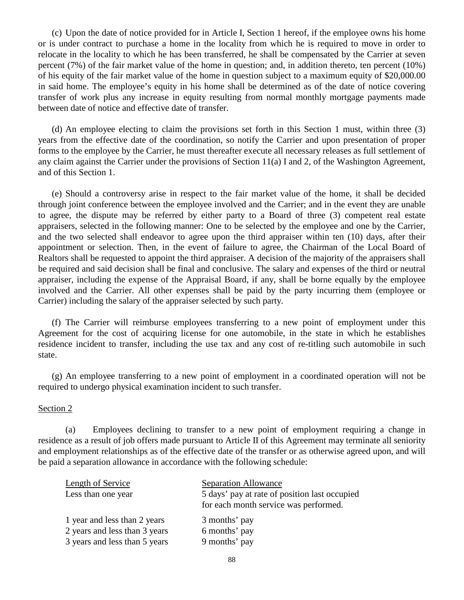(c) Upon the date of notice provided for in Article I, Section 1 hereof, if the employee owns his home or is under contract to purchase a home in the locality from which he is required to move in order to relocate in the locality to which he has been transferred, he shall be compensated by the Carrier at seven percent (7%) of the fair market value of the home in question; and, in addition thereto, ten percent (10%) of his equity of the fair market value of the home in question subject to a maximum equity of \$20,000.00 in said home. The employee's equity in his home shall be determined as of the date of notice covering transfer of work plus any increase in equity resulting from normal monthly mortgage payments made between date of notice and effective date of transfer.

(d) An employee electing to claim the provisions set forth in this Section 1 must, within three (3) years from the effective date of the coordination, so notify the Carrier and upon presentation of proper forms to the employee by the Carrier, he must thereafter execute all necessary releases as full settlement of any claim against the Carrier under the provisions of Section 11(a) I and 2, of the Washington Agreement, and of this Section 1.

(e) Should a controversy arise in respect to the fair market value of the home, it shall be decided through joint conference between the employee involved and the Carrier; and in the event they are unable to agree, the dispute may be referred by either party to a Board of three (3) competent real estate appraisers, selected in the following manner: One to be selected by the employee and one by the Carrier, and the two selected shall endeavor to agree upon the third appraiser within ten (10) days, after their appointment or selection. Then, in the event of failure to agree, the Chairman of the Local Board of Realtors shall be requested to appoint the third appraiser. A decision of the majority of the appraisers shall be required and said decision shall be final and conclusive. The salary and expenses of the third or neutral appraiser, including the expense of the Appraisal Board, if any, shall be borne equally by the employee involved and the Carrier. All other expenses shall be paid by the party incurring them (employee or Carrier) including the salary of the appraiser selected by such party.

(f) The Carrier will reimburse employees transferring to a new point of employment under this Agreement for the cost of acquiring license for one automobile, in the state in which he establishes residence incident to transfer, including the use tax and any cost of re-titling such automobile in such state.

(g) An employee transferring to a new point of employment in a coordinated operation will not be required to undergo physical examination incident to such transfer.

#### Section 2

(a) Employees declining to transfer to a new point of employment requiring a change in residence as a result of job offers made pursuant to Article II of this Agreement may terminate all seniority and employment relationships as of the effective date of the transfer or as otherwise agreed upon, and will be paid a separation allowance in accordance with the following schedule:

| Length of Service             | <b>Separation Allowance</b>                                                            |
|-------------------------------|----------------------------------------------------------------------------------------|
| Less than one year            | 5 days' pay at rate of position last occupied<br>for each month service was performed. |
| 1 year and less than 2 years  | 3 months' pay                                                                          |
| 2 years and less than 3 years | 6 months' pay                                                                          |
| 3 years and less than 5 years | 9 months' pay                                                                          |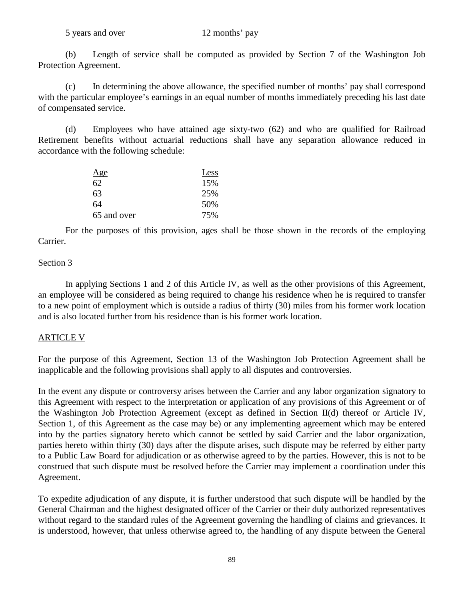(b) Length of service shall be computed as provided by Section 7 of the Washington Job Protection Agreement.

(c) In determining the above allowance, the specified number of months' pay shall correspond with the particular employee's earnings in an equal number of months immediately preceding his last date of compensated service.

(d) Employees who have attained age sixty-two (62) and who are qualified for Railroad Retirement benefits without actuarial reductions shall have any separation allowance reduced in accordance with the following schedule:

| <u>Age</u>  | Less |
|-------------|------|
| 62          | 15%  |
| 63          | 25%  |
| 64          | 50%  |
| 65 and over | 75%  |

For the purposes of this provision, ages shall be those shown in the records of the employing Carrier.

#### Section 3

In applying Sections 1 and 2 of this Article IV, as well as the other provisions of this Agreement, an employee will be considered as being required to change his residence when he is required to transfer to a new point of employment which is outside a radius of thirty (30) miles from his former work location and is also located further from his residence than is his former work location.

# ARTICLE V

For the purpose of this Agreement, Section 13 of the Washington Job Protection Agreement shall be inapplicable and the following provisions shall apply to all disputes and controversies.

In the event any dispute or controversy arises between the Carrier and any labor organization signatory to this Agreement with respect to the interpretation or application of any provisions of this Agreement or of the Washington Job Protection Agreement (except as defined in Section II(d) thereof or Article IV, Section 1, of this Agreement as the case may be) or any implementing agreement which may be entered into by the parties signatory hereto which cannot be settled by said Carrier and the labor organization, parties hereto within thirty (30) days after the dispute arises, such dispute may be referred by either party to a Public Law Board for adjudication or as otherwise agreed to by the parties. However, this is not to be construed that such dispute must be resolved before the Carrier may implement a coordination under this Agreement.

To expedite adjudication of any dispute, it is further understood that such dispute will be handled by the General Chairman and the highest designated officer of the Carrier or their duly authorized representatives without regard to the standard rules of the Agreement governing the handling of claims and grievances. It is understood, however, that unless otherwise agreed to, the handling of any dispute between the General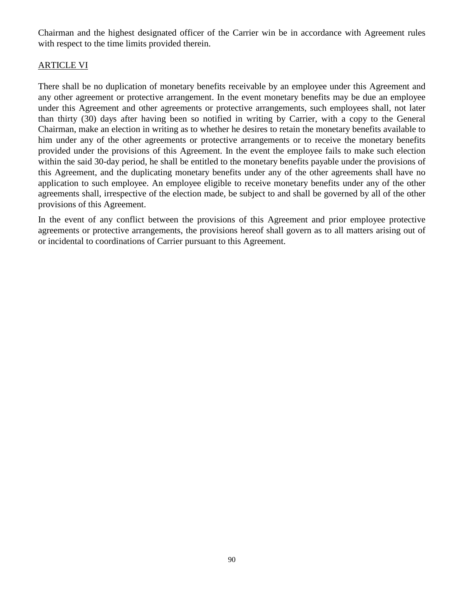Chairman and the highest designated officer of the Carrier win be in accordance with Agreement rules with respect to the time limits provided therein.

#### ARTICLE VI

There shall be no duplication of monetary benefits receivable by an employee under this Agreement and any other agreement or protective arrangement. In the event monetary benefits may be due an employee under this Agreement and other agreements or protective arrangements, such employees shall, not later than thirty (30) days after having been so notified in writing by Carrier, with a copy to the General Chairman, make an election in writing as to whether he desires to retain the monetary benefits available to him under any of the other agreements or protective arrangements or to receive the monetary benefits provided under the provisions of this Agreement. In the event the employee fails to make such election within the said 30-day period, he shall be entitled to the monetary benefits payable under the provisions of this Agreement, and the duplicating monetary benefits under any of the other agreements shall have no application to such employee. An employee eligible to receive monetary benefits under any of the other agreements shall, irrespective of the election made, be subject to and shall be governed by all of the other provisions of this Agreement.

In the event of any conflict between the provisions of this Agreement and prior employee protective agreements or protective arrangements, the provisions hereof shall govern as to all matters arising out of or incidental to coordinations of Carrier pursuant to this Agreement.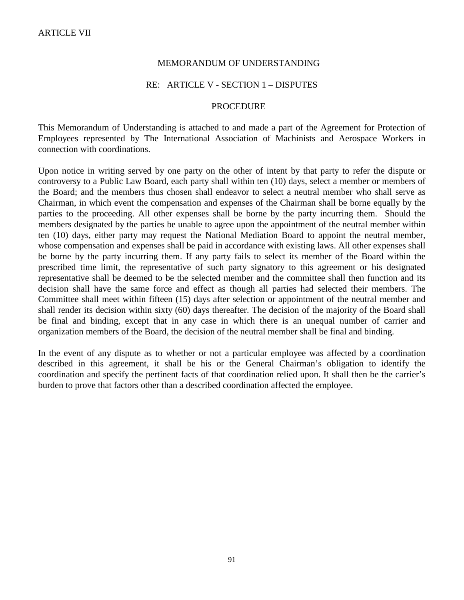#### MEMORANDUM OF UNDERSTANDING

#### RE: ARTICLE V - SECTION 1 – DISPUTES

#### **PROCEDURE**

This Memorandum of Understanding is attached to and made a part of the Agreement for Protection of Employees represented by The International Association of Machinists and Aerospace Workers in connection with coordinations.

Upon notice in writing served by one party on the other of intent by that party to refer the dispute or controversy to a Public Law Board, each party shall within ten (10) days, select a member or members of the Board; and the members thus chosen shall endeavor to select a neutral member who shall serve as Chairman, in which event the compensation and expenses of the Chairman shall be borne equally by the parties to the proceeding. All other expenses shall be borne by the party incurring them. Should the members designated by the parties be unable to agree upon the appointment of the neutral member within ten (10) days, either party may request the National Mediation Board to appoint the neutral member, whose compensation and expenses shall be paid in accordance with existing laws. All other expenses shall be borne by the party incurring them. If any party fails to select its member of the Board within the prescribed time limit, the representative of such party signatory to this agreement or his designated representative shall be deemed to be the selected member and the committee shall then function and its decision shall have the same force and effect as though all parties had selected their members. The Committee shall meet within fifteen (15) days after selection or appointment of the neutral member and shall render its decision within sixty (60) days thereafter. The decision of the majority of the Board shall be final and binding, except that in any case in which there is an unequal number of carrier and organization members of the Board, the decision of the neutral member shall be final and binding.

In the event of any dispute as to whether or not a particular employee was affected by a coordination described in this agreement, it shall be his or the General Chairman's obligation to identify the coordination and specify the pertinent facts of that coordination relied upon. It shall then be the carrier's burden to prove that factors other than a described coordination affected the employee.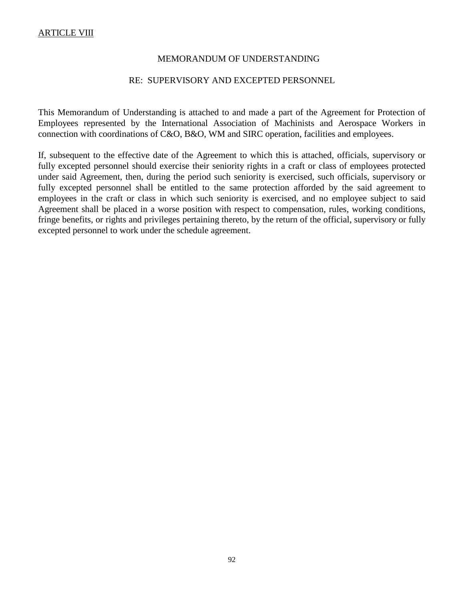#### MEMORANDUM OF UNDERSTANDING

#### RE: SUPERVISORY AND EXCEPTED PERSONNEL

This Memorandum of Understanding is attached to and made a part of the Agreement for Protection of Employees represented by the International Association of Machinists and Aerospace Workers in connection with coordinations of C&O, B&O, WM and SIRC operation, facilities and employees.

If, subsequent to the effective date of the Agreement to which this is attached, officials, supervisory or fully excepted personnel should exercise their seniority rights in a craft or class of employees protected under said Agreement, then, during the period such seniority is exercised, such officials, supervisory or fully excepted personnel shall be entitled to the same protection afforded by the said agreement to employees in the craft or class in which such seniority is exercised, and no employee subject to said Agreement shall be placed in a worse position with respect to compensation, rules, working conditions, fringe benefits, or rights and privileges pertaining thereto, by the return of the official, supervisory or fully excepted personnel to work under the schedule agreement.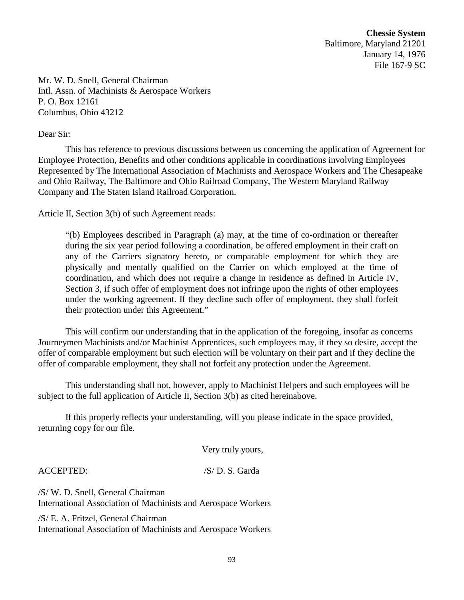**Chessie System** Baltimore, Maryland 21201 January 14, 1976 File 167-9 SC

Mr. W. D. Snell, General Chairman Intl. Assn. of Machinists & Aerospace Workers P. O. Box 12161 Columbus, Ohio 43212

#### Dear Sir:

This has reference to previous discussions between us concerning the application of Agreement for Employee Protection, Benefits and other conditions applicable in coordinations involving Employees Represented by The International Association of Machinists and Aerospace Workers and The Chesapeake and Ohio Railway, The Baltimore and Ohio Railroad Company, The Western Maryland Railway Company and The Staten Island Railroad Corporation.

Article II, Section 3(b) of such Agreement reads:

"(b) Employees described in Paragraph (a) may, at the time of co-ordination or thereafter during the six year period following a coordination, be offered employment in their craft on any of the Carriers signatory hereto, or comparable employment for which they are physically and mentally qualified on the Carrier on which employed at the time of coordination, and which does not require a change in residence as defined in Article IV, Section 3, if such offer of employment does not infringe upon the rights of other employees under the working agreement. If they decline such offer of employment, they shall forfeit their protection under this Agreement."

This will confirm our understanding that in the application of the foregoing, insofar as concerns Journeymen Machinists and/or Machinist Apprentices, such employees may, if they so desire, accept the offer of comparable employment but such election will be voluntary on their part and if they decline the offer of comparable employment, they shall not forfeit any protection under the Agreement.

This understanding shall not, however, apply to Machinist Helpers and such employees will be subject to the full application of Article II, Section 3(b) as cited hereinabove.

If this properly reflects your understanding, will you please indicate in the space provided, returning copy for our file.

Very truly yours,

ACCEPTED: /S/ D. S. Garda

/S/ W. D. Snell, General Chairman International Association of Machinists and Aerospace Workers

/S/ E. A. Fritzel, General Chairman International Association of Machinists and Aerospace Workers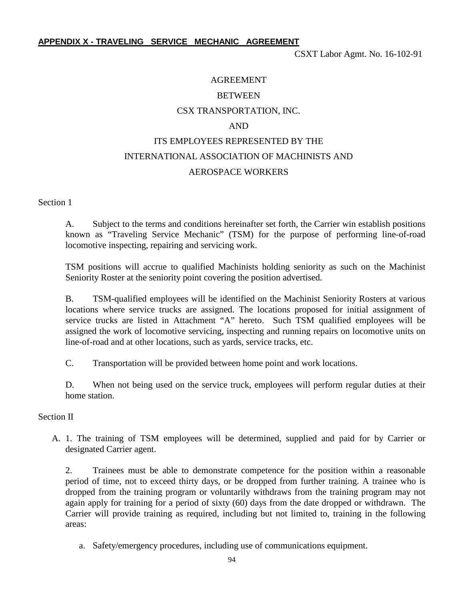#### **APPENDIX X - TRAVELING SERVICE MECHANIC AGREEMENT**

CSXT Labor Agmt. No. 16-102-91

# AGREEMENT **BETWEEN** CSX TRANSPORTATION, INC. AND ITS EMPLOYEES REPRESENTED BY THE INTERNATIONAL ASSOCIATION OF MACHINISTS AND AEROSPACE WORKERS

Section 1

A. Subject to the terms and conditions hereinafter set forth, the Carrier win establish positions known as "Traveling Service Mechanic" (TSM) for the purpose of performing line-of-road locomotive inspecting, repairing and servicing work.

TSM positions will accrue to qualified Machinists holding seniority as such on the Machinist Seniority Roster at the seniority point covering the position advertised.

B. TSM-qualified employees will be identified on the Machinist Seniority Rosters at various locations where service trucks are assigned. The locations proposed for initial assignment of service trucks are listed in Attachment "A" hereto. Such TSM qualified employees will be assigned the work of locomotive servicing, inspecting and running repairs on locomotive units on line-of-road and at other locations, such as yards, service tracks, etc.

C. Transportation will be provided between home point and work locations.

D. When not being used on the service truck, employees will perform regular duties at their home station.

Section II

A. 1. The training of TSM employees will be determined, supplied and paid for by Carrier or designated Carrier agent.

2. Trainees must be able to demonstrate competence for the position within a reasonable period of time, not to exceed thirty days, or be dropped from further training. A trainee who is dropped from the training program or voluntarily withdraws from the training program may not again apply for training for a period of sixty (60) days from the date dropped or withdrawn. The Carrier will provide training as required, including but not limited to, training in the following areas:

a. Safety/emergency procedures, including use of communications equipment.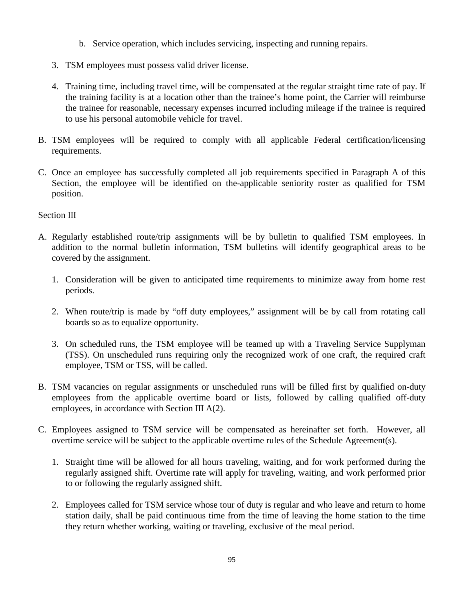- b. Service operation, which includes servicing, inspecting and running repairs.
- 3. TSM employees must possess valid driver license.
- 4. Training time, including travel time, will be compensated at the regular straight time rate of pay. If the training facility is at a location other than the trainee's home point, the Carrier will reimburse the trainee for reasonable, necessary expenses incurred including mileage if the trainee is required to use his personal automobile vehicle for travel.
- B. TSM employees will be required to comply with all applicable Federal certification/licensing requirements.
- C. Once an employee has successfully completed all job requirements specified in Paragraph A of this Section, the employee will be identified on the-applicable seniority roster as qualified for TSM position.

#### Section III

- A. Regularly established route/trip assignments will be by bulletin to qualified TSM employees. In addition to the normal bulletin information, TSM bulletins will identify geographical areas to be covered by the assignment.
	- 1. Consideration will be given to anticipated time requirements to minimize away from home rest periods.
	- 2. When route/trip is made by "off duty employees," assignment will be by call from rotating call boards so as to equalize opportunity.
	- 3. On scheduled runs, the TSM employee will be teamed up with a Traveling Service Supplyman (TSS). On unscheduled runs requiring only the recognized work of one craft, the required craft employee, TSM or TSS, will be called.
- B. TSM vacancies on regular assignments or unscheduled runs will be filled first by qualified on-duty employees from the applicable overtime board or lists, followed by calling qualified off-duty employees, in accordance with Section III A(2).
- C. Employees assigned to TSM service will be compensated as hereinafter set forth. However, all overtime service will be subject to the applicable overtime rules of the Schedule Agreement(s).
	- 1. Straight time will be allowed for all hours traveling, waiting, and for work performed during the regularly assigned shift. Overtime rate will apply for traveling, waiting, and work performed prior to or following the regularly assigned shift.
	- 2. Employees called for TSM service whose tour of duty is regular and who leave and return to home station daily, shall be paid continuous time from the time of leaving the home station to the time they return whether working, waiting or traveling, exclusive of the meal period.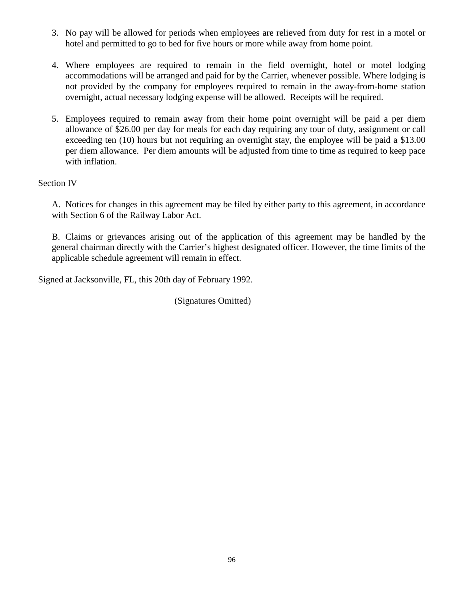- 3. No pay will be allowed for periods when employees are relieved from duty for rest in a motel or hotel and permitted to go to bed for five hours or more while away from home point.
- 4. Where employees are required to remain in the field overnight, hotel or motel lodging accommodations will be arranged and paid for by the Carrier, whenever possible. Where lodging is not provided by the company for employees required to remain in the away-from-home station overnight, actual necessary lodging expense will be allowed. Receipts will be required.
- 5. Employees required to remain away from their home point overnight will be paid a per diem allowance of \$26.00 per day for meals for each day requiring any tour of duty, assignment or call exceeding ten (10) hours but not requiring an overnight stay, the employee will be paid a \$13.00 per diem allowance. Per diem amounts will be adjusted from time to time as required to keep pace with inflation.

# Section IV

A. Notices for changes in this agreement may be filed by either party to this agreement, in accordance with Section 6 of the Railway Labor Act.

B. Claims or grievances arising out of the application of this agreement may be handled by the general chairman directly with the Carrier's highest designated officer. However, the time limits of the applicable schedule agreement will remain in effect.

Signed at Jacksonville, FL, this 20th day of February 1992.

(Signatures Omitted)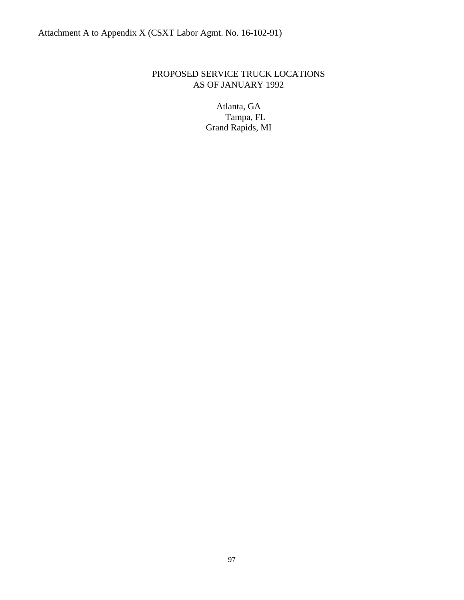# PROPOSED SERVICE TRUCK LOCATIONS AS OF JANUARY 1992

Atlanta, GA Tampa, FL Grand Rapids, MI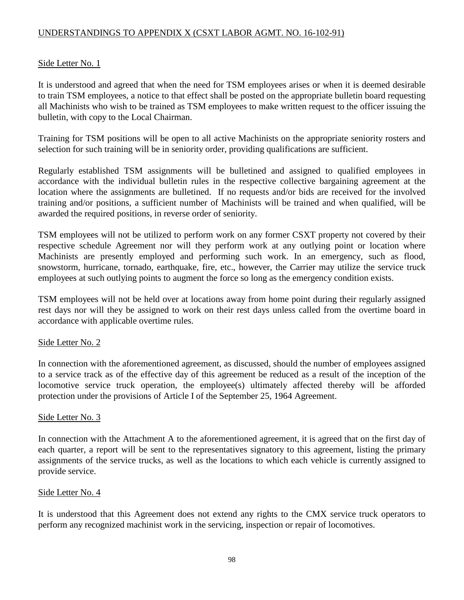# UNDERSTANDINGS TO APPENDIX X (CSXT LABOR AGMT. NO. 16-102-91)

### Side Letter No. 1

It is understood and agreed that when the need for TSM employees arises or when it is deemed desirable to train TSM employees, a notice to that effect shall be posted on the appropriate bulletin board requesting all Machinists who wish to be trained as TSM employees to make written request to the officer issuing the bulletin, with copy to the Local Chairman.

Training for TSM positions will be open to all active Machinists on the appropriate seniority rosters and selection for such training will be in seniority order, providing qualifications are sufficient.

Regularly established TSM assignments will be bulletined and assigned to qualified employees in accordance with the individual bulletin rules in the respective collective bargaining agreement at the location where the assignments are bulletined. If no requests and/or bids are received for the involved training and/or positions, a sufficient number of Machinists will be trained and when qualified, will be awarded the required positions, in reverse order of seniority.

TSM employees will not be utilized to perform work on any former CSXT property not covered by their respective schedule Agreement nor will they perform work at any outlying point or location where Machinists are presently employed and performing such work. In an emergency, such as flood, snowstorm, hurricane, tornado, earthquake, fire, etc., however, the Carrier may utilize the service truck employees at such outlying points to augment the force so long as the emergency condition exists.

TSM employees will not be held over at locations away from home point during their regularly assigned rest days nor will they be assigned to work on their rest days unless called from the overtime board in accordance with applicable overtime rules.

#### Side Letter No. 2

In connection with the aforementioned agreement, as discussed, should the number of employees assigned to a service track as of the effective day of this agreement be reduced as a result of the inception of the locomotive service truck operation, the employee(s) ultimately affected thereby will be afforded protection under the provisions of Article I of the September 25, 1964 Agreement.

#### Side Letter No. 3

In connection with the Attachment A to the aforementioned agreement, it is agreed that on the first day of each quarter, a report will be sent to the representatives signatory to this agreement, listing the primary assignments of the service trucks, as well as the locations to which each vehicle is currently assigned to provide service.

#### Side Letter No. 4

It is understood that this Agreement does not extend any rights to the CMX service truck operators to perform any recognized machinist work in the servicing, inspection or repair of locomotives.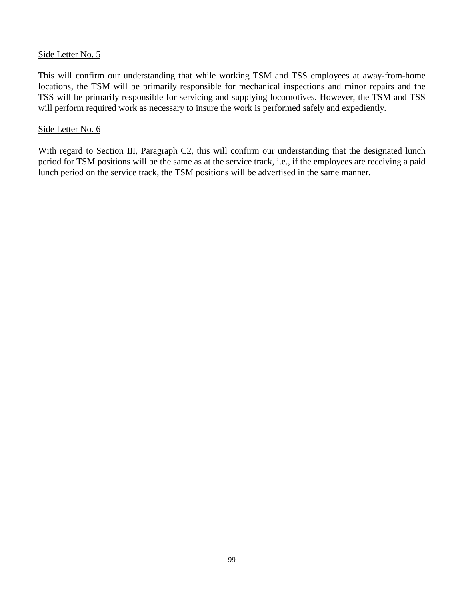#### Side Letter No. 5

This will confirm our understanding that while working TSM and TSS employees at away-from-home locations, the TSM will be primarily responsible for mechanical inspections and minor repairs and the TSS will be primarily responsible for servicing and supplying locomotives. However, the TSM and TSS will perform required work as necessary to insure the work is performed safely and expediently.

#### Side Letter No. 6

With regard to Section III, Paragraph C2, this will confirm our understanding that the designated lunch period for TSM positions will be the same as at the service track, i.e., if the employees are receiving a paid lunch period on the service track, the TSM positions will be advertised in the same manner.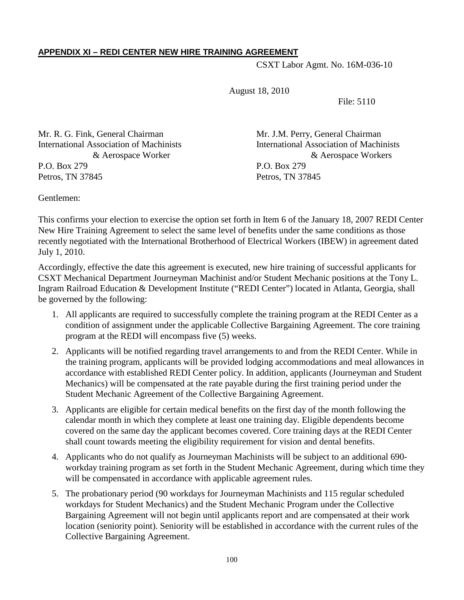# **APPENDIX XI – REDI CENTER NEW HIRE TRAINING AGREEMENT**

CSXT Labor Agmt. No. 16M-036-10

August 18, 2010

File: 5110

Mr. R. G. Fink, General Chairman Mr. J.M. Perry, General Chairman P.O. Box 279 P.O. Box 279 Petros, TN 37845 Petros, TN 37845

International Association of Machinists International Association of Machinists & Aerospace Worker & Aerospace Workers

Gentlemen:

This confirms your election to exercise the option set forth in Item 6 of the January 18, 2007 REDI Center New Hire Training Agreement to select the same level of benefits under the same conditions as those recently negotiated with the International Brotherhood of Electrical Workers (IBEW) in agreement dated July 1, 2010.

Accordingly, effective the date this agreement is executed, new hire training of successful applicants for CSXT Mechanical Department Journeyman Machinist and/or Student Mechanic positions at the Tony L. Ingram Railroad Education & Development Institute ("REDI Center") located in Atlanta, Georgia, shall be governed by the following:

- 1. All applicants are required to successfully complete the training program at the REDI Center as a condition of assignment under the applicable Collective Bargaining Agreement. The core training program at the REDI will encompass five (5) weeks.
- 2. Applicants will be notified regarding travel arrangements to and from the REDI Center. While in the training program, applicants will be provided lodging accommodations and meal allowances in accordance with established REDI Center policy. In addition, applicants (Journeyman and Student Mechanics) will be compensated at the rate payable during the first training period under the Student Mechanic Agreement of the Collective Bargaining Agreement.
- 3. Applicants are eligible for certain medical benefits on the first day of the month following the calendar month in which they complete at least one training day. Eligible dependents become covered on the same day the applicant becomes covered. Core training days at the REDI Center shall count towards meeting the eligibility requirement for vision and dental benefits.
- 4. Applicants who do not qualify as Journeyman Machinists will be subject to an additional 690 workday training program as set forth in the Student Mechanic Agreement, during which time they will be compensated in accordance with applicable agreement rules.
- 5. The probationary period (90 workdays for Journeyman Machinists and 115 regular scheduled workdays for Student Mechanics) and the Student Mechanic Program under the Collective Bargaining Agreement will not begin until applicants report and are compensated at their work location (seniority point). Seniority will be established in accordance with the current rules of the Collective Bargaining Agreement.